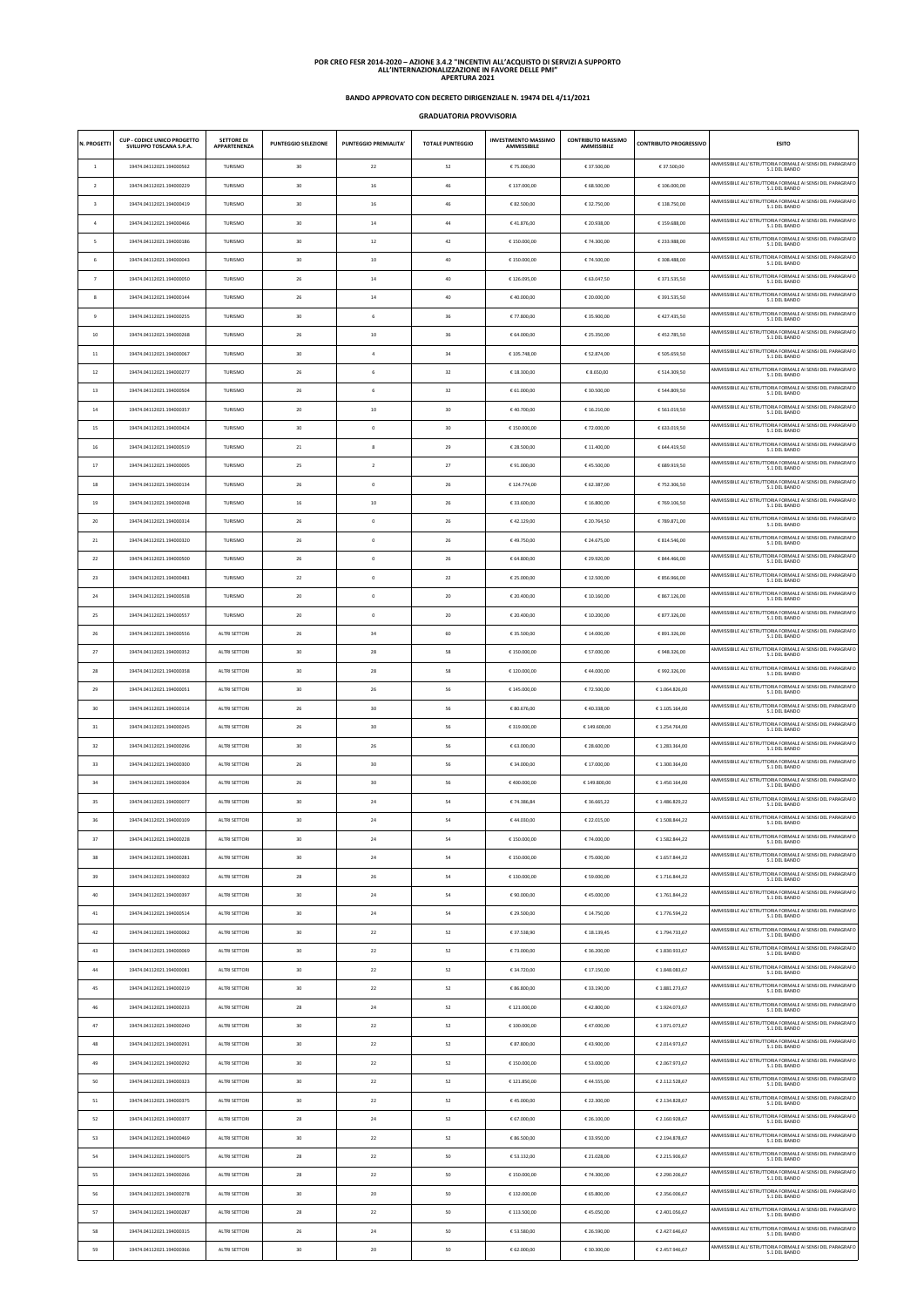## **BANDO APPROVATO CON DECRETO DIRIGENZIALE N. 19474 DEL 4/11/2021**

**GRADUATORIA PROVVISORIA**

| N. PROGETTI    | <b>CUP - CODICE UNICO PROGETTO</b><br>SVILUPPO TOSCANA S.P.A. | <b>SETTORE DI</b><br>APPARTENENZA | <b>PUNTEGGIO SELEZIONE</b> | <b>PUNTEGGIO PREMIALITA'</b> | <b>TOTALE PUNTEGGIO</b> | <b>INVESTIMENTO MASSIMO</b><br><b>AMMISSIBILE</b> | <b>CONTRIBUTO MASSIMO</b><br><b>AMMISSIBILE</b> | <b>CONTRIBUTO PROGRESSIVO</b> | <b>ESITO</b>                                                                |
|----------------|---------------------------------------------------------------|-----------------------------------|----------------------------|------------------------------|-------------------------|---------------------------------------------------|-------------------------------------------------|-------------------------------|-----------------------------------------------------------------------------|
| -1             | 19474.04112021.194000562                                      | TURISMO                           | 30                         | 22                           | 52                      | € 75.000,00                                       | € 37.500,00                                     | € 37.500,00                   | AMMISSIBILE ALL'ISTRUTTORIA FORMALE AI SENSI DEL PARAGRAFO<br>5.1 DEL BANDO |
| $\overline{2}$ | 19474.04112021.194000229                                      | <b>TURISMO</b>                    | 30                         | 16                           | 46                      | € 137.000,00                                      | € 68.500,00                                     | € 106.000,00                  | AMMISSIBILE ALL'ISTRUTTORIA FORMALE AI SENSI DEL PARAGRAFO<br>5.1 DEL BANDO |
| 3              | 19474.04112021.194000419                                      | TURISMO                           | 30                         | 16                           | 46                      | € 82.500,00                                       | € 32.750,00                                     | € 138.750,00                  | AMMISSIBILE ALL'ISTRUTTORIA FORMALE AI SENSI DEL PARAGRAFO<br>5.1 DEL BANDO |
|                | 19474.04112021.194000466                                      | TURISMO                           | 30                         | 14                           | 44                      | €41.876,00                                        | € 20.938,00                                     | € 159.688,00                  | AMMISSIBILE ALL'ISTRUTTORIA FORMALE AI SENSI DEL PARAGRAFO<br>5.1 DEL BANDO |
| -5             | 19474.04112021.194000186                                      | TURISMO                           | 30                         | 12                           | 42                      | € 150.000,00                                      | € 74.300,00                                     | € 233.988,00                  | AMMISSIBILE ALL'ISTRUTTORIA FORMALE AI SENSI DEL PARAGRAFO<br>5.1 DEL BANDO |
| -6             | 19474.04112021.194000043                                      | TURISMO                           | 30                         | 10                           | 40                      | €150.000,00                                       | € 74.500,00                                     | € 308.488,00                  | AMMISSIBILE ALL'ISTRUTTORIA FORMALE AI SENSI DEL PARAGRAFO                  |
| $\overline{7}$ | 19474.04112021.194000050                                      | TURISMO                           | 26                         | 14                           | 40                      | €126.095,00                                       | € 63.047,50                                     | € 371.535,50                  | 5.1 DEL BANDO<br>AMMISSIBILE ALL'ISTRUTTORIA FORMALE AI SENSI DEL PARAGRAFO |
| 8              | 19474.04112021.194000144                                      | TURISMO                           | 26                         | 14                           | 40                      | €40.000,00                                        | € 20.000,00                                     | € 391.535,50                  | 5.1 DEL BANDO<br>AMMISSIBILE ALL'ISTRUTTORIA FORMALE AI SENSI DEL PARAGRAFO |
| 9              |                                                               |                                   | 30                         | $\,$ 6                       | 36                      |                                                   | € 35.900,00                                     | €427.435,50                   | 5.1 DEL BANDO<br>AMMISSIBILE ALL'ISTRUTTORIA FORMALE AI SENSI DEL PARAGRAFO |
| 10             | 19474.04112021.194000255                                      | TURISMO                           |                            |                              |                         | € 77.800,00                                       |                                                 |                               | 5.1 DEL BANDO<br>AMMISSIBILE ALL'ISTRUTTORIA FORMALE AI SENSI DEL PARAGRAFO |
|                | 19474.04112021.194000268                                      | TURISMO                           | 26                         | 10                           | 36                      | € 64.000,00                                       | € 25.350,00                                     | €452.785,50                   | 5.1 DEL BANDO<br>AMMISSIBILE ALL'ISTRUTTORIA FORMALE AI SENSI DEL PARAGRAFO |
| 11             | 19474.04112021.194000067                                      | TURISMO                           | 30                         | $\overline{4}$               | 34                      | € 105.748,00                                      | € 52.874,00                                     | € 505.659,50                  | 5.1 DEL BANDO<br>AMMISSIBILE ALL'ISTRUTTORIA FORMALE AI SENSI DEL PARAGRAFO |
| 12             | 19474.04112021.194000277                                      | TURISMO                           | 26                         | $\,$ 6                       | 32                      | € 18.300,00                                       | € 8.650,00                                      | € 514.309,50                  | 5.1 DEL BANDO<br>AMMISSIBILE ALL'ISTRUTTORIA FORMALE AI SENSI DEL PARAGRAFO |
| 13             | 19474.04112021.194000504                                      | TURISMO                           | 26                         | $\,$ 6                       | 32                      | € 61.000,00                                       | € 30.500,00                                     | € 544.809,50                  | 5.1 DEL BANDO<br>AMMISSIBILE ALL'ISTRUTTORIA FORMALE AI SENSI DEL PARAGRAFO |
| 14             | 19474.04112021.194000357                                      | TURISMO                           | 20                         | 10                           | 30                      | €40.700,00                                        | € 16.210,00                                     | € 561.019,50                  | 5.1 DEL BANDO                                                               |
| 15             | 19474.04112021.194000424                                      | TURISMO                           | 30                         | $\mathbb O$                  | 30                      | € 150.000,00                                      | € 72.000,00                                     | € 633.019,50                  | AMMISSIBILE ALL'ISTRUTTORIA FORMALE AI SENSI DEL PARAGRAFO<br>5.1 DEL BANDO |
| 16             | 19474.04112021.194000519                                      | TURISMO                           | 21                         | 8                            | 29                      | € 28.500,00                                       | € 11.400,00                                     | € 644.419,50                  | AMMISSIBILE ALL'ISTRUTTORIA FORMALE AI SENSI DEL PARAGRAFO<br>5.1 DEL BANDO |
| 17             | 19474.04112021.194000005                                      | TURISMO                           | 25                         | $\overline{2}$               | 27                      | €91.000,00                                        | €45.500,00                                      | € 689.919,50                  | AMMISSIBILE ALL'ISTRUTTORIA FORMALE AI SENSI DEL PARAGRAFO<br>5.1 DEL BANDO |
| 18             | 19474.04112021.194000134                                      | TURISMO                           | 26                         | $\mathbb O$                  | 26                      | €124.774,00                                       | € 62.387,00                                     | €752.306,50                   | AMMISSIBILE ALL'ISTRUTTORIA FORMALE AI SENSI DEL PARAGRAFO<br>5.1 DEL BANDO |
| 19             | 19474.04112021.194000248                                      | TURISMO                           | 16                         | 10                           | 26                      | € 33.600,00                                       | € 16.800,00                                     | €769.106,50                   | AMMISSIBILE ALL'ISTRUTTORIA FORMALE AI SENSI DEL PARAGRAFO<br>5.1 DEL BANDO |
| 20             | 19474.04112021.194000314                                      | TURISMO                           | 26                         | $\mathbb O$                  | 26                      | €42.129,00                                        | € 20.764,50                                     | €789.871,00                   | AMMISSIBILE ALL'ISTRUTTORIA FORMALE AI SENSI DEL PARAGRAFO<br>5.1 DEL BANDO |
| 21             | 19474.04112021.194000320                                      | TURISMO                           | 26                         | $\mathbb O$                  | 26                      | €49.750,00                                        | € 24.675,00                                     | € 814.546,00                  | AMMISSIBILE ALL'ISTRUTTORIA FORMALE AI SENSI DEL PARAGRAFO<br>5.1 DEL BANDO |
| 22             | 19474.04112021.194000500                                      | <b>TURISMO</b>                    | 26                         | $\mathbf 0$                  | 26                      | € 64.800,00                                       | € 29.920,00                                     | € 844.466,00                  | AMMISSIBILE ALL'ISTRUTTORIA FORMALE AI SENSI DEL PARAGRAFO<br>5.1 DEL BANDO |
| 23             | 19474.04112021.194000481                                      | TURISMO                           | 22                         | $\mathbb O$                  | 22                      | € 25.000,00                                       | € 12.500,00                                     | € 856.966,00                  | AMMISSIBILE ALL'ISTRUTTORIA FORMALE AI SENSI DEL PARAGRAFO<br>5.1 DEL BANDO |
| 24             | 19474.04112021.194000538                                      | TURISMO                           | 20                         | $\mathbb O$                  | 20                      | € 20.400,00                                       | € 10.160,00                                     | € 867.126,00                  | AMMISSIBILE ALL'ISTRUTTORIA FORMALE AI SENSI DEL PARAGRAFO<br>5.1 DEL BANDO |
| 25             | 19474.04112021.194000557                                      | TURISMO                           | 20                         | $\mathbf 0$                  | 20                      | € 20.400,00                                       | € 10.200,00                                     | € 877.326,00                  | AMMISSIBILE ALL'ISTRUTTORIA FORMALE AI SENSI DEL PARAGRAFO<br>5.1 DEL BANDO |
| 26             | 19474.04112021.194000556                                      | ALTRI SETTORI                     | 26                         | 34                           | 60                      | € 35.500,00                                       | € 14.000,00                                     | € 891.326,00                  | AMMISSIBILE ALL'ISTRUTTORIA FORMALE AI SENSI DEL PARAGRAFO<br>5.1 DEL BANDO |
| 27             | 19474.04112021.194000352                                      | ALTRI SETTORI                     | 30                         | 28                           | 58                      | € 150.000,00                                      | € 57.000,00                                     | €948.326,00                   | AMMISSIBILE ALL'ISTRUTTORIA FORMALE AI SENSI DEL PARAGRAFO<br>5.1 DEL BANDO |
| 28             | 19474.04112021.194000358                                      | ALTRI SETTORI                     | 30                         | 28                           | 58                      | €120.000,00                                       | €44.000,00                                      | € 992.326,00                  | AMMISSIBILE ALL'ISTRUTTORIA FORMALE AI SENSI DEL PARAGRAFO<br>5.1 DEL BANDO |
| 29             | 19474.04112021.194000051                                      | ALTRI SETTORI                     | 30                         | 26                           | 56                      | € 145.000,00                                      | € 72.500,00                                     | €1.064.826,00                 | AMMISSIBILE ALL'ISTRUTTORIA FORMALE AI SENSI DEL PARAGRAFO<br>5.1 DEL BANDO |
| 30             | 19474.04112021.194000114                                      | ALTRI SETTORI                     | 26                         | 30                           | 56                      | € 80.676,00                                       | €40.338,00                                      | € 1.105.164,00                | AMMISSIBILE ALL'ISTRUTTORIA FORMALE AI SENSI DEL PARAGRAFO<br>5.1 DEL BANDO |
| 31             | 19474.04112021.194000245                                      | ALTRI SETTORI                     | 26                         | 30                           | 56                      | €319.000,00                                       | € 149.600,00                                    | € 1.254.764,00                | AMMISSIBILE ALL'ISTRUTTORIA FORMALE AI SENSI DEL PARAGRAFO<br>5.1 DEL BANDO |
| 32             | 19474.04112021.194000296                                      | ALTRI SETTORI                     | 30                         | 26                           | 56                      | € 63.000,00                                       | € 28.600,00                                     | € 1.283.364,00                | AMMISSIBILE ALL'ISTRUTTORIA FORMALE AI SENSI DEL PARAGRAFO<br>5.1 DEL BANDO |
| 33             | 19474.04112021.194000300                                      | ALTRI SETTORI                     | 26                         | 30                           | 56                      | € 34.000,00                                       | € 17.000,00                                     | € 1.300.364,00                | AMMISSIBILE ALL'ISTRUTTORIA FORMALE AI SENSI DEL PARAGRAFO<br>5.1 DEL BANDO |
| 34             | 19474.04112021.194000304                                      | ALTRI SETTORI                     | 26                         | 30                           | 56                      | €400.000,00                                       | € 149.800,00                                    | € 1.450.164,00                | AMMISSIBILE ALL'ISTRUTTORIA FORMALE AI SENSI DEL PARAGRAFO<br>5.1 DEL BANDO |
| 35             | 19474.04112021.194000077                                      | ALTRI SETTORI                     | 30                         | 24                           | 54                      | €74.386,84                                        | € 36.665,22                                     | €1.486.829,22                 | AMMISSIBILE ALL'ISTRUTTORIA FORMALE AI SENSI DEL PARAGRAFO<br>5.1 DEL BANDO |
| 36             | 19474.04112021.194000109                                      | ALTRI SETTORI                     | 30                         | 24                           | 54                      | €44.030,00                                        | € 22.015,00                                     | €1.508.844,22                 | AMMISSIBILE ALL'ISTRUTTORIA FORMALE AI SENSI DEL PARAGRAFO<br>5.1 DEL BANDO |
| 37             | 19474.04112021.194000228                                      | ALTRI SETTORI                     | 30                         | 24                           | 54                      | €150.000,00                                       | € 74.000,00                                     | € 1.582.844,22                | AMMISSIBILE ALL'ISTRUTTORIA FORMALE AI SENSI DEL PARAGRAFO                  |
| 38             | 19474.04112021.194000281                                      | ALTRI SETTORI                     | 30                         | 24                           | 54                      | € 150.000,00                                      | € 75.000,00                                     | € 1.657.844,22                | 5.1 DEL BANDO<br>AMMISSIBILE ALL'ISTRUTTORIA FORMALE AI SENSI DEL PARAGRAFO |
| 39             | 19474.04112021.194000302                                      | ALTRI SETTORI                     | 28                         | 26                           | 54                      | € 130.000,00                                      | € 59.000,00                                     | €1.716.844,22                 | 5.1 DEL BANDO<br>AMMISSIBILE ALL'ISTRUTTORIA FORMALE AI SENSI DEL PARAGRAFO |
| 40             | 19474.04112021.194000397                                      | ALTRI SETTORI                     | 30                         | 24                           | 54                      | € 90.000,00                                       | €45.000,00                                      | €1.761.844,22                 | 5.1 DEL BANDO<br>AMMISSIBILE ALL'ISTRUTTORIA FORMALE AI SENSI DEL PARAGRAFO |
|                | 19474.04112021.194000514                                      | ALTRI SETTORI                     | 30                         | 24                           | 54                      | € 29.500,00                                       | € 14.750,00                                     | €1.776.594,22                 | 5.1 DEL BANDO<br>AMMISSIBILE ALL'ISTRUTTORIA FORMALE AI SENSI DEL PARAGRAFO |
| 41             |                                                               |                                   |                            |                              |                         |                                                   |                                                 |                               | 5.1 DEL BANDO<br>AMMISSIBILE ALL'ISTRUTTORIA FORMALE AI SENSI DEL PARAGRAFO |
| 42             | 19474.04112021.194000062                                      | ALTRI SETTORI                     | 30                         | 22                           | 52                      | € 37.538,90                                       | € 18.139,45                                     | € 1.794.733,67                | 5.1 DEL BANDO<br>AMMISSIBILE ALL'ISTRUTTORIA FORMALE AI SENSI DEL PARAGRAFO |
| 43             | 19474.04112021.194000069                                      | ALTRI SETTORI                     | 30                         | 22                           | 52                      | € 73.000,00                                       | € 36.200,00                                     | € 1.830.933,67                | 5.1 DEL BANDO<br>AMMISSIBILE ALL'ISTRUTTORIA FORMALE AI SENSI DEL PARAGRAFO |
| 44             | 19474.04112021.194000081                                      | ALTRI SETTORI                     | 30                         | 22                           | 52                      | € 34.720,00                                       | € 17.150,00                                     | € 1.848.083,67                | 5.1 DEL BANDO                                                               |
| 45             | 19474.04112021.194000219                                      | ALTRI SETTORI                     | 30                         | 22                           | 52                      | € 86.800,00                                       | € 33.190,00                                     | € 1.881.273,67                | AMMISSIBILE ALL'ISTRUTTORIA FORMALE AI SENSI DEL PARAGRAFO                  |
| 46             | 19474.04112021.194000233                                      | ALTRI SETTORI                     | 28                         | 24                           | 52                      | €121.000,00                                       | €42.800,00                                      | € 1.924.073,67                | AMMISSIBILE ALL'ISTRUTTORIA FORMALE AI SENSI DEL PARAGRAFO<br>5.1 DEL BANDO |
| 47             | 19474.04112021.194000240                                      | ALTRI SETTORI                     | 30                         | 22                           | 52                      | € 100.000,00                                      | €47.000,00                                      | € 1.971.073,67                | AMMISSIBILE ALL'ISTRUTTORIA FORMALE AI SENSI DEL PARAGRAFO<br>5.1 DEL BANDO |
| 48             | 19474.04112021.194000291                                      | ALTRI SETTORI                     | 30                         | 22                           | 52                      | € 87.800,00                                       | €43.900,00                                      | € 2.014.973,67                | AMMISSIBILE ALL'ISTRUTTORIA FORMALE AI SENSI DEL PARAGRAFO<br>5.1 DEL BANDO |
| 49             | 19474.04112021.194000292                                      | ALTRI SETTORI                     | 30                         | 22                           | 52                      | €150.000,00                                       | € 53.000,00                                     | € 2.067.973.67                | AMMISSIBILE ALL'ISTRUTTORIA FORMALE AI SENSI DEL PARAGRAFO<br>5.1 DEL BANDO |
| 50             | 19474.04112021.194000323                                      | ALTRI SETTORI                     | 30                         | 22                           | 52                      | €121.850,00                                       | €44.555,00                                      | € 2.112.528,67                | AMMISSIBILE ALL'ISTRUTTORIA FORMALE AI SENSI DEL PARAGRAFO<br>5.1 DEL BANDO |
| 51             | 19474.04112021.194000375                                      | ALTRI SETTORI                     | 30                         | 22                           | 52                      | €45.000,00                                        | € 22.300,00                                     | € 2.134.828,67                | AMMISSIBILE ALL'ISTRUTTORIA FORMALE AI SENSI DEL PARAGRAFO<br>5.1 DEL BANDO |
| 52             | 19474.04112021.194000377                                      | ALTRI SETTORI                     | -28                        | 24                           |                         | € 67.000,00                                       | € 26.100,00                                     | € 2.160.928,67                | AMMISSIBILE ALL'ISTRUTTORIA FORMALE AI SENSI DEL PARAGRAFO<br>5.1 DEL BANDO |
| 53             | 19474.04112021.194000469                                      | ALTRI SETTORI                     | 30                         | 22                           | 52                      | € 86.500,00                                       | €33.950,00                                      | € 2.194.878,67                | AMMISSIBILE ALL'ISTRUTTORIA FORMALE AI SENSI DEL PARAGRAFO<br>5.1 DEL BANDO |
| 54             | 19474.04112021.194000075                                      | ALTRI SETTORI                     | 28                         | 22                           | 50                      | € 53.132,00                                       | € 21.028,00                                     | € 2.215.906,67                | AMMISSIBILE ALL'ISTRUTTORIA FORMALE AI SENSI DEL PARAGRAFO<br>5.1 DEL BANDO |
| 55             | 19474.04112021.194000266                                      | ALTRI SETTORI                     | 28                         | 22                           | 50                      | €150.000,00                                       | € 74.300,00                                     | € 2.290.206,67                | AMMISSIBILE ALL'ISTRUTTORIA FORMALE AI SENSI DEL PARAGRAFO<br>5.1 DEL BANDO |
| 56             | 19474.04112021.194000278                                      | ALTRI SETTORI                     | 30                         | 20                           | 50                      | €132.000,00                                       | € 65.800,00                                     | € 2.356.006,67                | AMMISSIBILE ALL'ISTRUTTORIA FORMALE AI SENSI DEL PARAGRAFO<br>5.1 DEL BANDO |
| 57             | 19474.04112021.194000287                                      | ALTRI SETTORI                     | 28                         | 22                           | 50                      | € 113.500,00                                      | €45.050,00                                      | € 2.401.056,67                | AMMISSIBILE ALL'ISTRUTTORIA FORMALE AI SENSI DEL PARAGRAFO<br>5.1 DEL BANDO |
| 58             | 19474.04112021.194000315                                      | ALTRI SETTORI                     | 26                         | 24                           | 50                      | € 53.580,00                                       | € 26.590,00                                     | € 2.427.646,67                | AMMISSIBILE ALL'ISTRUTTORIA FORMALE AI SENSI DEL PARAGRAFO<br>5.1 DEL BANDO |
| 59             | 19474.04112021.194000366                                      | ALTRI SETTORI                     | 30                         | 20                           | 50                      | € 62.000,00                                       | € 30.300,00                                     | € 2.457.946,67                | AMMISSIBILE ALL'ISTRUTTORIA FORMALE AI SENSI DEL PARAGRAFO<br>5.1 DEL BANDO |

## **POR CREO FESR 2014-2020 – AZIONE 3.4.2 "INCENTIVI ALL'ACQUISTO DI SERVIZI A SUPPORTO ALL'INTERNAZIONALIZZAZIONE IN FAVORE DELLE PMI" APERTURA 2021**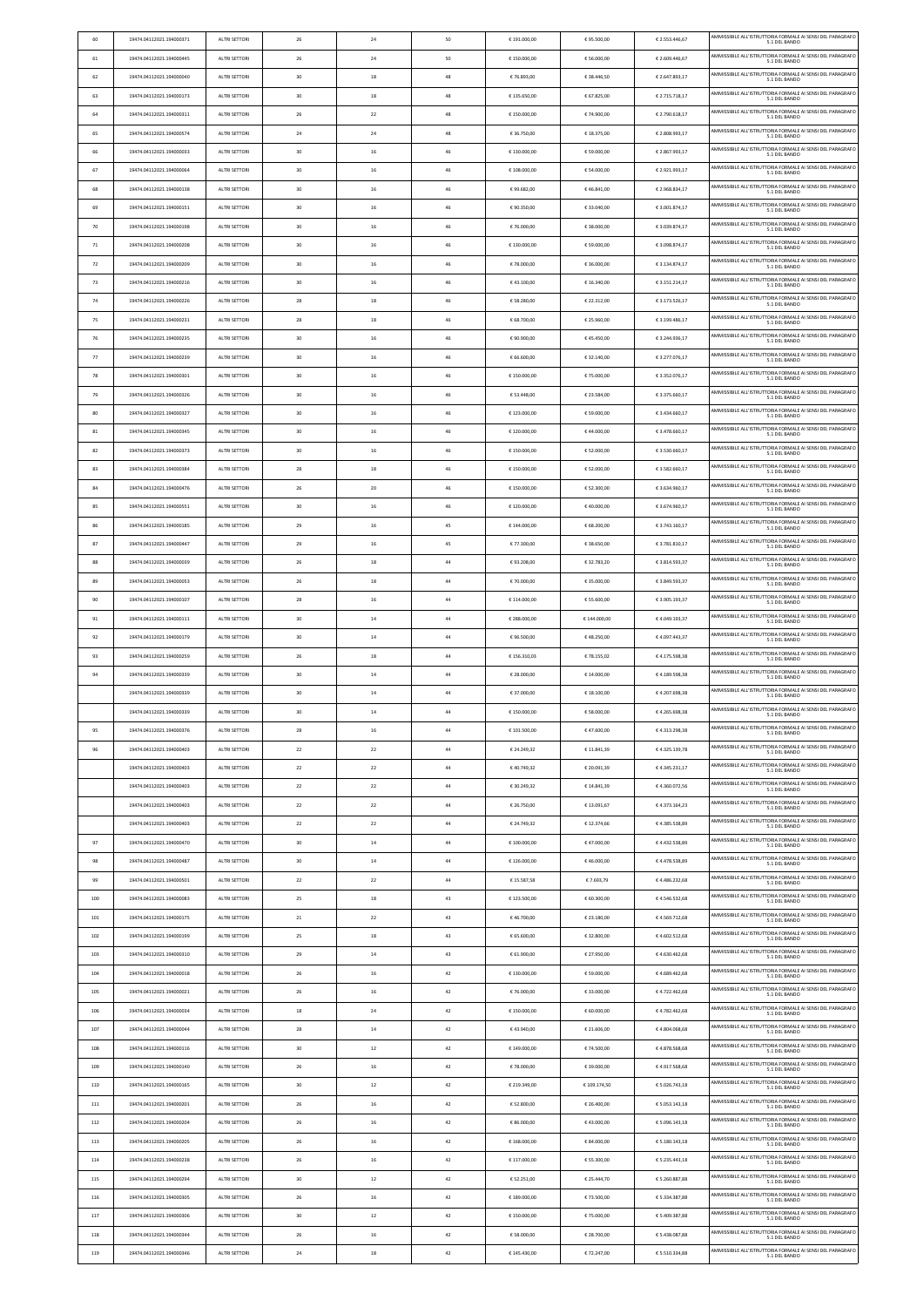| 60  | 19474.04112021.194000371 | ALTRI SETTORI        | 26 | 24 | 50 | €191.000,00  | €95.500,00   | € 2.553.446,67 | AMMISSIBILE ALL'ISTRUTTORIA FORMALE AI SENSI DEL PARAGRAFO<br>5.1 DEL BANDO |
|-----|--------------------------|----------------------|----|----|----|--------------|--------------|----------------|-----------------------------------------------------------------------------|
| 61  | 19474.04112021.194000445 | ALTRI SETTORI        | 26 | 24 | 50 | €150.000,00  | € 56.000,00  | € 2.609.446,67 | AMMISSIBILE ALL'ISTRUTTORIA FORMALE AI SENSI DEL PARAGRAFO<br>5.1 DEL BANDO |
| 62  | 19474.04112021.194000040 | <b>ALTRI SETTORI</b> | 30 | 18 | 48 | € 76.893,00  | € 38.446,50  | € 2.647.893,17 | AMMISSIBILE ALL'ISTRUTTORIA FORMALE AI SENSI DEL PARAGRAFO<br>5.1 DEL BANDO |
| 63  | 19474.04112021.194000173 | ALTRI SETTORI        | 30 | 18 | 48 | €135.650,00  | € 67.825,00  | € 2.715.718,17 | AMMISSIBILE ALL'ISTRUTTORIA FORMALE AI SENSI DEL PARAGRAFO<br>5.1 DEL BANDO |
| 64  | 19474.04112021.194000311 | ALTRI SETTORI        | 26 | 22 | 48 | €150.000,00  | € 74.900,00  | € 2.790.618,17 | AMMISSIBILE ALL'ISTRUTTORIA FORMALE AI SENSI DEL PARAGRAFO                  |
| 65  | 19474.04112021.194000574 | ALTRI SETTORI        | 24 | 24 | 48 | € 36.750,00  | € 18.375,00  | € 2.808.993,17 | AMMISSIBILE ALL'ISTRUTTORIA FORMALE AI SENSI DEL PARAGRAFO<br>5.1 DEL BANDO |
| 66  | 19474.04112021.194000033 | ALTRI SETTORI        | 30 | 16 | 46 | €130.000,00  | € 59.000,00  | € 2.867.993,17 | AMMISSIBILE ALL'ISTRUTTORIA FORMALE AI SENSI DEL PARAGRAFO<br>5.1 DEL BANDO |
| 67  | 19474.04112021.194000064 | ALTRI SETTORI        | 30 | 16 | 46 | € 108.000,00 | € 54.000,00  | € 2.921.993,17 | AMMISSIBILE ALL'ISTRUTTORIA FORMALE AI SENSI DEL PARAGRAFO                  |
| 68  | 19474.04112021.194000138 | <b>ALTRI SETTORI</b> | 30 | 16 | 46 | €99.682,00   | €46.841,00   | € 2.968.834,17 | AMMISSIBILE ALL'ISTRUTTORIA FORMALE AI SENSI DEL PARAGRAFO<br>5.1 DEL BANDO |
| 69  | 19474.04112021.194000151 | ALTRI SETTORI        | 30 | 16 | 46 | € 90.350,00  | € 33.040,00  | € 3.001.874,17 | AMMISSIBILE ALL'ISTRUTTORIA FORMALE AI SENSI DEL PARAGRAFO<br>5.1 DEL BANDO |
| 70  | 19474.04112021.194000198 | ALTRI SETTORI        | 30 | 16 | 46 | € 76.000,00  | € 38.000,00  | € 3.039.874,17 | AMMISSIBILE ALL'ISTRUTTORIA FORMALE AI SENSI DEL PARAGRAFO 5.1 DEL BANDO    |
| 71  | 19474.04112021.194000208 | ALTRI SETTORI        | 30 | 16 | 46 | €130,000.00  | € 59.000,00  | € 3.098.874,17 | AMMISSIBILE ALL'ISTRUTTORIA FORMALE AI SENSI DEL PARAGRAFO                  |
| 72  | 19474.04112021.194000209 | ALTRI SETTORI        | 30 | 16 | 46 | €78.000,00   | € 36.000,00  | € 3.134.874,17 | 5.1 DEL BANDO<br>AMMISSIBILE ALL'ISTRUTTORIA FORMALE AI SENSI DEL PARAGRAFO |
| 73  | 19474.04112021.194000216 | ALTRI SETTORI        | 30 | 16 | 46 | €43.100,00   | € 16.340,00  | € 3.151.214,17 | 5.1 DEL BANDO<br>AMMISSIBILE ALL'ISTRUTTORIA FORMALE AI SENSI DEL PARAGRAFO |
| 74  | 19474.04112021.194000226 | ALTRI SETTORI        | 28 | 18 | 46 | € 58.280,00  | € 22.312,00  | € 3.173.526,17 | 5.1 DEL BANDO<br>AMMISSIBILE ALL'ISTRUTTORIA FORMALE AI SENSI DEL PARAGRAFO |
|     |                          |                      | 28 |    | 46 |              |              | € 3.199.486,17 | 5.1 DEL BANDO<br>AMMISSIBILE ALL'ISTRUTTORIA FORMALE AI SENSI DEL PARAGRAFO |
| 75  | 19474.04112021.194000231 | ALTRI SETTORI        |    | 18 |    | € 68.700,00  | € 25.960,00  |                | 5.1 DEL BANDO<br>AMMISSIBILE ALL'ISTRUTTORIA FORMALE AI SENSI DEL PARAGRAFO |
| 76  | 19474.04112021.194000235 | ALTRI SETTORI        | 30 | 16 | 46 | € 90.900,00  | €45.450,00   | € 3.244.936,17 | 5.1 DEL BANDO<br>AMMISSIBILE ALL'ISTRUTTORIA FORMALE AI SENSI DEL PARAGRAFO |
| 77  | 19474.04112021.194000239 | ALTRI SETTORI        | 30 | 16 | 46 | € 66.600,00  | € 32.140,00  | € 3.277.076,17 | 5.1 DEL BANDO<br>AMMISSIBILE ALL'ISTRUTTORIA FORMALE AI SENSI DEL PARAGRAFO |
| 78  | 19474.04112021.194000301 | ALTRI SETTORI        | 30 | 16 | 46 | €150.000,00  | € 75.000,00  | € 3.352.076,17 | 5.1 DEL BANDO<br>AMMISSIBILE ALL'ISTRUTTORIA FORMALE AI SENSI DEL PARAGRAFO |
| 79  | 19474.04112021.194000326 | ALTRI SETTORI        | 30 | 16 | 46 | € 53.448,00  | € 23.584,00  | € 3.375.660,17 | 5.1 DEL BANDO                                                               |
| 80  | 19474.04112021.194000327 | ALTRI SETTORI        | 30 | 16 | 46 | €123.000,00  | € 59.000,00  | € 3.434.660,17 | AMMISSIBILE ALL'ISTRUTTORIA FORMALE AI SENSI DEL PARAGRAFO<br>5.1 DEL BANDO |
| 81  | 19474.04112021.194000345 | ALTRI SETTORI        | 30 | 16 | 46 | €120.000,00  | €44.000,00   | € 3.478.660,17 | AMMISSIBILE ALL'ISTRUTTORIA FORMALE AI SENSI DEL PARAGRAFO<br>5.1 DEL BANDO |
| 82  | 19474.04112021.194000373 | ALTRI SETTORI        | 30 | 16 | 46 | €150.000,00  | € 52.000,00  | € 3.530.660,17 | AMMISSIBILE ALL'ISTRUTTORIA FORMALE AI SENSI DEL PARAGRAFO<br>5.1 DEL BANDO |
| 83  | 19474.04112021.194000384 | ALTRI SETTORI        | 28 | 18 | 46 | €150.000,00  | € 52.000,00  | € 3.582.660,17 | AMMISSIBILE ALL'ISTRUTTORIA FORMALE AI SENSI DEL PARAGRAFO<br>5.1 DEL BANDO |
| 84  | 19474.04112021.194000476 | ALTRI SETTORI        | 26 | 20 | 46 | €150.000,00  | € 52.300,00  | € 3.634.960,17 | AMMISSIBILE ALL'ISTRUTTORIA FORMALE AI SENSI DEL PARAGRAFO<br>5.1 DEL BANDO |
| 85  | 19474.04112021.194000551 | ALTRI SETTORI        | 30 | 16 | 46 | €120.000,00  | €40.000,00   | € 3.674.960,17 | AMMISSIBILE ALL'ISTRUTTORIA FORMALE AI SENSI DEL PARAGRAFO<br>5.1 DEL BANDO |
| 86  | 19474.04112021.194000185 | ALTRI SETTORI        | 29 | 16 | 45 | € 144.000,00 | € 68.200,00  | € 3.743.160,17 | AMMISSIBILE ALL'ISTRUTTORIA FORMALE AI SENSI DEL PARAGRAFO<br>5.1 DEL BANDO |
| 87  | 19474.04112021.194000447 | ALTRI SETTORI        | 29 | 16 | 45 | € 77.300,00  | € 38.650,00  | € 3.781.810,17 | AMMISSIBILE ALL'ISTRUTTORIA FORMALE AI SENSI DEL PARAGRAFO<br>5.1 DEL BANDO |
| 88  | 19474.04112021.194000039 | ALTRI SETTORI        | 26 | 18 | 44 | €93.208,00   | € 32.783,20  | € 3.814.593,37 | AMMISSIBILE ALL'ISTRUTTORIA FORMALE AI SENSI DEL PARAGRAFO<br>5.1 DEL BANDO |
| 89  | 19474.04112021.194000053 | ALTRI SETTORI        | 26 | 18 | 44 | € 70.000,00  | € 35.000,00  | € 3.849.593,37 | AMMISSIBILE ALL'ISTRUTTORIA FORMALE AI SENSI DEL PARAGRAFO<br>5.1 DEL BANDO |
| 90  | 19474.04112021.194000107 | ALTRI SETTORI        | 28 | 16 | 44 | € 114.000,00 | € 55.600,00  | € 3.905.193,37 | AMMISSIBILE ALL'ISTRUTTORIA FORMALE AI SENSI DEL PARAGRAFO<br>5.1 DEL BANDO |
| 91  | 19474.04112021.194000111 | <b>ALTRI SETTORI</b> | 30 | 14 | 44 | € 288,000.00 | € 144.000,00 | €4.049.193,37  | AMMISSIBILE ALL'ISTRUTTORIA FORMALE AI SENSI DEL PARAGRAFO<br>5.1 DEL BANDO |
| 92  | 19474.04112021.194000179 | ALTRI SETTORI        | 30 | 14 | 44 | € 96.500,00  | €48.250,00   | €4.097.443,37  | AMMISSIBILE ALL'ISTRUTTORIA FORMALE AI SENSI DEL PARAGRAFO<br>5.1 DEL BANDO |
| 93  | 19474.04112021.194000259 | ALTRI SETTORI        | 26 | 18 | 44 | €156.310,03  | €78.155,02   | €4.175.598,38  | AMMISSIBILE ALL'ISTRUTTORIA FORMALE AI SENSI DEL PARAGRAFO<br>5.1 DEL BANDO |
| 94  | 19474.04112021.194000339 | ALTRI SETTORI        | 30 | 14 | 44 | € 28.000,00  | € 14.000,00  | €4.189.598,38  | AMMISSIBILE ALL'ISTRUTTORIA FORMALE AI SENSI DEL PARAGRAFO<br>5.1 DEL BANDO |
|     | 19474.04112021.194000339 | ALTRI SETTORI        | 30 | 14 | 44 | € 37.000,00  | € 18.100,00  | €4.207.698,38  | AMMISSIBILE ALL'ISTRUTTORIA FORMALE AI SENSI DEL PARAGRAFO<br>5.1 DEL BANDO |
|     | 19474.04112021.194000339 | ALTRI SETTORI        | 30 | 14 | 44 | €150.000,00  | € 58.000,00  | €4.265.698,38  | AMMISSIBILE ALL'ISTRUTTORIA FORMALE AI SENSI DEL PARAGRAFO<br>5.1 DEL BANDO |
| 95  | 19474.04112021.194000376 | ALTRI SETTORI        | 28 | 16 | 44 | € 101.500,00 | €47.600,00   | €4.313.298,38  | AMMISSIBILE ALL'ISTRUTTORIA FORMALE AI SENSI DEL PARAGRAFO<br>5.1 DEL BANDO |
| 96  | 19474.04112021.194000403 | <b>ALTRI SETTORI</b> | 22 | 22 | 44 | € 24.249,32  | € 11.841,39  | €4.325.139,78  | AMMISSIBILE ALL'ISTRUTTORIA FORMALE AI SENSI DEL PARAGRAFO<br>5.1 DEL BANDO |
|     | 19474.04112021.194000403 | ALTRI SETTORI        | 22 | 22 | 44 | €40.749,32   | € 20.091,39  | €4.345.231,17  | AMMISSIBILE ALL'ISTRUTTORIA FORMALE AI SENSI DEL PARAGRAFO<br>5.1 DEL BANDO |
|     | 19474.04112021.194000403 | ALTRI SETTORI        | 22 | 22 | 44 | € 30.249,32  | € 14.841,39  | €4.360.072,56  | AMMISSIBILE ALL'ISTRUTTORIA FORMALE AI SENSI DEL PARAGRAFO<br>5.1 DEL BANDO |
|     | 19474.04112021.194000403 | ALTRI SETTORI        | 22 | 22 | 44 | € 26.750,00  | € 13.091,67  | €4.373.164,23  | AMMISSIBILE ALL'ISTRUTTORIA FORMALE AI SENSI DEL PARAGRAFO<br>5.1 DEL BANDO |
|     | 19474.04112021.194000403 | ALTRI SETTORI        | 22 | 22 | 44 | € 24.749,32  | € 12.374,66  | €4.385.538,89  | AMMISSIBILE ALL'ISTRUTTORIA FORMALE AI SENSI DEL PARAGRAFO<br>5.1 DEL BANDO |
| 97  | 19474.04112021.194000470 | <b>ALTRI SETTORI</b> | 30 | 14 | 44 | € 100.000,00 | €47.000,00   | €4.432.538,89  | AMMISSIBILE ALL'ISTRUTTORIA FORMALE AI SENSI DEL PARAGRAFO<br>5.1 DEL BANDO |
| 98  | 19474.04112021.194000487 | ALTRI SETTORI        | 30 | 14 | 44 | €126.000,00  | €46.000,00   | €4.478.538,89  | AMMISSIBILE ALL'ISTRUTTORIA FORMALE AI SENSI DEL PARAGRAFO<br>5.1 DEL BANDO |
| 99  | 19474.04112021.194000501 | ALTRI SETTORI        | 22 | 22 | 44 | € 15.587,58  | €7.693,79    | €4.486.232,68  | AMMISSIBILE ALL'ISTRUTTORIA FORMALE AI SENSI DEL PARAGRAFO<br>5.1 DEL BANDO |
| 100 | 19474.04112021.194000083 | ALTRI SETTORI        | 25 | 18 | 43 | €123.500,00  | € 60.300,00  | €4.546.532,68  | AMMISSIBILE ALL'ISTRUTTORIA FORMALE AI SENSI DEL PARAGRAFO<br>5.1 DEL BANDO |
| 101 | 19474.04112021.194000175 | ALTRI SETTORI        | 21 | 22 | 43 | €46.700,00   | € 23.180,00  | €4.569.712,68  | AMMISSIBILE ALL'ISTRUTTORIA FORMALE AI SENSI DEL PARAGRAFO<br>5.1 DEL BANDO |
| 102 | 19474.04112021.194000199 | ALTRI SETTORI        | 25 | 18 | 43 | € 65.600,00  | € 32.800,00  | €4.602.512,68  | AMMISSIBILE ALL'ISTRUTTORIA FORMALE AI SENSI DEL PARAGRAFO<br>5.1 DEL BANDO |
| 103 | 19474.04112021.194000310 | <b>ALTRI SETTORI</b> | 29 | 14 | 43 | € 61.900,00  | € 27.950,00  | €4.630.462,68  | AMMISSIBILE ALL'ISTRUTTORIA FORMALE AI SENSI DEL PARAGRAFO<br>5.1 DEL BANDO |
| 104 | 19474.04112021.194000018 | ALTRI SETTORI        | 26 | 16 | 42 | €130.000,00  | € 59.000,00  | €4.689.462,68  | AMMISSIBILE ALL'ISTRUTTORIA FORMALE AI SENSI DEL PARAGRAFO<br>5.1 DEL BANDO |
| 105 | 19474.04112021.194000021 | ALTRI SETTORI        | 26 | 16 | 42 | € 76.000,00  | € 33.000,00  | €4.722.462,68  | AMMISSIBILE ALL'ISTRUTTORIA FORMALE AI SENSI DEL PARAGRAFO                  |
| 106 | 19474.04112021.194000034 | ALTRI SETTORI        | 18 | 24 | 42 | €150.000,00  | € 60.000,00  | €4.782.462,68  | 5.1 DEL BANDO<br>AMMISSIBILE ALL'ISTRUTTORIA FORMALE AI SENSI DEL PARAGRAFO |
| 107 | 19474.04112021.194000044 | <b>ALTRI SETTORI</b> | 28 | 14 | 42 | €43.940,00   | € 21.606,00  | €4.804.068,68  | 5.1 DEL BANDO<br>AMMISSIBILE ALL'ISTRUTTORIA FORMALE AI SENSI DEL PARAGRAFO |
| 108 | 19474.04112021.194000116 | ALTRI SETTORI        | 30 | 12 | 42 | €149.000,00  | € 74.500,00  | €4.878.568,68  | 5.1 DEL BANDO<br>AMMISSIBILE ALL'ISTRUTTORIA FORMALE AI SENSI DEL PARAGRAFO |
| 109 | 19474.04112021.194000140 | ALTRI SETTORI        | 26 | 16 | 42 | € 78.000,00  | € 39.000,00  | €4.917.568,68  | 5.1 DEL BANDO<br>AMMISSIBILE ALL'ISTRUTTORIA FORMALE AI SENSI DEL PARAGRAFO |
|     |                          |                      |    |    |    |              |              |                | 5.1 DEL BANDO<br>AMMISSIBILE ALL'ISTRUTTORIA FORMALE AI SENSI DEL PARAGRAFO |
| 110 | 19474.04112021.194000165 | ALTRI SETTORI        | 30 | 12 | 42 | € 219.349,00 | € 109.174,50 | € 5.026.743,18 | 5.1 DEL BANDO<br>AMMISSIBILE ALL'ISTRUTTORIA FORMALE AI SENSI DEL PARAGRAFO |
| 111 | 19474.04112021.194000201 | ALTRI SETTORI        | 26 | 16 | 42 | € 52.800,00  | € 26.400,00  | € 5.053.143,18 | 5.1 DEL BANDO<br>AMMISSIBILE ALL'ISTRUTTORIA FORMALE AI SENSI DEL PARAGRAFO |
| 112 | 19474.04112021.194000204 | <b>ALTRI SETTORI</b> | 26 | 16 | 42 | € 86.000,00  | €43.000,00   | € 5.096.143,18 | 5.1 DEL BANDO<br>AMMISSIBILE ALL'ISTRUTTORIA FORMALE AI SENSI DEL PARAGRAFO |
| 113 | 19474.04112021.194000205 | <b>ALTRI SETTORI</b> | 26 | 16 | 42 | €168.000,00  | € 84.000,00  | € 5.180.143,18 | 5.1 DEL BANDO<br>AMMISSIBILE ALL'ISTRUTTORIA FORMALE AI SENSI DEL PARAGRAFO |
| 114 | 19474.04112021.194000238 | ALTRI SETTORI        | 26 | 16 | 42 | €117.000,00  | € 55.300,00  | € 5.235.443,18 | 5.1 DEL BANDO<br>AMMISSIBILE ALL'ISTRUTTORIA FORMALE AI SENSI DEL PARAGRAFO |
| 115 | 19474.04112021.194000294 | ALTRI SETTORI        | 30 | 12 | 42 | € 52.251,00  | € 25.444,70  | € 5.260.887,88 | 5.1 DEL BANDO                                                               |
| 116 | 19474.04112021.194000305 | ALTRI SETTORI        | 26 | 16 | 42 | €189.000,00  | € 73.500,00  | € 5.334.387,88 | AMMISSIBILE ALL'ISTRUTTORIA FORMALE AI SENSI DEL PARAGRAFO<br>5.1 DEL BANDO |
| 117 | 19474.04112021.194000306 | ALTRI SETTORI        | 30 | 12 | 42 | €150.000,00  | € 75.000,00  | € 5.409.387,88 | AMMISSIBILE ALL'ISTRUTTORIA FORMALE AI SENSI DEL PARAGRAFO<br>5.1 DEL BANDO |
| 118 | 19474.04112021.194000344 | ALTRI SETTORI        | 26 | 16 | 42 | € 58.000,00  | € 28.700,00  | € 5.438.087,88 | AMMISSIBILE ALL'ISTRUTTORIA FORMALE AI SENSI DEL PARAGRAFO<br>5.1 DEL BANDO |
| 119 | 19474.04112021.194000346 | ALTRI SETTORI        | 24 | 18 | 42 | €145.430,00  | € 72.247,00  | € 5.510.334,88 | AMMISSIBILE ALL'ISTRUTTORIA FORMALE AI SENSI DEL PARAGRAFO<br>5.1 DEL BANDO |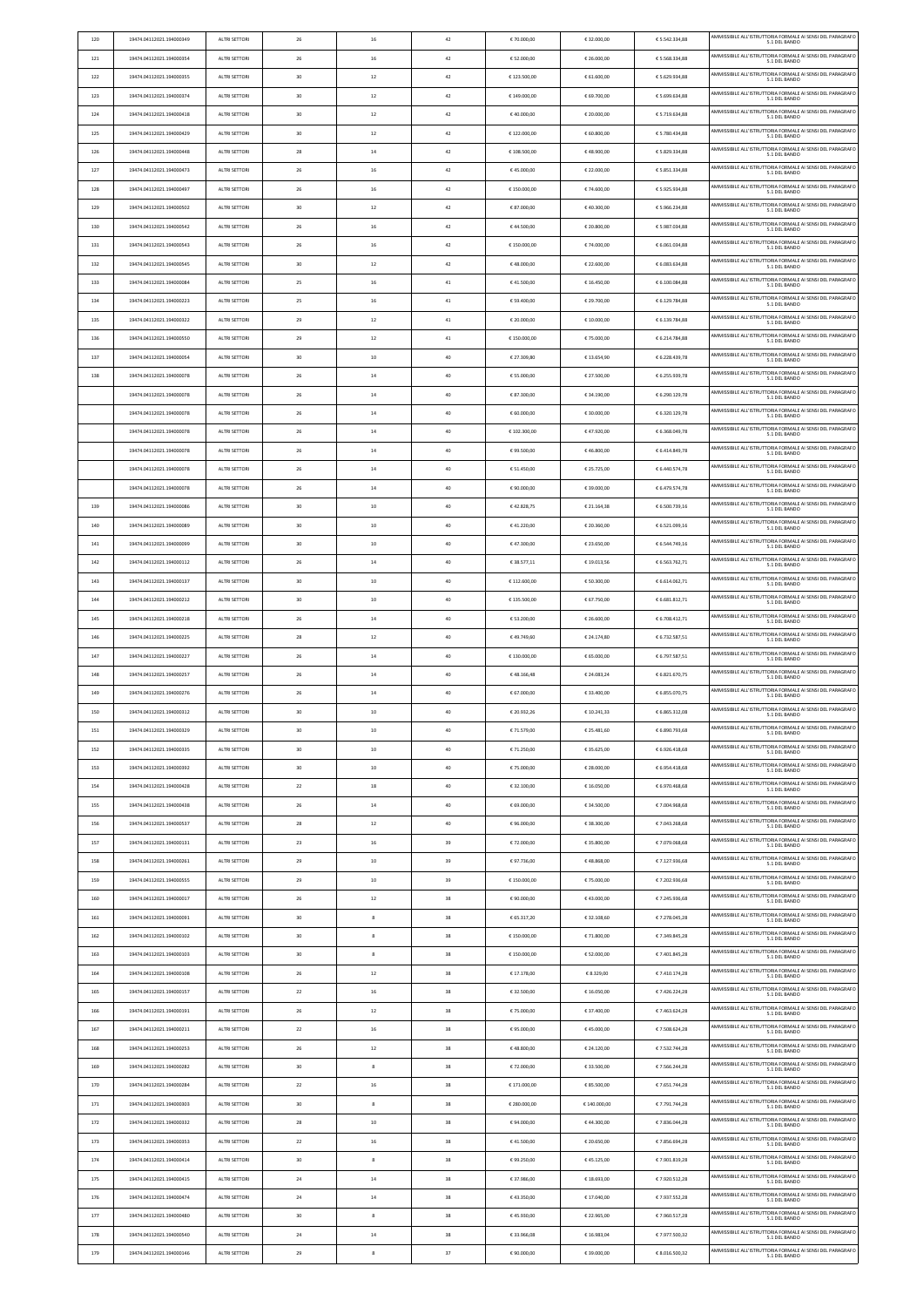| 120 | 19474.04112021.194000349 | ALTRI SETTORI        | 26 | 16             | 42 | € 70.000,00  | € 32.000,00  | € 5.542.334,88 | AMMISSIBILE ALL'ISTRUTTORIA FORMALE AI SENSI DEL PARAGRAFO<br>5.1 DEL BANDO |
|-----|--------------------------|----------------------|----|----------------|----|--------------|--------------|----------------|-----------------------------------------------------------------------------|
| 121 | 19474.04112021.194000354 | ALTRI SETTORI        | 26 | 16             | 42 | € 52.000,00  | € 26.000,00  | € 5.568.334,88 | AMMISSIBILE ALL'ISTRUTTORIA FORMALE AI SENSI DEL PARAGRAFO<br>5.1 DEL BANDO |
| 122 | 19474.04112021.194000355 | ALTRI SETTORI        | 30 | 12             | 42 | €123.500,00  | € 61.600,00  | € 5.629.934,88 | AMMISSIBILE ALL'ISTRUTTORIA FORMALE AI SENSI DEL PARAGRAFO<br>5.1 DEL BANDO |
| 123 | 19474.04112021.194000374 | ALTRI SETTORI        | 30 | 12             | 42 | € 149.000,00 | € 69.700,00  | € 5.699.634,88 | AMMISSIBILE ALL'ISTRUTTORIA FORMALE AI SENSI DEL PARAGRAFO                  |
| 124 | 19474.04112021.194000418 | ALTRI SETTORI        | 30 | 12             | 42 | €40.000,00   | € 20.000,00  | € 5.719.634,88 | 5.1 DEL BANDO<br>AMMISSIBILE ALL'ISTRUTTORIA FORMALE AI SENSI DEL PARAGRAFO |
| 125 | 19474.04112021.194000429 | ALTRI SETTORI        | 30 | 12             | 42 | €122.000,00  | € 60.800,00  | € 5.780.434,88 | 5.1 DEL BANDO<br>AMMISSIBILE ALL'ISTRUTTORIA FORMALE AI SENSI DEL PARAGRAFO |
|     |                          |                      |    |                |    |              |              |                | 5.1 DEL BANDO<br>AMMISSIBILE ALL'ISTRUTTORIA FORMALE AI SENSI DEL PARAGRAFO |
| 126 | 19474.04112021.194000448 | ALTRI SETTORI        | 28 | 14             | 42 | € 108.500,00 | €48.900,00   | € 5.829.334,88 | 5.1 DEL BANDO<br>AMMISSIBILE ALL'ISTRUTTORIA FORMALE AI SENSI DEL PARAGRAFO |
| 127 | 19474.04112021.194000473 | ALTRI SETTORI        | 26 | 16             | 42 | €45.000,00   | € 22.000,00  | € 5.851.334,88 | 5.1 DEL BANDO                                                               |
| 128 | 19474.04112021.194000497 | ALTRI SETTORI        | 26 | 16             | 42 | €150.000,00  | € 74.600,00  | € 5.925.934,88 | AMMISSIBILE ALL'ISTRUTTORIA FORMALE AI SENSI DEL PARAGRAFO<br>5.1 DEL BANDO |
| 129 | 19474.04112021.194000502 | ALTRI SETTORI        | 30 | 12             | 42 | € 87.000,00  | €40.300,00   | € 5.966.234,88 | AMMISSIBILE ALL'ISTRUTTORIA FORMALE AI SENSI DEL PARAGRAFO<br>5.1 DEL BANDO |
| 130 | 19474.04112021.194000542 | ALTRI SETTORI        | 26 | 16             | 42 | €44.500,00   | € 20.800,00  | € 5.987.034,88 | AMMISSIBILE ALL'ISTRUTTORIA FORMALE AI SENSI DEL PARAGRAFO<br>5.1 DEL BANDO |
| 131 | 19474.04112021.194000543 | ALTRI SETTORI        | 26 | 16             | 42 | €150.000,00  | € 74.000,00  | € 6.061.034,88 | AMMISSIBILE ALL'ISTRUTTORIA FORMALE AI SENSI DEL PARAGRAFO<br>5.1 DEL BANDO |
| 132 | 19474.04112021.194000545 | ALTRI SETTORI        | 30 | 12             | 42 | €48.000,00   | € 22.600,00  | € 6.083.634,88 | AMMISSIBILE ALL'ISTRUTTORIA FORMALE AI SENSI DEL PARAGRAFO<br>5.1 DEL BANDO |
| 133 | 19474.04112021.194000084 | ALTRI SETTORI        | 25 | 16             | 41 | €41.500,00   | € 16.450,00  | € 6.100.084,88 | AMMISSIBILE ALL'ISTRUTTORIA FORMALE AI SENSI DEL PARAGRAFO<br>5.1 DEL BANDO |
| 134 | 19474.04112021.194000223 | ALTRI SETTORI        | 25 | 16             | 41 | € 59.400,00  | € 29.700,00  | € 6.129.784,88 | AMMISSIBILE ALL'ISTRUTTORIA FORMALE AI SENSI DEL PARAGRAFO<br>5.1 DEL BANDO |
| 135 | 19474.04112021.194000322 | ALTRI SETTORI        | 29 | 12             | 41 | € 20.000,00  | € 10.000,00  | € 6.139.784,88 | AMMISSIBILE ALL'ISTRUTTORIA FORMALE AI SENSI DEL PARAGRAFO<br>5.1 DEL BANDO |
| 136 | 19474.04112021.194000550 | ALTRI SETTORI        | 29 | 12             | 41 | €150.000,00  | € 75.000,00  | € 6.214.784,88 | AMMISSIBILE ALL'ISTRUTTORIA FORMALE AI SENSI DEL PARAGRAFO                  |
| 137 | 19474.04112021.194000054 | ALTRI SETTORI        | 30 | 10             | 40 | € 27.309,80  | €13.654,90   | € 6.228.439,78 | 5.1 DEL BANDO<br>AMMISSIBILE ALL'ISTRUTTORIA FORMALE AI SENSI DEL PARAGRAFO |
|     |                          |                      |    |                |    |              |              |                | 5.1 DEL BANDO<br>AMMISSIBILE ALL'ISTRUTTORIA FORMALE AI SENSI DEL PARAGRAFO |
| 138 | 19474.04112021.194000078 | ALTRI SETTORI        | 26 | 14             | 40 | € 55.000,00  | € 27.500,00  | € 6.255.939,78 | 5.1 DEL BANDO<br>AMMISSIBILE ALL'ISTRUTTORIA FORMALE AI SENSI DEL PARAGRAFO |
|     | 19474.04112021.194000078 | ALTRI SETTORI        | 26 | 14             | 40 | € 87.300,00  | € 34.190,00  | € 6.290.129,78 | 5.1 DEL BANDO                                                               |
|     | 19474.04112021.194000078 | <b>ALTRI SETTORI</b> | 26 | 14             | 40 | € 60.000,00  | € 30.000,00  | € 6.320.129,78 | AMMISSIBILE ALL'ISTRUTTORIA FORMALE AI SENSI DEL PARAGRAFO<br>5.1 DEL BANDO |
|     | 19474.04112021.194000078 | ALTRI SETTORI        | 26 | 14             | 40 | € 102.300,00 | €47.920,00   | € 6.368.049,78 | AMMISSIBILE ALL'ISTRUTTORIA FORMALE AI SENSI DEL PARAGRAFO<br>5.1 DEL BANDO |
|     | 19474.04112021.194000078 | ALTRI SETTORI        | 26 | 14             | 40 | € 99.500,00  | €46.800,00   | € 6.414.849,78 | AMMISSIBILE ALL'ISTRUTTORIA FORMALE AI SENSI DEL PARAGRAFO<br>5.1 DEL BANDO |
|     | 19474.04112021.194000078 | ALTRI SETTORI        | 26 | 14             | 40 | € 51.450,00  | € 25.725,00  | € 6.440.574,78 | AMMISSIBILE ALL'ISTRUTTORIA FORMALE AI SENSI DEL PARAGRAFO<br>5.1 DEL BANDO |
|     | 19474.04112021.194000078 | ALTRI SETTORI        | 26 | 14             | 40 | € 90.000,00  | € 39.000,00  | € 6.479.574,78 | AMMISSIBILE ALL'ISTRUTTORIA FORMALE AI SENSI DEL PARAGRAFO<br>5.1 DEL BANDO |
| 139 | 19474.04112021.194000086 | ALTRI SETTORI        | 30 | 10             | 40 | €42.828,75   | € 21.164,38  | € 6.500.739,16 | AMMISSIBILE ALL'ISTRUTTORIA FORMALE AI SENSI DEL PARAGRAFO<br>5.1 DEL BANDO |
| 140 | 19474.04112021.194000089 | ALTRI SETTORI        | 30 | 10             | 40 | €41.220,00   | € 20.360,00  | € 6.521.099,16 | AMMISSIBILE ALL'ISTRUTTORIA FORMALE AI SENSI DEL PARAGRAFO<br>5.1 DEL BANDO |
| 141 | 19474.04112021.194000099 | ALTRI SETTORI        | 30 | 10             | 40 | €47.300,00   | € 23.650,00  | € 6.544.749,16 | AMMISSIBILE ALL'ISTRUTTORIA FORMALE AI SENSI DEL PARAGRAFO<br>5.1 DEL BANDO |
| 142 | 19474.04112021.194000112 | ALTRI SETTORI        | 26 | 14             | 40 | € 38.577,11  | € 19.013,56  | € 6.563.762,71 | AMMISSIBILE ALL'ISTRUTTORIA FORMALE AI SENSI DEL PARAGRAFO                  |
| 143 | 19474.04112021.194000137 | ALTRI SETTORI        | 30 | 10             | 40 | €112.600,00  | € 50.300,00  | € 6.614.062,71 | 5.1 DEL BANDO<br>AMMISSIBILE ALL'ISTRUTTORIA FORMALE AI SENSI DEL PARAGRAFO |
| 144 | 19474.04112021.194000212 | ALTRI SETTORI        | 30 | 10             | 40 | €135.500,00  | € 67.750,00  | € 6.681.812,71 | 5.1 DEL BANDO<br>AMMISSIBILE ALL'ISTRUTTORIA FORMALE AI SENSI DEL PARAGRAFO |
|     |                          |                      |    |                |    |              |              |                | 5.1 DEL BANDO<br>AMMISSIBILE ALL'ISTRUTTORIA FORMALE AI SENSI DEL PARAGRAFO |
| 145 | 19474.04112021.194000218 | ALTRI SETTORI        | 26 | 14             | 40 | € 53.200,00  | € 26.600,00  | € 6.708.412,71 | 5.1 DEL BANDO<br>AMMISSIBILE ALL'ISTRUTTORIA FORMALE AI SENSI DEL PARAGRAFO |
| 146 | 19474.04112021.194000225 | ALTRI SETTORI        | 28 | 12             | 40 | €49.749,60   | € 24.174,80  | € 6.732.587,51 | 5.1 DEL BANDO                                                               |
| 147 | 19474.04112021.194000227 | ALTRI SETTORI        | 26 | 14             | 40 | €130.000,00  | € 65.000,00  | € 6.797.587,51 | AMMISSIBILE ALL'ISTRUTTORIA FORMALE AI SENSI DEL PARAGRAFO<br>5.1 DEL BANDO |
| 148 | 19474.04112021.194000257 | ALTRI SETTORI        | 26 | 14             | 40 | €48.166,48   | € 24.083,24  | € 6.821.670,75 | AMMISSIBILE ALL'ISTRUTTORIA FORMALE AI SENSI DEL PARAGRAFO<br>5.1 DEL BANDO |
| 149 | 19474.04112021.194000276 | ALTRI SETTORI        | 26 | 14             | 40 | € 67.000,00  | € 33.400,00  | € 6.855.070,75 | AMMISSIBILE ALL'ISTRUTTORIA FORMALE AI SENSI DEL PARAGRAFO<br>5.1 DEL BANDO |
| 150 | 19474.04112021.194000312 | ALTRI SETTORI        | 30 | 10             | 40 | € 20.932,26  | € 10.241,33  | € 6.865.312,08 | AMMISSIBILE ALL'ISTRUTTORIA FORMALE AI SENSI DEL PARAGRAFO<br>5.1 DEL BANDO |
| 151 | 19474.04112021.194000329 | ALTRI SETTORI        | 30 | 10             | 40 | €71.579,00   | € 25.481,60  | € 6.890.793,68 | AMMISSIBILE ALL'ISTRUTTORIA FORMALE AI SENSI DEL PARAGRAFO<br>5.1 DEL BANDO |
| 152 | 19474.04112021.194000335 | <b>ALTRI SETTORI</b> | 30 | 10             | 40 | € 71.250,00  | € 35.625,00  | € 6.926.418,68 | AMMISSIBILE ALL'ISTRUTTORIA FORMALE AI SENSI DEL PARAGRAFO<br>5.1 DEL BANDO |
| 153 | 19474.04112021.194000392 | ALTRI SETTORI        | 30 | 10             | 40 | € 75.000,00  | € 28.000,00  | € 6.954.418,68 | AMMISSIBILE ALL'ISTRUTTORIA FORMALE AI SENSI DEL PARAGRAFO<br>5.1 DEL BANDO |
| 154 | 19474.04112021.194000428 | ALTRI SETTORI        | 22 | 18             | 40 | € 32.100,00  | € 16.050,00  | € 6.970.468,68 | AMMISSIBILE ALL'ISTRUTTORIA FORMALE AI SENSI DEL PARAGRAFO<br>5.1 DEL BANDO |
| 155 | 19474.04112021.194000438 | ALTRI SETTORI        | 26 | 14             | 40 | € 69.000,00  | € 34.500,00  | €7.004.968,68  | AMMISSIBILE ALL'ISTRUTTORIA FORMALE AI SENSI DEL PARAGRAFO                  |
| 156 | 19474.04112021.194000537 | ALTRI SETTORI        | 28 | 12             | 40 | €96.000,00   | € 38.300,00  | €7.043.268,68  | 5.1 DEL BANDO<br>AMMISSIBILE ALL'ISTRUTTORIA FORMALE AI SENSI DEL PARAGRAFO |
| 157 | 19474.04112021.194000131 | ALTRI SETTORI        | 23 | 16             | 39 | €72.000,00   | € 35.800,00  | €7.079.068,68  | 5.1 DEL BANDO<br>AMMISSIBILE ALL'ISTRUTTORIA FORMALE AI SENSI DEL PARAGRAFO |
|     |                          |                      |    |                |    |              |              |                | 5.1 DEL BANDO<br>AMMISSIBILE ALL'ISTRUTTORIA FORMALE AI SENSI DEL PARAGRAFO |
| 158 | 19474.04112021.194000261 | ALTRI SETTORI        | 29 | 10             | 39 | €97.736,00   | €48.868,00   | €7.127.936,68  | 5.1 DEL BANDO<br>AMMISSIBILE ALL'ISTRUTTORIA FORMALE AI SENSI DEL PARAGRAFO |
| 159 | 19474.04112021.194000555 | ALTRI SETTORI        | 29 | 10             | 39 | €150.000,00  | € 75.000,00  | €7.202.936,68  | 5.1 DEL BANDO                                                               |
| 160 | 19474.04112021.194000017 | ALTRI SETTORI        | 26 | 12             | 38 | € 90.000,00  | €43.000,00   | €7.245.936,68  | AMMISSIBILE ALL'ISTRUTTORIA FORMALE AI SENSI DEL PARAGRAFO<br>5.1 DEL BANDO |
| 161 | 19474.04112021.194000091 | ALTRI SETTORI        | 30 | 8              | 38 | € 65.317,20  | € 32.108,60  | €7.278.045,28  | AMMISSIBILE ALL'ISTRUTTORIA FORMALE AI SENSI DEL PARAGRAFO<br>5.1 DEL BANDO |
| 162 | 19474.04112021.194000102 | ALTRI SETTORI        | 30 | 8              | 38 | €150.000,00  | € 71.800,00  | €7.349.845,28  | AMMISSIBILE ALL'ISTRUTTORIA FORMALE AI SENSI DEL PARAGRAFO<br>5.1 DEL BANDO |
| 163 | 19474.04112021.194000103 | ALTRI SETTORI        | 30 | 8              | 38 | € 150.000,00 | € 52.000,00  | €7.401.845,28  | AMMISSIBILE ALL'ISTRUTTORIA FORMALE AI SENSI DEL PARAGRAFO<br>5.1 DEL BANDO |
| 164 | 19474.04112021.194000108 | ALTRI SETTORI        | 26 | 12             | 38 | € 17.178,00  | € 8.329,00   | €7.410.174,28  | AMMISSIBILE ALL'ISTRUTTORIA FORMALE AI SENSI DEL PARAGRAFO<br>5.1 DEL BANDO |
| 165 | 19474.04112021.194000157 | ALTRI SETTORI        | 22 | 16             | 38 | € 32.500,00  | € 16.050,00  | €7.426.224,28  | AMMISSIBILE ALL'ISTRUTTORIA FORMALE AI SENSI DEL PARAGRAFO<br>5.1 DEL BANDO |
| 166 | 19474.04112021.194000191 | ALTRI SETTORI        | 26 | 12             | 38 | € 75.000,00  | € 37.400,00  | €7.463.624,28  | AMMISSIBILE ALL'ISTRUTTORIA FORMALE AI SENSI DEL PARAGRAFO<br>5.1 DEL BANDO |
| 167 | 19474.04112021.194000211 | ALTRI SETTORI        | 22 | 16             | 38 | €95.000,00   | €45.000,00   | €7.508.624,28  | AMMISSIBILE ALL'ISTRUTTORIA FORMALE AI SENSI DEL PARAGRAFO<br>5.1 DEL BANDO |
| 168 | 19474.04112021.194000253 | ALTRI SETTORI        | 26 | 12             | 38 | €48.800,00   | € 24.120,00  | €7.532.744,28  | AMMISSIBILE ALL'ISTRUTTORIA FORMALE AI SENSI DEL PARAGRAFO<br>5.1 DEL BANDO |
| 169 | 19474.04112021.194000282 | ALTRI SETTORI        | 30 | $\bf 8$        | 38 | €72.000,00   | € 33.500,00  | €7.566.244,28  | AMMISSIBILE ALL'ISTRUTTORIA FORMALE AI SENSI DEL PARAGRAFO                  |
| 170 | 19474.04112021.194000284 | ALTRI SETTORI        | 22 | 16             | 38 | € 171.000,00 | € 85.500,00  | €7.651.744,28  | 5.1 DEL BANDO<br>AMMISSIBILE ALL'ISTRUTTORIA FORMALE AI SENSI DEL PARAGRAFO |
|     |                          |                      |    |                |    |              |              |                | 5.1 DEL BANDO<br>AMMISSIBILE ALL'ISTRUTTORIA FORMALE AI SENSI DEL PARAGRAFO |
| 171 | 19474.04112021.194000303 | ALTRI SETTORI        | 30 | 8              | 38 | € 280.000,00 | € 140.000,00 | €7.791.744,28  | 5.1 DEL BANDO<br>AMMISSIBILE ALL'ISTRUTTORIA FORMALE AI SENSI DEL PARAGRAFO |
| 172 | 19474.04112021.194000332 | ALTRI SETTORI        | 28 | 10             | 38 | € 94.000,00  | €44.300,00   | €7.836.044,28  | 5.1 DEL BANDO                                                               |
| 173 | 19474.04112021.194000353 | ALTRI SETTORI        | 22 | 16             | 38 | €41.500,00   | € 20.650,00  | €7.856.694,28  | AMMISSIBILE ALL'ISTRUTTORIA FORMALE AI SENSI DEL PARAGRAFO<br>5.1 DEL BANDO |
| 174 | 19474.04112021.194000414 | ALTRI SETTORI        | 30 | 8              | 38 | € 99.250,00  | €45.125,00   | €7.901.819,28  | AMMISSIBILE ALL'ISTRUTTORIA FORMALE AI SENSI DEL PARAGRAFO<br>5.1 DEL BANDO |
| 175 | 19474.04112021.194000415 | ALTRI SETTORI        | 24 | 14             | 38 | € 37.986,00  | € 18.693,00  | €7.920.512,28  | AMMISSIBILE ALL'ISTRUTTORIA FORMALE AI SENSI DEL PARAGRAFO<br>5.1 DEL BANDO |
| 176 | 19474.04112021.194000474 | ALTRI SETTORI        | 24 | 14             | 38 | €43.350,00   | € 17.040,00  | €7.937.552,28  | AMMISSIBILE ALL'ISTRUTTORIA FORMALE AI SENSI DEL PARAGRAFO<br>5.1 DEL BANDO |
| 177 | 19474.04112021.194000480 | ALTRI SETTORI        | 30 | 8              | 38 | €45.930,00   | € 22.965,00  | €7.960.517,28  | AMMISSIBILE ALL'ISTRUTTORIA FORMALE AI SENSI DEL PARAGRAFO<br>5.1 DEL BANDO |
| 178 | 19474.04112021.194000540 | ALTRI SETTORI        | 24 | 14             | 38 | €33.966,08   | € 16.983,04  | €7.977.500,32  | AMMISSIBILE ALL'ISTRUTTORIA FORMALE AI SENSI DEL PARAGRAFO<br>5.1 DEL BANDO |
| 179 | 19474.04112021.194000146 | ALTRI SETTORI        | 29 | $8\phantom{1}$ | 37 | € 90.000,00  | € 39.000,00  | € 8.016.500,32 | AMMISSIBILE ALL'ISTRUTTORIA FORMALE AI SENSI DEL PARAGRAFO<br>5.1 DEL BANDO |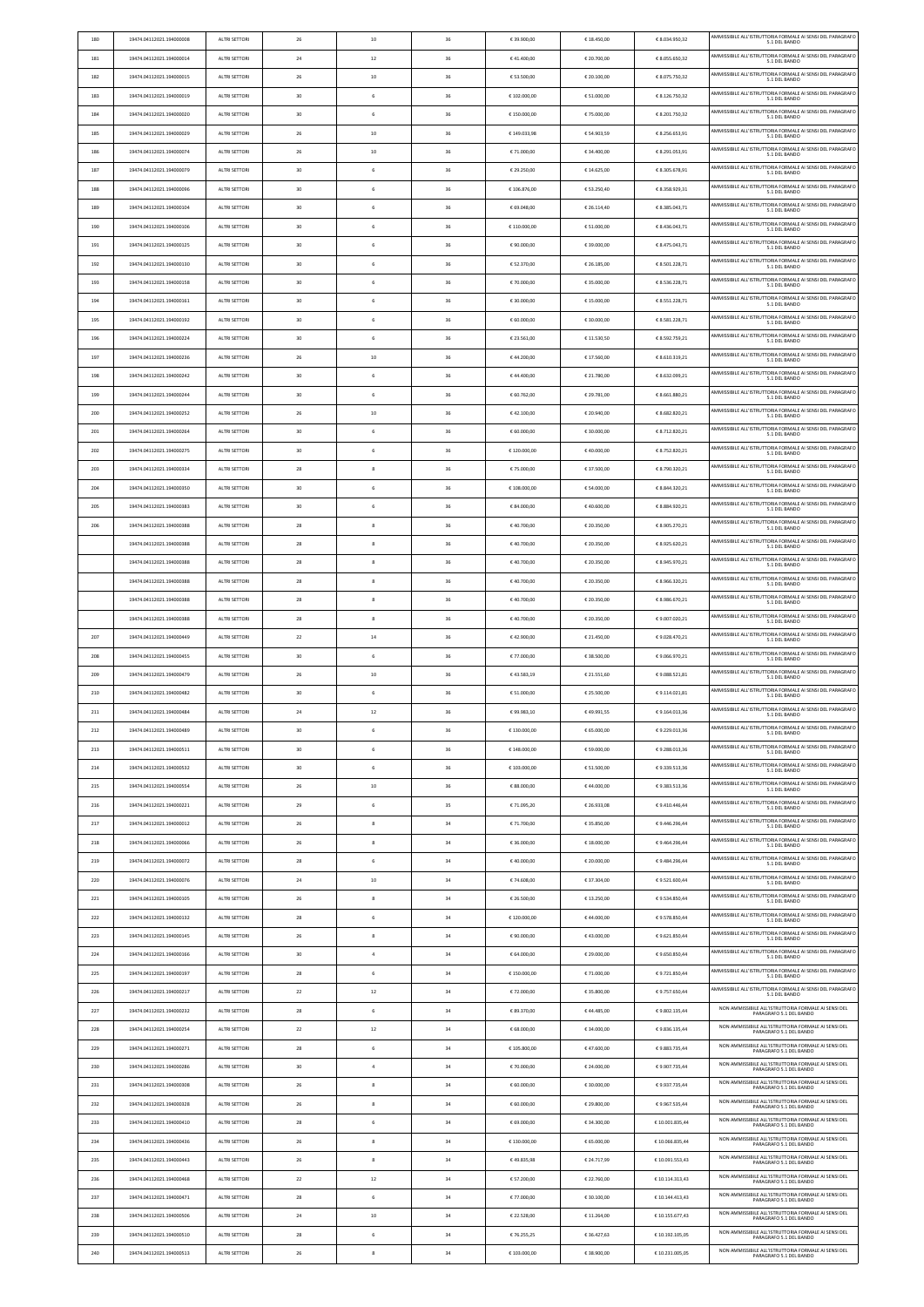| 180 | 19474.04112021.194000008 | ALTRI SETTORI        | 26 | 10             | 36 | € 39.900,00  | € 18.450,00 | € 8.034.950,32  | AMMISSIBILE ALL'ISTRUTTORIA FORMALE AI SENSI DEL PARAGRAFO<br>5.1 DEL BANDO     |
|-----|--------------------------|----------------------|----|----------------|----|--------------|-------------|-----------------|---------------------------------------------------------------------------------|
| 181 | 19474.04112021.194000014 | ALTRI SETTORI        | 24 | 12             | 36 | €41.400,00   | € 20.700,00 | € 8.055.650,32  | AMMISSIBILE ALL'ISTRUTTORIA FORMALE AI SENSI DEL PARAGRAFO<br>5.1 DEL BANDO     |
| 182 | 19474.04112021.194000015 | ALTRI SETTORI        | 26 | 10             | 36 | € 53.500,00  | € 20.100,00 | € 8.075.750,32  | AMMISSIBILE ALL'ISTRUTTORIA FORMALE AI SENSI DEL PARAGRAFO<br>5.1 DEL BANDO     |
| 183 | 19474.04112021.194000019 | ALTRI SETTORI        | 30 | 6              | 36 | € 102.000,00 | € 51.000,00 | € 8.126.750,32  | AMMISSIBILE ALL'ISTRUTTORIA FORMALE AI SENSI DEL PARAGRAFO                      |
| 184 | 19474.04112021.194000020 | ALTRI SETTORI        | 30 | 6              | 36 | €150.000,00  | €75.000,00  | € 8.201.750,32  | 5.1 DEL BANDO<br>AMMISSIBILE ALL'ISTRUTTORIA FORMALE AI SENSI DEL PARAGRAFO     |
|     |                          |                      |    |                |    |              |             |                 | 5.1 DEL BANDO<br>AMMISSIBILE ALL'ISTRUTTORIA FORMALE AI SENSI DEL PARAGRAFO     |
| 185 | 19474.04112021.194000029 | ALTRI SETTORI        | 26 | 10             | 36 | € 149.033,98 | € 54.903,59 | € 8.256.653,91  | 5.1 DEL BANDO<br>AMMISSIBILE ALL'ISTRUTTORIA FORMALE AI SENSI DEL PARAGRAFO     |
| 186 | 19474.04112021.194000074 | ALTRI SETTORI        | 26 | 10             | 36 | € 71.000,00  | € 34.400,00 | € 8.291.053,91  | 5.1 DEL BANDO                                                                   |
| 187 | 19474.04112021.194000079 | ALTRI SETTORI        | 30 | $\,$ 6 $\,$    | 36 | € 29.250,00  | € 14.625,00 | € 8.305.678,91  | AMMISSIBILE ALL'ISTRUTTORIA FORMALE AI SENSI DEL PARAGRAFO<br>5.1 DEL BANDO     |
| 188 | 19474.04112021.194000096 | ALTRI SETTORI        | 30 | 6              | 36 | €106.876,00  | € 53.250,40 | € 8.358.929,31  | AMMISSIBILE ALL'ISTRUTTORIA FORMALE AI SENSI DEL PARAGRAFO<br>5.1 DEL BANDO     |
| 189 | 19474.04112021.194000104 | ALTRI SETTORI        | 30 | $\,$ 6 $\,$    | 36 | € 69.048,00  | € 26.114,40 | € 8.385.043,71  | AMMISSIBILE ALL'ISTRUTTORIA FORMALE AI SENSI DEL PARAGRAFO<br>5.1 DEL BANDO     |
| 190 | 19474.04112021.194000106 | ALTRI SETTORI        | 30 | 6              | 36 | €110.000,00  | € 51.000,00 | € 8.436.043,71  | AMMISSIBILE ALL'ISTRUTTORIA FORMALE AI SENSI DEL PARAGRAFO<br>5.1 DEL BANDO     |
| 191 | 19474.04112021.194000125 | ALTRI SETTORI        | 30 | 6              | 36 | € 90.000,00  | € 39.000,00 | € 8.475.043,71  | AMMISSIBILE ALL'ISTRUTTORIA FORMALE AI SENSI DEL PARAGRAFO<br>5.1 DEL BANDO     |
| 192 | 19474.04112021.194000130 | ALTRI SETTORI        | 30 | 6              | 36 | € 52.370,00  | € 26.185,00 | € 8.501.228,71  | AMMISSIBILE ALL'ISTRUTTORIA FORMALE AI SENSI DEL PARAGRAFO<br>5.1 DEL BANDO     |
| 193 | 19474.04112021.194000158 | ALTRI SETTORI        | 30 | 6              | 36 | € 70.000,00  | € 35.000,00 | € 8.536.228,71  | AMMISSIBILE ALL'ISTRUTTORIA FORMALE AI SENSI DEL PARAGRAFO<br>5.1 DEL BANDO     |
| 194 | 19474.04112021.194000161 | ALTRI SETTORI        | 30 | 6              | 36 | € 30.000,00  | € 15.000,00 | € 8.551.228,71  | AMMISSIBILE ALL'ISTRUTTORIA FORMALE AI SENSI DEL PARAGRAFO<br>5.1 DEL BANDO     |
| 195 | 19474.04112021.194000192 | ALTRI SETTORI        | 30 | 6              | 36 | € 60.000,00  | € 30.000,00 | € 8.581.228,71  | AMMISSIBILE ALL'ISTRUTTORIA FORMALE AI SENSI DEL PARAGRAFO                      |
|     |                          |                      |    |                |    |              |             |                 | 5.1 DEL BANDO<br>AMMISSIBILE ALL'ISTRUTTORIA FORMALE AI SENSI DEL PARAGRAFO     |
| 196 | 19474.04112021.194000224 | ALTRI SETTORI        | 30 | $\,$ 6 $\,$    | 36 | € 23.561,00  | € 11.530,50 | € 8.592.759,21  | 5.1 DEL BANDO<br>AMMISSIBILE ALL'ISTRUTTORIA FORMALE AI SENSI DEL PARAGRAFO     |
| 197 | 19474.04112021.194000236 | ALTRI SETTORI        | 26 | 10             | 36 | €44.200,00   | € 17.560,00 | € 8.610.319,21  | 5.1 DEL BANDO                                                                   |
| 198 | 19474.04112021.194000242 | ALTRI SETTORI        | 30 | 6              | 36 | €44.400,00   | € 21.780,00 | € 8.632.099,21  | AMMISSIBILE ALL'ISTRUTTORIA FORMALE AI SENSI DEL PARAGRAFO<br>5.1 DEL BANDO     |
| 199 | 19474.04112021.194000244 | ALTRI SETTORI        | 30 | 6              | 36 | € 60.762,00  | € 29.781,00 | € 8.661.880,21  | AMMISSIBILE ALL'ISTRUTTORIA FORMALE AI SENSI DEL PARAGRAFO<br>5.1 DEL BANDO     |
| 200 | 19474.04112021.194000252 | <b>ALTRI SETTORI</b> | 26 | 10             | 36 | €42.100,00   | € 20.940,00 | € 8.682.820,21  | AMMISSIBILE ALL'ISTRUTTORIA FORMALE AI SENSI DEL PARAGRAFO<br>5.1 DEL BANDO     |
| 201 | 19474.04112021.194000264 | ALTRI SETTORI        | 30 | 6              | 36 | € 60.000,00  | € 30.000,00 | € 8.712.820,21  | AMMISSIBILE ALL'ISTRUTTORIA FORMALE AI SENSI DEL PARAGRAFO<br>5.1 DEL BANDO     |
| 202 | 19474.04112021.194000275 | ALTRI SETTORI        | 30 | 6              | 36 | €120.000,00  | €40.000,00  | € 8.752.820,21  | AMMISSIBILE ALL'ISTRUTTORIA FORMALE AI SENSI DEL PARAGRAFO<br>5.1 DEL BANDO     |
| 203 | 19474.04112021.194000334 | ALTRI SETTORI        | 28 | 8              | 36 | € 75.000,00  | € 37.500,00 | € 8.790.320,21  | AMMISSIBILE ALL'ISTRUTTORIA FORMALE AI SENSI DEL PARAGRAFO<br>5.1 DEL BANDO     |
| 204 | 19474.04112021.194000350 | ALTRI SETTORI        | 30 | 6              | 36 | € 108.000,00 | € 54.000,00 | € 8.844.320,21  | AMMISSIBILE ALL'ISTRUTTORIA FORMALE AI SENSI DEL PARAGRAFO                      |
| 205 | 19474.04112021.194000383 | ALTRI SETTORI        | 30 | $\,$ 6 $\,$    | 36 | € 84.000,00  | €40.600,00  | € 8.884.920,21  | 5.1 DEL BANDO<br>AMMISSIBILE ALL'ISTRUTTORIA FORMALE AI SENSI DEL PARAGRAFO     |
|     |                          |                      |    |                |    |              |             |                 | 5.1 DEL BANDO<br>AMMISSIBILE ALL'ISTRUTTORIA FORMALE AI SENSI DEL PARAGRAFO     |
| 206 | 19474.04112021.194000388 | ALTRI SETTORI        | 28 | 8              | 36 | €40.700,00   | € 20.350,00 | € 8.905.270,21  | 5.1 DEL BANDO                                                                   |
|     | 19474.04112021.194000388 | ALTRI SETTORI        | 28 | 8              | 36 | €40.700,00   | € 20.350,00 | € 8.925.620,21  | AMMISSIBILE ALL'ISTRUTTORIA FORMALE AI SENSI DEL PARAGRAFO<br>5.1 DEL BANDO     |
|     | 19474.04112021.194000388 | ALTRI SETTORI        | 28 | 8              | 36 | €40.700,00   | € 20.350,00 | € 8.945.970,21  | AMMISSIBILE ALL'ISTRUTTORIA FORMALE AI SENSI DEL PARAGRAFO<br>5.1 DEL BANDO     |
|     | 19474.04112021.194000388 | ALTRI SETTORI        | 28 | 8              | 36 | €40.700,00   | € 20.350,00 | € 8.966.320,21  | AMMISSIBILE ALL'ISTRUTTORIA FORMALE AI SENSI DEL PARAGRAFO<br>5.1 DEL BANDO     |
|     | 19474.04112021.194000388 | ALTRI SETTORI        | 28 | 8              | 36 | €40.700,00   | € 20.350,00 | € 8.986.670,21  | AMMISSIBILE ALL'ISTRUTTORIA FORMALE AI SENSI DEL PARAGRAFO<br>5.1 DEL BANDO     |
|     | 19474.04112021.194000388 | ALTRI SETTORI        | 28 | 8              | 36 | €40.700,00   | € 20.350,00 | € 9.007.020,21  | AMMISSIBILE ALL'ISTRUTTORIA FORMALE AI SENSI DEL PARAGRAFO<br>5.1 DEL BANDO     |
| 207 | 19474.04112021.194000449 | ALTRI SETTORI        | 22 | 14             | 36 |              | € 21.450,00 |                 | AMMISSIBILE ALL'ISTRUTTORIA FORMALE AI SENSI DEL PARAGRAFO                      |
|     |                          |                      |    |                |    | €42.900,00   |             | €9.028.470,21   | 5.1 DEL BANDO                                                                   |
| 208 | 19474.04112021.194000455 | ALTRI SETTORI        | 30 | 6              | 36 | € 77.000,00  | € 38.500,00 | €9.066.970,21   | AMMISSIBILE ALL'ISTRUTTORIA FORMALE AI SENSI DEL PARAGRAFO<br>5.1 DEL BANDO     |
| 209 | 19474.04112021.194000479 | ALTRI SETTORI        | 26 | 10             | 36 | €43.583,19   | € 21.551,60 | €9.088.521,81   | AMMISSIBILE ALL'ISTRUTTORIA FORMALE AI SENSI DEL PARAGRAFO                      |
| 210 | 19474.04112021.194000482 |                      | 30 | 6              | 36 |              | € 25.500,00 |                 | 5.1 DEL BANDO<br>AMMISSIBILE ALL'ISTRUTTORIA FORMALE AI SENSI DEL PARAGRAFO     |
|     |                          | ALTRI SETTORI        |    |                |    | € 51.000,00  |             | €9.114.021,81   | 5.1 DEL BANDO<br>AMMISSIBILE ALL'ISTRUTTORIA FORMALE AI SENSI DEL PARAGRAFO     |
| 211 | 19474.04112021.194000484 | ALTRI SETTORI        | 24 | 12             | 36 | €99.983,10   | €49.991,55  | € 9.164.013,36  | 5.1 DEL BANDO<br>AMMISSIBILE ALL'ISTRUTTORIA FORMALE AI SENSI DEL PARAGRAFO     |
| 212 | 19474.04112021.194000489 | ALTRI SETTORI        | 30 | 6              | 36 | € 130.000,00 | € 65.000,00 | €9.229.013,36   | 5.1 DEL BANDO                                                                   |
| 213 | 19474.04112021.194000511 | <b>ALTRI SETTORI</b> | 30 | 6              | 36 | €148.000,00  | € 59.000,00 | €9.288.013,36   | AMMISSIBILE ALL'ISTRUTTORIA FORMALE AI SENSI DEL PARAGRAFO<br>5.1 DEL BANDO     |
| 214 | 19474.04112021.194000532 | ALTRI SETTORI        | 30 | 6              | 36 | €103.000,00  | € 51.500,00 | €9.339.513,36   | AMMISSIBILE ALL'ISTRUTTORIA FORMALE AI SENSI DEL PARAGRAFO<br>5.1 DEL BANDO     |
| 215 | 19474.04112021.194000554 | ALTRI SETTORI        | 26 | 10             | 36 | € 88.000,00  | €44.000,00  | €9.383.513,36   | AMMISSIBILE ALL'ISTRUTTORIA FORMALE AI SENSI DEL PARAGRAFO<br>5.1 DEL BANDO     |
| 216 | 19474.04112021.194000221 | ALTRI SETTORI        | 29 | 6              | 35 | € 71.095,20  | € 26.933,08 | €9.410.446,44   | AMMISSIBILE ALL'ISTRUTTORIA FORMALE AI SENSI DEL PARAGRAFO<br>5.1 DEL BANDO     |
| 217 | 19474.04112021.194000012 | ALTRI SETTORI        | 26 | 8              | 34 | € 71.700,00  | € 35.850,00 | €9.446.296,44   | AMMISSIBILE ALL'ISTRUTTORIA FORMALE AI SENSI DEL PARAGRAFO<br>5.1 DEL BANDO     |
| 218 | 19474.04112021.194000066 | ALTRI SETTORI        | 26 | 8              | 34 | € 36.000,00  | € 18.000,00 | €9.464.296,44   | AMMISSIBILE ALL'ISTRUTTORIA FORMALE AI SENSI DEL PARAGRAFO<br>5.1 DEL BANDO     |
| 219 | 19474.04112021.194000072 | ALTRI SETTORI        | 28 | 6              | 34 | €40.000,00   | € 20.000,00 | €9.484.296,44   | AMMISSIBILE ALL'ISTRUTTORIA FORMALE AI SENSI DEL PARAGRAFO<br>5.1 DEL BANDO     |
| 220 | 19474.04112021.194000076 | ALTRI SETTORI        | 24 | 10             | 34 | € 74.608,00  | € 37.304,00 | € 9.521.600,44  | AMMISSIBILE ALL'ISTRUTTORIA FORMALE AI SENSI DEL PARAGRAFO                      |
| 221 | 19474.04112021.194000105 | ALTRI SETTORI        | 26 | 8              | 34 | € 26.500,00  | € 13.250,00 | €9.534.850,44   | 5.1 DEL BANDO<br>AMMISSIBILE ALL'ISTRUTTORIA FORMALE AI SENSI DEL PARAGRAFO     |
|     |                          |                      |    |                |    |              |             |                 | 5.1 DEL BANDO<br>AMMISSIBILE ALL'ISTRUTTORIA FORMALE AI SENSI DEL PARAGRAFO     |
| 222 | 19474.04112021.194000132 | ALTRI SETTORI        | 28 | 6              | 34 | €120.000,00  | €44.000,00  | €9.578.850,44   | 5.1 DEL BANDO<br>AMMISSIBILE ALL'ISTRUTTORIA FORMALE AI SENSI DEL PARAGRAFO     |
| 223 | 19474.04112021.194000145 | ALTRI SETTORI        | 26 | 8              | 34 | € 90.000,00  | €43.000,00  | €9.621.850,44   | 5.1 DEL BANDO                                                                   |
| 224 | 19474.04112021.194000166 | ALTRI SETTORI        | 30 | $\overline{4}$ | 34 | € 64.000,00  | € 29.000,00 | €9.650.850,44   | AMMISSIBILE ALL'ISTRUTTORIA FORMALE AI SENSI DEL PARAGRAFO<br>5.1 DEL BANDO     |
| 225 | 19474.04112021.194000197 | ALTRI SETTORI        | 28 | 6              | 34 | €150.000,00  | € 71.000,00 | € 9.721.850,44  | AMMISSIBILE ALL'ISTRUTTORIA FORMALE AI SENSI DEL PARAGRAFO<br>5.1 DEL BANDO     |
| 226 | 19474.04112021.194000217 | ALTRI SETTORI        | 22 | 12             | 34 | €72.000,00   | € 35.800,00 | €9.757.650,44   | AMMISSIBILE ALL'ISTRUTTORIA FORMALE AI SENSI DEL PARAGRAFO<br>5.1 DEL BANDO     |
| 227 | 19474.04112021.194000232 | ALTRI SETTORI        | 28 | 6              | 34 | € 89.370,00  | €44.485,00  | € 9.802.135,44  | NON AMMISSIBILE ALL'ISTRUTTORIA FORMALE AI SENSI DEL<br>PARAGRAFO 5.1 DEL BANDO |
| 228 | 19474.04112021.194000254 | ALTRI SETTORI        | 22 | 12             | 34 | € 68.000,00  | € 34.000,00 | € 9.836.135.44  | NON AMMISSIBILE ALL'ISTRUTTORIA FORMALE AI SENSI DEL<br>PARAGRAFO 5.1 DEL BANDO |
| 229 | 19474.04112021.194000271 | ALTRI SETTORI        | 28 | 6              | 34 | € 105.800,00 | €47.600,00  | €9.883.735,44   | NON AMMISSIBILE ALL'ISTRUTTORIA FORMALE AI SENSI DEL<br>PARAGRAFO 5.1 DEL BANDO |
| 230 | 19474.04112021.194000286 | ALTRI SETTORI        | 30 | $\overline{4}$ | 34 | € 70.000,00  | € 24.000,00 | € 9.907.735,44  | NON AMMISSIBILE ALL'ISTRUTTORIA FORMALE AI SENSI DEL<br>PARAGRAFO 5.1 DEL BANDO |
| 231 | 19474.04112021.194000308 | ALTRI SETTORI        | 26 | 8              | 34 | € 60.000,00  | € 30.000,00 | €9.937.735,44   | NON AMMISSIBILE ALL'ISTRUTTORIA FORMALE AI SENSI DEL                            |
| 232 |                          |                      |    |                |    |              |             |                 | PARAGRAFO 5.1 DEL BANDO<br>NON AMMISSIBILE ALL'ISTRUTTORIA FORMALE AI SENSI DEL |
|     | 19474.04112021.194000328 | ALTRI SETTORI        | 26 | 8              | 34 | € 60.000,00  | € 29.800,00 | €9.967.535,44   | PARAGRAFO 5.1 DEL BANDO<br>NON AMMISSIBILE ALL'ISTRUTTORIA FORMALE AI SENSI DEL |
| 233 | 19474.04112021.194000410 | ALTRI SETTORI        | 28 | 6              | 34 | € 69.000,00  | € 34.300,00 | € 10.001.835,44 | PARAGRAFO 5.1 DEL BANDO                                                         |
| 234 | 19474.04112021.194000436 | ALTRI SETTORI        | 26 | 8              | 34 | €130.000,00  | € 65.000,00 | € 10.066.835,44 | NON AMMISSIBILE ALL'ISTRUTTORIA FORMALE AI SENSI DEL<br>PARAGRAFO 5.1 DEL BANDO |
| 235 | 19474.04112021.194000443 | ALTRI SETTORI        | 26 | 8              | 34 | €49.835,98   | € 24.717,99 | € 10.091.553,43 | NON AMMISSIBILE ALL'ISTRUTTORIA FORMALE AI SENSI DEL<br>PARAGRAFO 5.1 DEL BANDO |
| 236 | 19474.04112021.194000468 | ALTRI SETTORI        | 22 | 12             | 34 | € 57.200,00  | € 22.760,00 | € 10.114.313,43 | NON AMMISSIBILE ALL'ISTRUTTORIA FORMALE AI SENSI DEL<br>PARAGRAFO 5.1 DEL BANDO |
| 237 | 19474.04112021.194000471 | ALTRI SETTORI        | 28 | 6              | 34 | € 77.000,00  | € 30.100,00 | € 10.144.413,43 | NON AMMISSIBILE ALL'ISTRUTTORIA FORMALE AI SENSI DEL<br>PARAGRAFO 5.1 DEL BANDO |
| 238 | 19474.04112021.194000506 | ALTRI SETTORI        | 24 | 10             | 34 | € 22.528,00  | € 11.264,00 | € 10.155.677,43 | NON AMMISSIBILE ALL'ISTRUTTORIA FORMALE AI SENSI DEL<br>PARAGRAFO 5.1 DEL BANDO |
| 239 | 19474.04112021.194000510 | ALTRI SETTORI        | 28 | 6              | 34 | €76.255,25   | € 36.427,63 | € 10.192.105,05 | NON AMMISSIBILE ALL'ISTRUTTORIA FORMALE AI SENSI DEL<br>PARAGRAFO 5.1 DEL BANDO |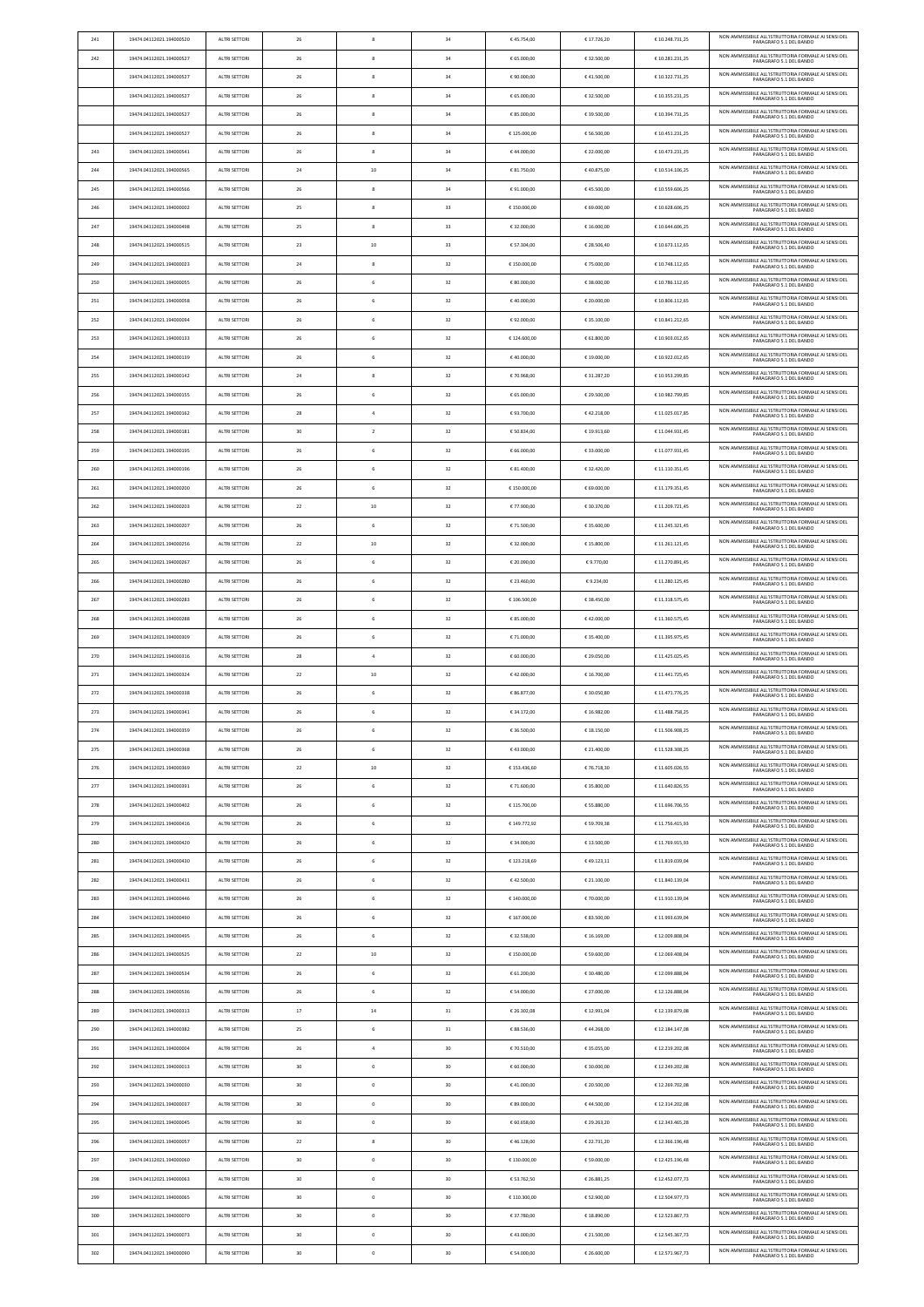| NON AMMISSIBILE ALL'ISTRUTTORIA FORMALE AI SENSI DEL<br>242<br>19474.04112021.194000527<br>ALTRI SETTORI<br>26<br>8<br>34<br>€ 65.000,00<br>€ 32.500,00<br>€10.281.231,25<br>PARAGRAFO 5.1 DEL BANDO<br>NON AMMISSIBILE ALL'ISTRUTTORIA FORMALE AI SENSI DEL<br>19474.04112021.194000527<br>ALTRI SETTORI<br>26<br>34<br>€ 90.000,00<br>€41.500,00<br>€ 10.322.731,25<br>8<br>PARAGRAFO 5.1 DEL BANDO<br>NON AMMISSIBILE ALL'ISTRUTTORIA FORMALE AI SENSI DEL<br>19474.04112021.194000527<br>ALTRI SETTORI<br>26<br>8<br>34<br>€ 65.000,00<br>€ 32.500,00<br>€ 10.355.231,25<br>PARAGRAFO 5.1 DEL BANDO<br>NON AMMISSIBILE ALL'ISTRUTTORIA FORMALE AI SENSI DEL<br>19474.04112021.194000527<br>ALTRI SETTORI<br>26<br>8<br>34<br>€ 85.000,00<br>€ 39.500,00<br>€10.394.731,25<br>PARAGRAFO 5.1 DEL BANDO<br>NON AMMISSIBILE ALL'ISTRUTTORIA FORMALE AI SENSI DEL<br>34<br>19474.04112021.194000527<br>ALTRI SETTORI<br>26<br>8<br>€125.000,00<br>€ 56.500,00<br>€10.451.231,25<br>PARAGRAFO 5.1 DEL BANDO<br>NON AMMISSIBILE ALL'ISTRUTTORIA FORMALE AI SENSI DEL<br>243<br>19474.04112021.194000541<br>ALTRI SETTORI<br>26<br>8<br>34<br>€44.000,00<br>€ 22.000,00<br>€10.473.231,25<br>PARAGRAFO 5.1 DEL BANDO<br>NON AMMISSIBILE ALL'ISTRUTTORIA FORMALE AI SENSI DEL<br>244<br>19474.04112021.194000565<br>ALTRI SETTORI<br>24<br>10<br>34<br>€ 81.750,00<br>€40.875,00<br>€10.514.106,25<br>PARAGRAFO 5.1 DEL BANDO<br>NON AMMISSIBILE ALL'ISTRUTTORIA FORMALE AI SENSI DEL<br>245<br>19474.04112021.194000566<br>ALTRI SETTORI<br>26<br>34<br>€ 91.000,00<br>€45.500,00<br>€10.559.606,25<br>8<br>PARAGRAFO 5.1 DEL BANDO<br>NON AMMISSIBILE ALL'ISTRUTTORIA FORMALE AI SENSI DEL<br>246<br>19474.04112021.194000002<br>ALTRI SETTORI<br>25<br>8<br>33<br>€150.000,00<br>€ 69.000,00<br>€10.628.606,25<br>PARAGRAFO 5.1 DEL BANDO<br>NON AMMISSIBILE ALL'ISTRUTTORIA FORMALE AI SENSI DEL<br>33<br>247<br>19474.04112021.194000498<br>ALTRI SETTORI<br>25<br>8<br>€ 32.000,00<br>€ 16.000,00<br>€10.644.606,25<br>PARAGRAFO 5.1 DEL BANDO<br>NON AMMISSIBILE ALL'ISTRUTTORIA FORMALE AI SENSI DEL<br>33<br>248<br>19474.04112021.194000515<br>ALTRI SETTORI<br>23<br>10<br>€ 57.304,00<br>€ 28.506,40<br>€ 10.673.112,65<br>PARAGRAFO 5.1 DEL BANDO<br>NON AMMISSIBILE ALL'ISTRUTTORIA FORMALE AI SENSI DEL<br>249<br>19474.04112021.194000023<br>ALTRI SETTORI<br>24<br>8<br>32<br>€150.000,00<br>€ 75.000,00<br>€ 10.748.112,65<br>PARAGRAFO 5.1 DEL BANDO<br>NON AMMISSIBILE ALL'ISTRUTTORIA FORMALE AI SENSI DEL<br>32<br>250<br>19474.04112021.194000055<br>ALTRI SETTORI<br>26<br>6<br>€ 80.000,00<br>€ 38.000,00<br>€ 10.786.112,65<br>PARAGRAFO 5.1 DEL BANDO<br>NON AMMISSIBILE ALL'ISTRUTTORIA FORMALE AI SENSI DEL<br>32<br>251<br>19474.04112021.194000058<br>ALTRI SETTORI<br>26<br>$\,$ 6<br>€40.000,00<br>€ 20.000,00<br>€ 10.806.112,65<br>PARAGRAFO 5.1 DEL BANDO<br>NON AMMISSIBILE ALL'ISTRUTTORIA FORMALE AI SENSI DEL<br>252<br>19474.04112021.194000094<br>ALTRI SETTORI<br>26<br>$\,$ 6<br>32<br>€92.000,00<br>€ 35.100,00<br>€ 10.841.212,65<br>PARAGRAFO 5.1 DEL BANDO<br>NON AMMISSIBILE ALL'ISTRUTTORIA FORMALE AI SENSI DEL<br>32<br>253<br>19474.04112021.194000133<br>ALTRI SETTORI<br>26<br>6<br>€124.600.00<br>€ 61.800,00<br>€ 10.903.012,65<br>PARAGRAFO 5.1 DEL BANDO<br>NON AMMISSIBILE ALL'ISTRUTTORIA FORMALE AI SENSI DEL<br>32<br>26<br>$\,$ 6<br>€ 19.000,00<br>€ 10.922.012,65<br>254<br>19474.04112021.194000139<br>ALTRI SETTORI<br>€40.000,00<br>PARAGRAFO 5.1 DEL BANDO<br>NON AMMISSIBILE ALL'ISTRUTTORIA FORMALE AI SENSI DEL<br>255<br>19474.04112021.194000142<br>ALTRI SETTORI<br>24<br>8<br>32<br>€ 70.968,00<br>€ 31.287,20<br>€ 10.953.299,85<br>PARAGRAFO 5.1 DEL BANDO<br>NON AMMISSIBILE ALL'ISTRUTTORIA FORMALE AI SENSI DEL<br>32<br>256<br>19474.04112021.194000155<br>ALTRI SETTORI<br>26<br>6<br>€ 65.000,00<br>€ 29.500,00<br>€ 10.982.799,85<br>PARAGRAFO 5.1 DEL BANDO<br>NON AMMISSIBILE ALL'ISTRUTTORIA FORMALE AI SENSI DEL<br>257<br>32<br>19474.04112021.194000162<br>ALTRI SETTORI<br>28<br>$\overline{4}$<br>€93.700,00<br>€42.218,00<br>€ 11.025.017,85<br>PARAGRAFO 5.1 DEL BANDO<br>NON AMMISSIBILE ALL'ISTRUTTORIA FORMALE AI SENSI DEL<br>258<br>19474.04112021.194000181<br>ALTRI SETTORI<br>30<br>$\overline{2}$<br>32<br>€ 50.834,00<br>€ 19.913,60<br>€11.044.931,45<br>PARAGRAFO 5.1 DEL BANDO<br>NON AMMISSIBILE ALL'ISTRUTTORIA FORMALE AI SENSI DEL<br>32<br>259<br>19474.04112021.194000195<br>ALTRI SETTORI<br>26<br>6<br>€ 66.000,00<br>€ 33.000,00<br>€ 11.077.931,45<br>PARAGRAFO 5.1 DEL BANDO<br>NON AMMISSIBILE ALL'ISTRUTTORIA FORMALE AI SENSI DEL<br>26<br>$\,$ 6<br>32<br>€ 32.420,00<br>260<br>19474.04112021.194000196<br>ALTRI SETTORI<br>€ 81.400,00<br>€ 11.110.351,45<br>PARAGRAFO 5.1 DEL BANDO<br>NON AMMISSIBILE ALL'ISTRUTTORIA FORMALE AI SENSI DEL<br>19474.04112021.194000200<br>ALTRI SETTORI<br>26<br>6<br>32<br>€150.000,00<br>€ 69.000,00<br>€ 11.179.351,45<br>261<br>PARAGRAFO 5.1 DEL BANDO<br>NON AMMISSIBILE ALL'ISTRUTTORIA FORMALE AI SENSI DEL<br>22<br>32<br>262<br>19474.04112021.194000203<br>ALTRI SETTORI<br>10<br>€ 77.900,00<br>€ 30.370,00<br>€ 11.209.721,45<br>PARAGRAFO 5.1 DEL BANDO<br>NON AMMISSIBILE ALL'ISTRUTTORIA FORMALE AI SENSI DEL<br>263<br>26<br>32<br>€ 71.500,00<br>€ 11.245.321,45<br>19474.04112021.194000207<br>ALTRI SETTORI<br>6<br>€ 35.600,00<br>PARAGRAFO 5.1 DEL BANDO<br>NON AMMISSIBILE ALL'ISTRUTTORIA FORMALE AI SENSI DEL<br>22<br>32<br>264<br>19474.04112021.194000256<br>ALTRI SETTORI<br>10<br>€ 32.000,00<br>€ 15.800,00<br>€ 11.261.121,45<br>PARAGRAFO 5.1 DEL BANDO<br>NON AMMISSIBILE ALL'ISTRUTTORIA FORMALE AI SENSI DEL<br>32<br>265<br>19474.04112021.194000267<br>ALTRI SETTORI<br>26<br>6<br>€ 20.090,00<br>€ 9.770,00<br>€11.270.891,45<br>PARAGRAFO 5.1 DEL BANDO<br>NON AMMISSIBILE ALL'ISTRUTTORIA FORMALE AI SENSI DEL<br>26<br>$\,$ 6<br>32<br>€ 23.460,00<br>€ 11.280.125,45<br>266<br>19474.04112021.194000280<br>ALTRI SETTORI<br>€9.234,00<br>PARAGRAFO 5.1 DEL BANDO<br>NON AMMISSIBILE ALL'ISTRUTTORIA FORMALE AI SENSI DEL<br>267<br>19474.04112021.194000283<br>ALTRI SETTORI<br>26<br>$\,$ 6<br>32<br>€ 106.500,00<br>€ 38.450,00<br>€ 11.318.575,45<br>PARAGRAFO 5.1 DEL BANDO<br>NON AMMISSIBILE ALL'ISTRUTTORIA FORMALE AI SENSI DEL<br>32<br>268<br>19474.04112021.194000288<br>ALTRI SETTORI<br>26<br>6<br>€ 85.000,00<br>€42.000,00<br>€ 11.360.575,45<br>PARAGRAFO 5.1 DEL BANDO<br>NON AMMISSIBILE ALL'ISTRUTTORIA FORMALE AI SENSI DEL<br>32<br>269<br>26<br>$\,$ 6<br>€ 11.395.975,45<br>19474.04112021.194000309<br>ALTRI SETTORI<br>€ 71.000,00<br>€ 35.400,00<br>PARAGRAFO 5.1 DEL BANDO<br>NON AMMISSIBILE ALL'ISTRUTTORIA FORMALE AI SENSI DEL<br>270<br>19474.04112021.194000316<br>ALTRI SETTORI<br>28<br>$\overline{4}$<br>32<br>€ 60.000,00<br>€ 29.050,00<br>€ 11.425.025,45<br>PARAGRAFO 5.1 DEL BANDO<br>NON AMMISSIBILE ALL'ISTRUTTORIA FORMALE AI SENSI DEL<br>22<br>32<br>271<br>19474.04112021.194000324<br>ALTRI SETTORI<br>10<br>€42.000,00<br>€ 16.700,00<br>€ 11.441.725,45<br>PARAGRAFO 5.1 DEL BANDO<br>NON AMMISSIBILE ALL'ISTRUTTORIA FORMALE AI SENSI DEL<br>32<br>272<br>19474.04112021.194000338<br>ALTRI SETTORI<br>26<br>6<br>€ 86.877,00<br>€ 30.050,80<br>€ 11.471.776,25<br>PARAGRAFO 5.1 DEL BANDO<br>NON AMMISSIBILE ALL'ISTRUTTORIA FORMALE AI SENSI DEL<br>273<br>19474.04112021.194000341<br>ALTRI SETTORI<br>26<br>$\,$ 6<br>32<br>€ 34.172,00<br>€ 16.982,00<br>€11.488.758,25<br>PARAGRAFO 5.1 DEL BANDO<br>NON AMMISSIBILE ALL'ISTRUTTORIA FORMALE AI SENSI DEL<br>32<br>274<br>19474.04112021.194000359<br>ALTRI SETTORI<br>26<br>$\,$ 6<br>€ 36.500,00<br>€ 18.150,00<br>€11.506.908,25<br>PARAGRAFO 5.1 DEL BANDO<br>NON AMMISSIBILE ALL'ISTRUTTORIA FORMALE AI SENSI DEL<br>32<br>275<br>19474.04112021.194000368<br>ALTRI SETTORI<br>26<br>$\,$ 6<br>€43.000,00<br>€ 21.400,00<br>€11.528.308,25<br>PARAGRAFO 5.1 DEL BANDO<br>NON AMMISSIBILE ALL'ISTRUTTORIA FORMALE AI SENSI DEL<br>276<br>19474.04112021.194000369<br>ALTRI SETTORI<br>22<br>10<br>32<br>€ 153.436,60<br>€ 76.718,30<br>€11.605.026,55<br>PARAGRAFO 5.1 DEL BANDO<br>NON AMMISSIBILE ALL'ISTRUTTORIA FORMALE AI SENSI DEL<br>32<br>277<br>19474.04112021.194000391<br>ALTRI SETTORI<br>26<br>6<br>€ 71.600,00<br>€ 35.800,00<br>€11.640.826,55<br>PARAGRAFO 5.1 DEL BANDO<br>NON AMMISSIBILE ALL'ISTRUTTORIA FORMALE AI SENSI DEL<br>32<br>278<br>19474.04112021.194000402<br>ALTRI SETTORI<br>26<br>6<br>€115.700,00<br>€ 55.880,00<br>€ 11.696.706,55<br>PARAGRAFO 5.1 DEL BANDO<br>NON AMMISSIBILE ALL'ISTRUTTORIA FORMALE AI SENSI DEL<br>32<br>279<br>19474.04112021.194000416<br>ALTRI SETTORI<br>26<br>6<br>€ 149.772,92<br>€ 59.709,38<br>€11.756.415,93<br>PARAGRAFO 5.1 DEL BANDO<br>NON AMMISSIBILE ALL'ISTRUTTORIA FORMALE AI SENSI DEL<br>32<br>280<br>19474.04112021.194000420<br>ALTRI SETTORI<br>26<br>$\,$ 6<br>€ 34.000,00<br>€ 13.500,00<br>€11.769.915,93<br>PARAGRAFO 5.1 DEL BANDO<br>NON AMMISSIBILE ALL'ISTRUTTORIA FORMALE AI SENSI DEL<br>32<br>281<br>19474.04112021.194000430<br>26<br>$\,$ 6<br>€123.218,69<br>€49.123,11<br>€ 11.819.039,04<br>ALTRI SETTORI<br>PARAGRAFO 5.1 DEL BANDO<br>NON AMMISSIBILE ALL'ISTRUTTORIA FORMALE AI SENSI DEL<br>32<br>282<br>19474.04112021.194000431<br>ALTRI SETTORI<br>26<br>6<br>€42.500,00<br>€ 21.100,00<br>€ 11.840.139,04<br>PARAGRAFO 5.1 DEL BANDO<br>NON AMMISSIBILE ALL'ISTRUTTORIA FORMALE AI SENSI DEL<br>283<br>19474.04112021.194000446<br>ALTRI SETTORI<br>26<br>6<br>32<br>€140.000,00<br>€ 11.910.139,04<br>€ 70.000,00<br>PARAGRAFO 5.1 DEL BANDO<br>NON AMMISSIBILE ALL'ISTRUTTORIA FORMALE AI SENSI DEL<br>32<br>26<br>$\,$ 6<br>284<br>19474.04112021.194000490<br>ALTRI SETTORI<br>€167.000,00<br>€ 83.500,00<br>€ 11.993.639,04<br>PARAGRAFO 5.1 DEL BANDO<br>NON AMMISSIBILE ALL'ISTRUTTORIA FORMALE AI SENSI DEL<br>32<br>285<br>19474.04112021.194000495<br>ALTRI SETTORI<br>26<br>6<br>€ 32.538,00<br>€ 16.169,00<br>€12.009.808,04<br>PARAGRAFO 5.1 DEL BANDO<br>NON AMMISSIBILE ALL'ISTRUTTORIA FORMALE AI SENSI DEL<br>22<br>32<br>286<br>19474.04112021.194000525<br>ALTRI SETTORI<br>10<br>€150.000,00<br>€ 59.600,00<br>€ 12.069.408,04<br>PARAGRAFO 5.1 DEL BANDO<br>NON AMMISSIBILE ALL'ISTRUTTORIA FORMALE AI SENSI DEL<br>287<br>19474.04112021.194000534<br>ALTRI SETTORI<br>$\,$ 6<br>32<br>€ 61.200,00<br>€ 30.480,00<br>€ 12.099.888,04<br>26<br>PARAGRAFO 5.1 DEL BANDO<br>NON AMMISSIBILE ALL'ISTRUTTORIA FORMALE AI SENSI DEL<br>32<br>288<br>19474.04112021.194000536<br>ALTRI SETTORI<br>26<br>6<br>€ 54.000,00<br>€ 27.000,00<br>€ 12.126.888,04<br>PARAGRAFO 5.1 DEL BANDO<br>NON AMMISSIBILE ALL'ISTRUTTORIA FORMALE AI SENSI DEL<br>17<br>289<br>19474.04112021.194000313<br><b>ALTRI SETTORI</b><br>14<br>31<br>€ 26.302,08<br>€ 12.991,04<br>€12.139.879.08<br>PARAGRAEO 5.1 DEL RANDO<br>NON AMMISSIBILE ALL'ISTRUTTORIA FORMALE AI SENSI DEL<br>ALTRI SETTORI<br>25<br>$\,$ 6<br>31<br>€ 88.536,00<br>€44.268,00<br>€ 12.184.147,08<br>290<br>19474.04112021.194000382<br>PARAGRAFO 5.1 DEL BANDO<br>NON AMMISSIBILE ALL'ISTRUTTORIA FORMALE AI SENSI DEL<br>291<br>19474.04112021.194000004<br>ALTRI SETTORI<br>26<br>$\overline{4}$<br>30<br>€ 70.510,00<br>€ 35.055,00<br>€12.219.202,08<br>PARAGRAFO 5.1 DEL BANDO<br>NON AMMISSIBILE ALL'ISTRUTTORIA FORMALE AI SENSI DEL<br>30<br>30<br>292<br>19474.04112021.194000013<br>ALTRI SETTORI<br>$\circ$<br>€ 60.000,00<br>€ 30.000,00<br>€12.249.202,08<br>PARAGRAFO 5.1 DEL BANDO<br>NON AMMISSIBILE ALL'ISTRUTTORIA FORMALE AI SENSI DEL<br>293<br>19474.04112021.194000030<br>ALTRI SETTORI<br>30<br>$\mathbb O$<br>30<br>€41.000,00<br>€ 20.500,00<br>€12.269.702,08<br>PARAGRAFO 5.1 DEL BANDO<br>NON AMMISSIBILE ALL'ISTRUTTORIA FORMALE AI SENSI DEL<br>30<br>30<br>294<br>19474.04112021.194000037<br>ALTRI SETTORI<br>$\mathbf 0$<br>€ 89.000,00<br>€44.500,00<br>€12.314.202,08<br>PARAGRAFO 5.1 DEL BANDO<br>NON AMMISSIBILE ALL'ISTRUTTORIA FORMALE AI SENSI DEL<br>295<br>19474.04112021.194000045<br>ALTRI SETTORI<br>30<br>$\mathbb O$<br>30<br>€ 60.658,00<br>€ 29.263,20<br>€12.343.465,28<br>PARAGRAFO 5.1 DEL BANDO<br>NON AMMISSIBILE ALL'ISTRUTTORIA FORMALE AI SENSI DEL<br>ALTRI SETTORI<br>22<br>8<br>30<br>€46.128,00<br>€ 22.731,20<br>€12.366.196,48<br>296<br>19474.04112021.194000057<br>PARAGRAFO 5.1 DEL BANDO<br>NON AMMISSIBILE ALL'ISTRUTTORIA FORMALE AI SENSI DEL<br>30<br>30<br>297<br>19474.04112021.194000060<br>ALTRI SETTORI<br>$\mathbf 0$<br>€130.000,00<br>€ 59.000,00<br>€12.425.196,48<br>PARAGRAFO 5.1 DEL BANDO<br>NON AMMISSIBILE ALL'ISTRUTTORIA FORMALE AI SENSI DEL<br>298<br>19474.04112021.194000063<br>ALTRI SETTORI<br>30<br>$\circ$<br>30<br>€ 53.762,50<br>€ 26.881,25<br>€12.452.077,73<br>PARAGRAFO 5.1 DEL BANDO<br>NON AMMISSIBILE ALL'ISTRUTTORIA FORMALE AI SENSI DEL<br>299<br>19474.04112021.194000065<br>ALTRI SETTORI<br>30<br>$\mathbb O$<br>30<br>€ 110.300,00<br>€ 52.900,00<br>€12.504.977,73<br>PARAGRAFO 5.1 DEL BANDO<br>NON AMMISSIBILE ALL'ISTRUTTORIA FORMALE AI SENSI DEL<br>300<br>19474.04112021.194000070<br>ALTRI SETTORI<br>30<br>$\mathbf 0$<br>30<br>€ 37.780,00<br>€ 18.890,00<br>€ 12.523.867,73<br>PARAGRAFO 5.1 DEL BANDO<br>NON AMMISSIBILE ALL'ISTRUTTORIA FORMALE AI SENSI DEL<br>30<br>301<br>19474.04112021.194000073<br>ALTRI SETTORI<br>$\mathbb O$<br>30<br>€43.000,00<br>€ 21.500,00<br>€ 12.545.367,73<br>PARAGRAFO 5.1 DEL BANDO<br>NON AMMISSIBILE ALL'ISTRUTTORIA FORMALE AI SENSI DEL<br>302<br>19474.04112021.194000090<br>ALTRI SETTORI<br>30<br>$\mathbb O$<br>30<br>€ 26.600,00<br>€12.571.967,73<br>€ 54.000,00<br>PARAGRAFO 5.1 DEL BANDO | 19474.04112021.194000520 | ALTRI SETTORI | 26 | 8 | 34 | €45.754,00 | € 17.726,20 | €10.248.731,25 | NON AMMISSIBILE ALL'ISTRUTTORIA FORMALE AI SENSI DEL<br>PARAGRAFO 5.1 DEL BANDO |
|----------------------------------------------------------------------------------------------------------------------------------------------------------------------------------------------------------------------------------------------------------------------------------------------------------------------------------------------------------------------------------------------------------------------------------------------------------------------------------------------------------------------------------------------------------------------------------------------------------------------------------------------------------------------------------------------------------------------------------------------------------------------------------------------------------------------------------------------------------------------------------------------------------------------------------------------------------------------------------------------------------------------------------------------------------------------------------------------------------------------------------------------------------------------------------------------------------------------------------------------------------------------------------------------------------------------------------------------------------------------------------------------------------------------------------------------------------------------------------------------------------------------------------------------------------------------------------------------------------------------------------------------------------------------------------------------------------------------------------------------------------------------------------------------------------------------------------------------------------------------------------------------------------------------------------------------------------------------------------------------------------------------------------------------------------------------------------------------------------------------------------------------------------------------------------------------------------------------------------------------------------------------------------------------------------------------------------------------------------------------------------------------------------------------------------------------------------------------------------------------------------------------------------------------------------------------------------------------------------------------------------------------------------------------------------------------------------------------------------------------------------------------------------------------------------------------------------------------------------------------------------------------------------------------------------------------------------------------------------------------------------------------------------------------------------------------------------------------------------------------------------------------------------------------------------------------------------------------------------------------------------------------------------------------------------------------------------------------------------------------------------------------------------------------------------------------------------------------------------------------------------------------------------------------------------------------------------------------------------------------------------------------------------------------------------------------------------------------------------------------------------------------------------------------------------------------------------------------------------------------------------------------------------------------------------------------------------------------------------------------------------------------------------------------------------------------------------------------------------------------------------------------------------------------------------------------------------------------------------------------------------------------------------------------------------------------------------------------------------------------------------------------------------------------------------------------------------------------------------------------------------------------------------------------------------------------------------------------------------------------------------------------------------------------------------------------------------------------------------------------------------------------------------------------------------------------------------------------------------------------------------------------------------------------------------------------------------------------------------------------------------------------------------------------------------------------------------------------------------------------------------------------------------------------------------------------------------------------------------------------------------------------------------------------------------------------------------------------------------------------------------------------------------------------------------------------------------------------------------------------------------------------------------------------------------------------------------------------------------------------------------------------------------------------------------------------------------------------------------------------------------------------------------------------------------------------------------------------------------------------------------------------------------------------------------------------------------------------------------------------------------------------------------------------------------------------------------------------------------------------------------------------------------------------------------------------------------------------------------------------------------------------------------------------------------------------------------------------------------------------------------------------------------------------------------------------------------------------------------------------------------------------------------------------------------------------------------------------------------------------------------------------------------------------------------------------------------------------------------------------------------------------------------------------------------------------------------------------------------------------------------------------------------------------------------------------------------------------------------------------------------------------------------------------------------------------------------------------------------------------------------------------------------------------------------------------------------------------------------------------------------------------------------------------------------------------------------------------------------------------------------------------------------------------------------------------------------------------------------------------------------------------------------------------------------------------------------------------------------------------------------------------------------------------------------------------------------------------------------------------------------------------------------------------------------------------------------------------------------------------------------------------------------------------------------------------------------------------------------------------------------------------------------------------------------------------------------------------------------------------------------------------------------------------------------------------------------------------------------------------------------------------------------------------------------------------------------------------------------------------------------------------------------------------------------------------------------------------------------------------------------------------------------------------------------------------------------------------------------------------------------------------------------------------------------------------------------------------------------------------------------------------------------------------------------------------------------------------------------------------------------------------------------------------------------------------------------------------------------------------------------------------------------------------------------------------------------------------------------------------------------------------------------------------------------------------------------------------------------------------------------------------------------------------------------------------------------------------------------------------------------------------------------------------------------------------------------------------------------------------------------------------------------------------------------------------------------------------------------------------------------------------------------------------------------------------------------------------------------------------------------------------------------------------------------------------------------------------------------------------------------------------------------------------------------------------------------------------------------------------------------------------------------------------------------------------------------------------------------------------------------------------------------------------------------------------------------------------------------------------------------------------------------------------------------------------------------------------------------------------------------------------------------------------------------------------------------------------------------------------------------------------------------------------------------------------------------------------------------------------------------------------------------------------------------------------------------------------------------------------------------------------------------------------------------------------------------------------------------------------------------------------------------------------------------------------------------------------------------------------------------------------------------------------------------------------------------------------------------------------------------------------------------------------------------------------------------------------------------------------------------------------------------------------------------------------------------------------------------------------------------------------------------------------------------------------------------------------------------------------------------------------------------------------------------------------------------------------------------------------------------------------------------------------------------------------------------------------------------------------------------------------------------------------------------------------------------------------------------------------------------------------------------------------------------------------------------------------------------------------------------------------------------------------------------------------------------------------------------------------------------------------------------------------------------------------------------------------------------------------------------------------------------------------------------------------------------------------------------------------------------------------------------------------------------------------------------------------------------------------------------------------------------------------------------------------------------------------------------------------------------------------------------------------------------------------------------------------------------------------------------------------------------------------------------------------------------------------------------------------------------------------------------------------------------------------------------------------------------------------------------------------------------------------------------------------------------------------------------------------------------------------------------------------------------------------------------------------------------------------------------------------------------------------------------------------------------------------------------------------------------------------------------------------------------------------------------------------------------------------------------------------------------------------------------------------------------------------------------------------------------------------------------------------------------------------------------------------------------------------------------------------|--------------------------|---------------|----|---|----|------------|-------------|----------------|---------------------------------------------------------------------------------|
|                                                                                                                                                                                                                                                                                                                                                                                                                                                                                                                                                                                                                                                                                                                                                                                                                                                                                                                                                                                                                                                                                                                                                                                                                                                                                                                                                                                                                                                                                                                                                                                                                                                                                                                                                                                                                                                                                                                                                                                                                                                                                                                                                                                                                                                                                                                                                                                                                                                                                                                                                                                                                                                                                                                                                                                                                                                                                                                                                                                                                                                                                                                                                                                                                                                                                                                                                                                                                                                                                                                                                                                                                                                                                                                                                                                                                                                                                                                                                                                                                                                                                                                                                                                                                                                                                                                                                                                                                                                                                                                                                                                                                                                                                                                                                                                                                                                                                                                                                                                                                                                                                                                                                                                                                                                                                                                                                                                                                                                                                                                                                                                                                                                                                                                                                                                                                                                                                                                                                                                                                                                                                                                                                                                                                                                                                                                                                                                                                                                                                                                                                                                                                                                                                                                                                                                                                                                                                                                                                                                                                                                                                                                                                                                                                                                                                                                                                                                                                                                                                                                                                                                                                                                                                                                                                                                                                                                                                                                                                                                                                                                                                                                                                                                                                                                                                                                                                                                                                                                                                                                                                                                                                                                                                                                                                                                                                                                                                                                                                                                                                                                                                                                                                                                                                                                                                                                                                                                                                                                                                                                                                                                                                                                                                                                                                                                                                                                                                                                                                                                                                                                                                                                                                                                                                                                                                                                                                                                                                                                                                                                                                                                                                                                                                                                                                                                                                                                                                                                                                                                                                                                                                                                                                                                                                                                                                                                                                                                                                                                                                                                                                                                                                                                                                                                                                                                                                                                                                                                                                                                                                                                                                                                                                                                                                                                                                                                                                                                                                                                                                                                                                                                                                                                                                                                                                                                                                                                                                                                                                                                                                                                                                                                                                                                                                                                                                                                                                                                                                                                                                                                                                                                                                                                                                                                                                                      |                          |               |    |   |    |            |             |                |                                                                                 |
|                                                                                                                                                                                                                                                                                                                                                                                                                                                                                                                                                                                                                                                                                                                                                                                                                                                                                                                                                                                                                                                                                                                                                                                                                                                                                                                                                                                                                                                                                                                                                                                                                                                                                                                                                                                                                                                                                                                                                                                                                                                                                                                                                                                                                                                                                                                                                                                                                                                                                                                                                                                                                                                                                                                                                                                                                                                                                                                                                                                                                                                                                                                                                                                                                                                                                                                                                                                                                                                                                                                                                                                                                                                                                                                                                                                                                                                                                                                                                                                                                                                                                                                                                                                                                                                                                                                                                                                                                                                                                                                                                                                                                                                                                                                                                                                                                                                                                                                                                                                                                                                                                                                                                                                                                                                                                                                                                                                                                                                                                                                                                                                                                                                                                                                                                                                                                                                                                                                                                                                                                                                                                                                                                                                                                                                                                                                                                                                                                                                                                                                                                                                                                                                                                                                                                                                                                                                                                                                                                                                                                                                                                                                                                                                                                                                                                                                                                                                                                                                                                                                                                                                                                                                                                                                                                                                                                                                                                                                                                                                                                                                                                                                                                                                                                                                                                                                                                                                                                                                                                                                                                                                                                                                                                                                                                                                                                                                                                                                                                                                                                                                                                                                                                                                                                                                                                                                                                                                                                                                                                                                                                                                                                                                                                                                                                                                                                                                                                                                                                                                                                                                                                                                                                                                                                                                                                                                                                                                                                                                                                                                                                                                                                                                                                                                                                                                                                                                                                                                                                                                                                                                                                                                                                                                                                                                                                                                                                                                                                                                                                                                                                                                                                                                                                                                                                                                                                                                                                                                                                                                                                                                                                                                                                                                                                                                                                                                                                                                                                                                                                                                                                                                                                                                                                                                                                                                                                                                                                                                                                                                                                                                                                                                                                                                                                                                                                                                                                                                                                                                                                                                                                                                                                                                                                                                                                                      |                          |               |    |   |    |            |             |                |                                                                                 |
|                                                                                                                                                                                                                                                                                                                                                                                                                                                                                                                                                                                                                                                                                                                                                                                                                                                                                                                                                                                                                                                                                                                                                                                                                                                                                                                                                                                                                                                                                                                                                                                                                                                                                                                                                                                                                                                                                                                                                                                                                                                                                                                                                                                                                                                                                                                                                                                                                                                                                                                                                                                                                                                                                                                                                                                                                                                                                                                                                                                                                                                                                                                                                                                                                                                                                                                                                                                                                                                                                                                                                                                                                                                                                                                                                                                                                                                                                                                                                                                                                                                                                                                                                                                                                                                                                                                                                                                                                                                                                                                                                                                                                                                                                                                                                                                                                                                                                                                                                                                                                                                                                                                                                                                                                                                                                                                                                                                                                                                                                                                                                                                                                                                                                                                                                                                                                                                                                                                                                                                                                                                                                                                                                                                                                                                                                                                                                                                                                                                                                                                                                                                                                                                                                                                                                                                                                                                                                                                                                                                                                                                                                                                                                                                                                                                                                                                                                                                                                                                                                                                                                                                                                                                                                                                                                                                                                                                                                                                                                                                                                                                                                                                                                                                                                                                                                                                                                                                                                                                                                                                                                                                                                                                                                                                                                                                                                                                                                                                                                                                                                                                                                                                                                                                                                                                                                                                                                                                                                                                                                                                                                                                                                                                                                                                                                                                                                                                                                                                                                                                                                                                                                                                                                                                                                                                                                                                                                                                                                                                                                                                                                                                                                                                                                                                                                                                                                                                                                                                                                                                                                                                                                                                                                                                                                                                                                                                                                                                                                                                                                                                                                                                                                                                                                                                                                                                                                                                                                                                                                                                                                                                                                                                                                                                                                                                                                                                                                                                                                                                                                                                                                                                                                                                                                                                                                                                                                                                                                                                                                                                                                                                                                                                                                                                                                                                                                                                                                                                                                                                                                                                                                                                                                                                                                                                                                                      |                          |               |    |   |    |            |             |                |                                                                                 |
|                                                                                                                                                                                                                                                                                                                                                                                                                                                                                                                                                                                                                                                                                                                                                                                                                                                                                                                                                                                                                                                                                                                                                                                                                                                                                                                                                                                                                                                                                                                                                                                                                                                                                                                                                                                                                                                                                                                                                                                                                                                                                                                                                                                                                                                                                                                                                                                                                                                                                                                                                                                                                                                                                                                                                                                                                                                                                                                                                                                                                                                                                                                                                                                                                                                                                                                                                                                                                                                                                                                                                                                                                                                                                                                                                                                                                                                                                                                                                                                                                                                                                                                                                                                                                                                                                                                                                                                                                                                                                                                                                                                                                                                                                                                                                                                                                                                                                                                                                                                                                                                                                                                                                                                                                                                                                                                                                                                                                                                                                                                                                                                                                                                                                                                                                                                                                                                                                                                                                                                                                                                                                                                                                                                                                                                                                                                                                                                                                                                                                                                                                                                                                                                                                                                                                                                                                                                                                                                                                                                                                                                                                                                                                                                                                                                                                                                                                                                                                                                                                                                                                                                                                                                                                                                                                                                                                                                                                                                                                                                                                                                                                                                                                                                                                                                                                                                                                                                                                                                                                                                                                                                                                                                                                                                                                                                                                                                                                                                                                                                                                                                                                                                                                                                                                                                                                                                                                                                                                                                                                                                                                                                                                                                                                                                                                                                                                                                                                                                                                                                                                                                                                                                                                                                                                                                                                                                                                                                                                                                                                                                                                                                                                                                                                                                                                                                                                                                                                                                                                                                                                                                                                                                                                                                                                                                                                                                                                                                                                                                                                                                                                                                                                                                                                                                                                                                                                                                                                                                                                                                                                                                                                                                                                                                                                                                                                                                                                                                                                                                                                                                                                                                                                                                                                                                                                                                                                                                                                                                                                                                                                                                                                                                                                                                                                                                                                                                                                                                                                                                                                                                                                                                                                                                                                                                                                                      |                          |               |    |   |    |            |             |                |                                                                                 |
|                                                                                                                                                                                                                                                                                                                                                                                                                                                                                                                                                                                                                                                                                                                                                                                                                                                                                                                                                                                                                                                                                                                                                                                                                                                                                                                                                                                                                                                                                                                                                                                                                                                                                                                                                                                                                                                                                                                                                                                                                                                                                                                                                                                                                                                                                                                                                                                                                                                                                                                                                                                                                                                                                                                                                                                                                                                                                                                                                                                                                                                                                                                                                                                                                                                                                                                                                                                                                                                                                                                                                                                                                                                                                                                                                                                                                                                                                                                                                                                                                                                                                                                                                                                                                                                                                                                                                                                                                                                                                                                                                                                                                                                                                                                                                                                                                                                                                                                                                                                                                                                                                                                                                                                                                                                                                                                                                                                                                                                                                                                                                                                                                                                                                                                                                                                                                                                                                                                                                                                                                                                                                                                                                                                                                                                                                                                                                                                                                                                                                                                                                                                                                                                                                                                                                                                                                                                                                                                                                                                                                                                                                                                                                                                                                                                                                                                                                                                                                                                                                                                                                                                                                                                                                                                                                                                                                                                                                                                                                                                                                                                                                                                                                                                                                                                                                                                                                                                                                                                                                                                                                                                                                                                                                                                                                                                                                                                                                                                                                                                                                                                                                                                                                                                                                                                                                                                                                                                                                                                                                                                                                                                                                                                                                                                                                                                                                                                                                                                                                                                                                                                                                                                                                                                                                                                                                                                                                                                                                                                                                                                                                                                                                                                                                                                                                                                                                                                                                                                                                                                                                                                                                                                                                                                                                                                                                                                                                                                                                                                                                                                                                                                                                                                                                                                                                                                                                                                                                                                                                                                                                                                                                                                                                                                                                                                                                                                                                                                                                                                                                                                                                                                                                                                                                                                                                                                                                                                                                                                                                                                                                                                                                                                                                                                                                                                                                                                                                                                                                                                                                                                                                                                                                                                                                                                                                                      |                          |               |    |   |    |            |             |                |                                                                                 |
|                                                                                                                                                                                                                                                                                                                                                                                                                                                                                                                                                                                                                                                                                                                                                                                                                                                                                                                                                                                                                                                                                                                                                                                                                                                                                                                                                                                                                                                                                                                                                                                                                                                                                                                                                                                                                                                                                                                                                                                                                                                                                                                                                                                                                                                                                                                                                                                                                                                                                                                                                                                                                                                                                                                                                                                                                                                                                                                                                                                                                                                                                                                                                                                                                                                                                                                                                                                                                                                                                                                                                                                                                                                                                                                                                                                                                                                                                                                                                                                                                                                                                                                                                                                                                                                                                                                                                                                                                                                                                                                                                                                                                                                                                                                                                                                                                                                                                                                                                                                                                                                                                                                                                                                                                                                                                                                                                                                                                                                                                                                                                                                                                                                                                                                                                                                                                                                                                                                                                                                                                                                                                                                                                                                                                                                                                                                                                                                                                                                                                                                                                                                                                                                                                                                                                                                                                                                                                                                                                                                                                                                                                                                                                                                                                                                                                                                                                                                                                                                                                                                                                                                                                                                                                                                                                                                                                                                                                                                                                                                                                                                                                                                                                                                                                                                                                                                                                                                                                                                                                                                                                                                                                                                                                                                                                                                                                                                                                                                                                                                                                                                                                                                                                                                                                                                                                                                                                                                                                                                                                                                                                                                                                                                                                                                                                                                                                                                                                                                                                                                                                                                                                                                                                                                                                                                                                                                                                                                                                                                                                                                                                                                                                                                                                                                                                                                                                                                                                                                                                                                                                                                                                                                                                                                                                                                                                                                                                                                                                                                                                                                                                                                                                                                                                                                                                                                                                                                                                                                                                                                                                                                                                                                                                                                                                                                                                                                                                                                                                                                                                                                                                                                                                                                                                                                                                                                                                                                                                                                                                                                                                                                                                                                                                                                                                                                                                                                                                                                                                                                                                                                                                                                                                                                                                                                                                                      |                          |               |    |   |    |            |             |                |                                                                                 |
|                                                                                                                                                                                                                                                                                                                                                                                                                                                                                                                                                                                                                                                                                                                                                                                                                                                                                                                                                                                                                                                                                                                                                                                                                                                                                                                                                                                                                                                                                                                                                                                                                                                                                                                                                                                                                                                                                                                                                                                                                                                                                                                                                                                                                                                                                                                                                                                                                                                                                                                                                                                                                                                                                                                                                                                                                                                                                                                                                                                                                                                                                                                                                                                                                                                                                                                                                                                                                                                                                                                                                                                                                                                                                                                                                                                                                                                                                                                                                                                                                                                                                                                                                                                                                                                                                                                                                                                                                                                                                                                                                                                                                                                                                                                                                                                                                                                                                                                                                                                                                                                                                                                                                                                                                                                                                                                                                                                                                                                                                                                                                                                                                                                                                                                                                                                                                                                                                                                                                                                                                                                                                                                                                                                                                                                                                                                                                                                                                                                                                                                                                                                                                                                                                                                                                                                                                                                                                                                                                                                                                                                                                                                                                                                                                                                                                                                                                                                                                                                                                                                                                                                                                                                                                                                                                                                                                                                                                                                                                                                                                                                                                                                                                                                                                                                                                                                                                                                                                                                                                                                                                                                                                                                                                                                                                                                                                                                                                                                                                                                                                                                                                                                                                                                                                                                                                                                                                                                                                                                                                                                                                                                                                                                                                                                                                                                                                                                                                                                                                                                                                                                                                                                                                                                                                                                                                                                                                                                                                                                                                                                                                                                                                                                                                                                                                                                                                                                                                                                                                                                                                                                                                                                                                                                                                                                                                                                                                                                                                                                                                                                                                                                                                                                                                                                                                                                                                                                                                                                                                                                                                                                                                                                                                                                                                                                                                                                                                                                                                                                                                                                                                                                                                                                                                                                                                                                                                                                                                                                                                                                                                                                                                                                                                                                                                                                                                                                                                                                                                                                                                                                                                                                                                                                                                                                                                                      |                          |               |    |   |    |            |             |                |                                                                                 |
|                                                                                                                                                                                                                                                                                                                                                                                                                                                                                                                                                                                                                                                                                                                                                                                                                                                                                                                                                                                                                                                                                                                                                                                                                                                                                                                                                                                                                                                                                                                                                                                                                                                                                                                                                                                                                                                                                                                                                                                                                                                                                                                                                                                                                                                                                                                                                                                                                                                                                                                                                                                                                                                                                                                                                                                                                                                                                                                                                                                                                                                                                                                                                                                                                                                                                                                                                                                                                                                                                                                                                                                                                                                                                                                                                                                                                                                                                                                                                                                                                                                                                                                                                                                                                                                                                                                                                                                                                                                                                                                                                                                                                                                                                                                                                                                                                                                                                                                                                                                                                                                                                                                                                                                                                                                                                                                                                                                                                                                                                                                                                                                                                                                                                                                                                                                                                                                                                                                                                                                                                                                                                                                                                                                                                                                                                                                                                                                                                                                                                                                                                                                                                                                                                                                                                                                                                                                                                                                                                                                                                                                                                                                                                                                                                                                                                                                                                                                                                                                                                                                                                                                                                                                                                                                                                                                                                                                                                                                                                                                                                                                                                                                                                                                                                                                                                                                                                                                                                                                                                                                                                                                                                                                                                                                                                                                                                                                                                                                                                                                                                                                                                                                                                                                                                                                                                                                                                                                                                                                                                                                                                                                                                                                                                                                                                                                                                                                                                                                                                                                                                                                                                                                                                                                                                                                                                                                                                                                                                                                                                                                                                                                                                                                                                                                                                                                                                                                                                                                                                                                                                                                                                                                                                                                                                                                                                                                                                                                                                                                                                                                                                                                                                                                                                                                                                                                                                                                                                                                                                                                                                                                                                                                                                                                                                                                                                                                                                                                                                                                                                                                                                                                                                                                                                                                                                                                                                                                                                                                                                                                                                                                                                                                                                                                                                                                                                                                                                                                                                                                                                                                                                                                                                                                                                                                                                                      |                          |               |    |   |    |            |             |                |                                                                                 |
|                                                                                                                                                                                                                                                                                                                                                                                                                                                                                                                                                                                                                                                                                                                                                                                                                                                                                                                                                                                                                                                                                                                                                                                                                                                                                                                                                                                                                                                                                                                                                                                                                                                                                                                                                                                                                                                                                                                                                                                                                                                                                                                                                                                                                                                                                                                                                                                                                                                                                                                                                                                                                                                                                                                                                                                                                                                                                                                                                                                                                                                                                                                                                                                                                                                                                                                                                                                                                                                                                                                                                                                                                                                                                                                                                                                                                                                                                                                                                                                                                                                                                                                                                                                                                                                                                                                                                                                                                                                                                                                                                                                                                                                                                                                                                                                                                                                                                                                                                                                                                                                                                                                                                                                                                                                                                                                                                                                                                                                                                                                                                                                                                                                                                                                                                                                                                                                                                                                                                                                                                                                                                                                                                                                                                                                                                                                                                                                                                                                                                                                                                                                                                                                                                                                                                                                                                                                                                                                                                                                                                                                                                                                                                                                                                                                                                                                                                                                                                                                                                                                                                                                                                                                                                                                                                                                                                                                                                                                                                                                                                                                                                                                                                                                                                                                                                                                                                                                                                                                                                                                                                                                                                                                                                                                                                                                                                                                                                                                                                                                                                                                                                                                                                                                                                                                                                                                                                                                                                                                                                                                                                                                                                                                                                                                                                                                                                                                                                                                                                                                                                                                                                                                                                                                                                                                                                                                                                                                                                                                                                                                                                                                                                                                                                                                                                                                                                                                                                                                                                                                                                                                                                                                                                                                                                                                                                                                                                                                                                                                                                                                                                                                                                                                                                                                                                                                                                                                                                                                                                                                                                                                                                                                                                                                                                                                                                                                                                                                                                                                                                                                                                                                                                                                                                                                                                                                                                                                                                                                                                                                                                                                                                                                                                                                                                                                                                                                                                                                                                                                                                                                                                                                                                                                                                                                                                                      |                          |               |    |   |    |            |             |                |                                                                                 |
|                                                                                                                                                                                                                                                                                                                                                                                                                                                                                                                                                                                                                                                                                                                                                                                                                                                                                                                                                                                                                                                                                                                                                                                                                                                                                                                                                                                                                                                                                                                                                                                                                                                                                                                                                                                                                                                                                                                                                                                                                                                                                                                                                                                                                                                                                                                                                                                                                                                                                                                                                                                                                                                                                                                                                                                                                                                                                                                                                                                                                                                                                                                                                                                                                                                                                                                                                                                                                                                                                                                                                                                                                                                                                                                                                                                                                                                                                                                                                                                                                                                                                                                                                                                                                                                                                                                                                                                                                                                                                                                                                                                                                                                                                                                                                                                                                                                                                                                                                                                                                                                                                                                                                                                                                                                                                                                                                                                                                                                                                                                                                                                                                                                                                                                                                                                                                                                                                                                                                                                                                                                                                                                                                                                                                                                                                                                                                                                                                                                                                                                                                                                                                                                                                                                                                                                                                                                                                                                                                                                                                                                                                                                                                                                                                                                                                                                                                                                                                                                                                                                                                                                                                                                                                                                                                                                                                                                                                                                                                                                                                                                                                                                                                                                                                                                                                                                                                                                                                                                                                                                                                                                                                                                                                                                                                                                                                                                                                                                                                                                                                                                                                                                                                                                                                                                                                                                                                                                                                                                                                                                                                                                                                                                                                                                                                                                                                                                                                                                                                                                                                                                                                                                                                                                                                                                                                                                                                                                                                                                                                                                                                                                                                                                                                                                                                                                                                                                                                                                                                                                                                                                                                                                                                                                                                                                                                                                                                                                                                                                                                                                                                                                                                                                                                                                                                                                                                                                                                                                                                                                                                                                                                                                                                                                                                                                                                                                                                                                                                                                                                                                                                                                                                                                                                                                                                                                                                                                                                                                                                                                                                                                                                                                                                                                                                                                                                                                                                                                                                                                                                                                                                                                                                                                                                                                                                                      |                          |               |    |   |    |            |             |                |                                                                                 |
|                                                                                                                                                                                                                                                                                                                                                                                                                                                                                                                                                                                                                                                                                                                                                                                                                                                                                                                                                                                                                                                                                                                                                                                                                                                                                                                                                                                                                                                                                                                                                                                                                                                                                                                                                                                                                                                                                                                                                                                                                                                                                                                                                                                                                                                                                                                                                                                                                                                                                                                                                                                                                                                                                                                                                                                                                                                                                                                                                                                                                                                                                                                                                                                                                                                                                                                                                                                                                                                                                                                                                                                                                                                                                                                                                                                                                                                                                                                                                                                                                                                                                                                                                                                                                                                                                                                                                                                                                                                                                                                                                                                                                                                                                                                                                                                                                                                                                                                                                                                                                                                                                                                                                                                                                                                                                                                                                                                                                                                                                                                                                                                                                                                                                                                                                                                                                                                                                                                                                                                                                                                                                                                                                                                                                                                                                                                                                                                                                                                                                                                                                                                                                                                                                                                                                                                                                                                                                                                                                                                                                                                                                                                                                                                                                                                                                                                                                                                                                                                                                                                                                                                                                                                                                                                                                                                                                                                                                                                                                                                                                                                                                                                                                                                                                                                                                                                                                                                                                                                                                                                                                                                                                                                                                                                                                                                                                                                                                                                                                                                                                                                                                                                                                                                                                                                                                                                                                                                                                                                                                                                                                                                                                                                                                                                                                                                                                                                                                                                                                                                                                                                                                                                                                                                                                                                                                                                                                                                                                                                                                                                                                                                                                                                                                                                                                                                                                                                                                                                                                                                                                                                                                                                                                                                                                                                                                                                                                                                                                                                                                                                                                                                                                                                                                                                                                                                                                                                                                                                                                                                                                                                                                                                                                                                                                                                                                                                                                                                                                                                                                                                                                                                                                                                                                                                                                                                                                                                                                                                                                                                                                                                                                                                                                                                                                                                                                                                                                                                                                                                                                                                                                                                                                                                                                                                                                                      |                          |               |    |   |    |            |             |                |                                                                                 |
|                                                                                                                                                                                                                                                                                                                                                                                                                                                                                                                                                                                                                                                                                                                                                                                                                                                                                                                                                                                                                                                                                                                                                                                                                                                                                                                                                                                                                                                                                                                                                                                                                                                                                                                                                                                                                                                                                                                                                                                                                                                                                                                                                                                                                                                                                                                                                                                                                                                                                                                                                                                                                                                                                                                                                                                                                                                                                                                                                                                                                                                                                                                                                                                                                                                                                                                                                                                                                                                                                                                                                                                                                                                                                                                                                                                                                                                                                                                                                                                                                                                                                                                                                                                                                                                                                                                                                                                                                                                                                                                                                                                                                                                                                                                                                                                                                                                                                                                                                                                                                                                                                                                                                                                                                                                                                                                                                                                                                                                                                                                                                                                                                                                                                                                                                                                                                                                                                                                                                                                                                                                                                                                                                                                                                                                                                                                                                                                                                                                                                                                                                                                                                                                                                                                                                                                                                                                                                                                                                                                                                                                                                                                                                                                                                                                                                                                                                                                                                                                                                                                                                                                                                                                                                                                                                                                                                                                                                                                                                                                                                                                                                                                                                                                                                                                                                                                                                                                                                                                                                                                                                                                                                                                                                                                                                                                                                                                                                                                                                                                                                                                                                                                                                                                                                                                                                                                                                                                                                                                                                                                                                                                                                                                                                                                                                                                                                                                                                                                                                                                                                                                                                                                                                                                                                                                                                                                                                                                                                                                                                                                                                                                                                                                                                                                                                                                                                                                                                                                                                                                                                                                                                                                                                                                                                                                                                                                                                                                                                                                                                                                                                                                                                                                                                                                                                                                                                                                                                                                                                                                                                                                                                                                                                                                                                                                                                                                                                                                                                                                                                                                                                                                                                                                                                                                                                                                                                                                                                                                                                                                                                                                                                                                                                                                                                                                                                                                                                                                                                                                                                                                                                                                                                                                                                                                                                                      |                          |               |    |   |    |            |             |                |                                                                                 |
|                                                                                                                                                                                                                                                                                                                                                                                                                                                                                                                                                                                                                                                                                                                                                                                                                                                                                                                                                                                                                                                                                                                                                                                                                                                                                                                                                                                                                                                                                                                                                                                                                                                                                                                                                                                                                                                                                                                                                                                                                                                                                                                                                                                                                                                                                                                                                                                                                                                                                                                                                                                                                                                                                                                                                                                                                                                                                                                                                                                                                                                                                                                                                                                                                                                                                                                                                                                                                                                                                                                                                                                                                                                                                                                                                                                                                                                                                                                                                                                                                                                                                                                                                                                                                                                                                                                                                                                                                                                                                                                                                                                                                                                                                                                                                                                                                                                                                                                                                                                                                                                                                                                                                                                                                                                                                                                                                                                                                                                                                                                                                                                                                                                                                                                                                                                                                                                                                                                                                                                                                                                                                                                                                                                                                                                                                                                                                                                                                                                                                                                                                                                                                                                                                                                                                                                                                                                                                                                                                                                                                                                                                                                                                                                                                                                                                                                                                                                                                                                                                                                                                                                                                                                                                                                                                                                                                                                                                                                                                                                                                                                                                                                                                                                                                                                                                                                                                                                                                                                                                                                                                                                                                                                                                                                                                                                                                                                                                                                                                                                                                                                                                                                                                                                                                                                                                                                                                                                                                                                                                                                                                                                                                                                                                                                                                                                                                                                                                                                                                                                                                                                                                                                                                                                                                                                                                                                                                                                                                                                                                                                                                                                                                                                                                                                                                                                                                                                                                                                                                                                                                                                                                                                                                                                                                                                                                                                                                                                                                                                                                                                                                                                                                                                                                                                                                                                                                                                                                                                                                                                                                                                                                                                                                                                                                                                                                                                                                                                                                                                                                                                                                                                                                                                                                                                                                                                                                                                                                                                                                                                                                                                                                                                                                                                                                                                                                                                                                                                                                                                                                                                                                                                                                                                                                                                                                                      |                          |               |    |   |    |            |             |                |                                                                                 |
|                                                                                                                                                                                                                                                                                                                                                                                                                                                                                                                                                                                                                                                                                                                                                                                                                                                                                                                                                                                                                                                                                                                                                                                                                                                                                                                                                                                                                                                                                                                                                                                                                                                                                                                                                                                                                                                                                                                                                                                                                                                                                                                                                                                                                                                                                                                                                                                                                                                                                                                                                                                                                                                                                                                                                                                                                                                                                                                                                                                                                                                                                                                                                                                                                                                                                                                                                                                                                                                                                                                                                                                                                                                                                                                                                                                                                                                                                                                                                                                                                                                                                                                                                                                                                                                                                                                                                                                                                                                                                                                                                                                                                                                                                                                                                                                                                                                                                                                                                                                                                                                                                                                                                                                                                                                                                                                                                                                                                                                                                                                                                                                                                                                                                                                                                                                                                                                                                                                                                                                                                                                                                                                                                                                                                                                                                                                                                                                                                                                                                                                                                                                                                                                                                                                                                                                                                                                                                                                                                                                                                                                                                                                                                                                                                                                                                                                                                                                                                                                                                                                                                                                                                                                                                                                                                                                                                                                                                                                                                                                                                                                                                                                                                                                                                                                                                                                                                                                                                                                                                                                                                                                                                                                                                                                                                                                                                                                                                                                                                                                                                                                                                                                                                                                                                                                                                                                                                                                                                                                                                                                                                                                                                                                                                                                                                                                                                                                                                                                                                                                                                                                                                                                                                                                                                                                                                                                                                                                                                                                                                                                                                                                                                                                                                                                                                                                                                                                                                                                                                                                                                                                                                                                                                                                                                                                                                                                                                                                                                                                                                                                                                                                                                                                                                                                                                                                                                                                                                                                                                                                                                                                                                                                                                                                                                                                                                                                                                                                                                                                                                                                                                                                                                                                                                                                                                                                                                                                                                                                                                                                                                                                                                                                                                                                                                                                                                                                                                                                                                                                                                                                                                                                                                                                                                                                                                                      |                          |               |    |   |    |            |             |                |                                                                                 |
|                                                                                                                                                                                                                                                                                                                                                                                                                                                                                                                                                                                                                                                                                                                                                                                                                                                                                                                                                                                                                                                                                                                                                                                                                                                                                                                                                                                                                                                                                                                                                                                                                                                                                                                                                                                                                                                                                                                                                                                                                                                                                                                                                                                                                                                                                                                                                                                                                                                                                                                                                                                                                                                                                                                                                                                                                                                                                                                                                                                                                                                                                                                                                                                                                                                                                                                                                                                                                                                                                                                                                                                                                                                                                                                                                                                                                                                                                                                                                                                                                                                                                                                                                                                                                                                                                                                                                                                                                                                                                                                                                                                                                                                                                                                                                                                                                                                                                                                                                                                                                                                                                                                                                                                                                                                                                                                                                                                                                                                                                                                                                                                                                                                                                                                                                                                                                                                                                                                                                                                                                                                                                                                                                                                                                                                                                                                                                                                                                                                                                                                                                                                                                                                                                                                                                                                                                                                                                                                                                                                                                                                                                                                                                                                                                                                                                                                                                                                                                                                                                                                                                                                                                                                                                                                                                                                                                                                                                                                                                                                                                                                                                                                                                                                                                                                                                                                                                                                                                                                                                                                                                                                                                                                                                                                                                                                                                                                                                                                                                                                                                                                                                                                                                                                                                                                                                                                                                                                                                                                                                                                                                                                                                                                                                                                                                                                                                                                                                                                                                                                                                                                                                                                                                                                                                                                                                                                                                                                                                                                                                                                                                                                                                                                                                                                                                                                                                                                                                                                                                                                                                                                                                                                                                                                                                                                                                                                                                                                                                                                                                                                                                                                                                                                                                                                                                                                                                                                                                                                                                                                                                                                                                                                                                                                                                                                                                                                                                                                                                                                                                                                                                                                                                                                                                                                                                                                                                                                                                                                                                                                                                                                                                                                                                                                                                                                                                                                                                                                                                                                                                                                                                                                                                                                                                                                                                                      |                          |               |    |   |    |            |             |                |                                                                                 |
|                                                                                                                                                                                                                                                                                                                                                                                                                                                                                                                                                                                                                                                                                                                                                                                                                                                                                                                                                                                                                                                                                                                                                                                                                                                                                                                                                                                                                                                                                                                                                                                                                                                                                                                                                                                                                                                                                                                                                                                                                                                                                                                                                                                                                                                                                                                                                                                                                                                                                                                                                                                                                                                                                                                                                                                                                                                                                                                                                                                                                                                                                                                                                                                                                                                                                                                                                                                                                                                                                                                                                                                                                                                                                                                                                                                                                                                                                                                                                                                                                                                                                                                                                                                                                                                                                                                                                                                                                                                                                                                                                                                                                                                                                                                                                                                                                                                                                                                                                                                                                                                                                                                                                                                                                                                                                                                                                                                                                                                                                                                                                                                                                                                                                                                                                                                                                                                                                                                                                                                                                                                                                                                                                                                                                                                                                                                                                                                                                                                                                                                                                                                                                                                                                                                                                                                                                                                                                                                                                                                                                                                                                                                                                                                                                                                                                                                                                                                                                                                                                                                                                                                                                                                                                                                                                                                                                                                                                                                                                                                                                                                                                                                                                                                                                                                                                                                                                                                                                                                                                                                                                                                                                                                                                                                                                                                                                                                                                                                                                                                                                                                                                                                                                                                                                                                                                                                                                                                                                                                                                                                                                                                                                                                                                                                                                                                                                                                                                                                                                                                                                                                                                                                                                                                                                                                                                                                                                                                                                                                                                                                                                                                                                                                                                                                                                                                                                                                                                                                                                                                                                                                                                                                                                                                                                                                                                                                                                                                                                                                                                                                                                                                                                                                                                                                                                                                                                                                                                                                                                                                                                                                                                                                                                                                                                                                                                                                                                                                                                                                                                                                                                                                                                                                                                                                                                                                                                                                                                                                                                                                                                                                                                                                                                                                                                                                                                                                                                                                                                                                                                                                                                                                                                                                                                                                                                                      |                          |               |    |   |    |            |             |                |                                                                                 |
|                                                                                                                                                                                                                                                                                                                                                                                                                                                                                                                                                                                                                                                                                                                                                                                                                                                                                                                                                                                                                                                                                                                                                                                                                                                                                                                                                                                                                                                                                                                                                                                                                                                                                                                                                                                                                                                                                                                                                                                                                                                                                                                                                                                                                                                                                                                                                                                                                                                                                                                                                                                                                                                                                                                                                                                                                                                                                                                                                                                                                                                                                                                                                                                                                                                                                                                                                                                                                                                                                                                                                                                                                                                                                                                                                                                                                                                                                                                                                                                                                                                                                                                                                                                                                                                                                                                                                                                                                                                                                                                                                                                                                                                                                                                                                                                                                                                                                                                                                                                                                                                                                                                                                                                                                                                                                                                                                                                                                                                                                                                                                                                                                                                                                                                                                                                                                                                                                                                                                                                                                                                                                                                                                                                                                                                                                                                                                                                                                                                                                                                                                                                                                                                                                                                                                                                                                                                                                                                                                                                                                                                                                                                                                                                                                                                                                                                                                                                                                                                                                                                                                                                                                                                                                                                                                                                                                                                                                                                                                                                                                                                                                                                                                                                                                                                                                                                                                                                                                                                                                                                                                                                                                                                                                                                                                                                                                                                                                                                                                                                                                                                                                                                                                                                                                                                                                                                                                                                                                                                                                                                                                                                                                                                                                                                                                                                                                                                                                                                                                                                                                                                                                                                                                                                                                                                                                                                                                                                                                                                                                                                                                                                                                                                                                                                                                                                                                                                                                                                                                                                                                                                                                                                                                                                                                                                                                                                                                                                                                                                                                                                                                                                                                                                                                                                                                                                                                                                                                                                                                                                                                                                                                                                                                                                                                                                                                                                                                                                                                                                                                                                                                                                                                                                                                                                                                                                                                                                                                                                                                                                                                                                                                                                                                                                                                                                                                                                                                                                                                                                                                                                                                                                                                                                                                                                                                                      |                          |               |    |   |    |            |             |                |                                                                                 |
|                                                                                                                                                                                                                                                                                                                                                                                                                                                                                                                                                                                                                                                                                                                                                                                                                                                                                                                                                                                                                                                                                                                                                                                                                                                                                                                                                                                                                                                                                                                                                                                                                                                                                                                                                                                                                                                                                                                                                                                                                                                                                                                                                                                                                                                                                                                                                                                                                                                                                                                                                                                                                                                                                                                                                                                                                                                                                                                                                                                                                                                                                                                                                                                                                                                                                                                                                                                                                                                                                                                                                                                                                                                                                                                                                                                                                                                                                                                                                                                                                                                                                                                                                                                                                                                                                                                                                                                                                                                                                                                                                                                                                                                                                                                                                                                                                                                                                                                                                                                                                                                                                                                                                                                                                                                                                                                                                                                                                                                                                                                                                                                                                                                                                                                                                                                                                                                                                                                                                                                                                                                                                                                                                                                                                                                                                                                                                                                                                                                                                                                                                                                                                                                                                                                                                                                                                                                                                                                                                                                                                                                                                                                                                                                                                                                                                                                                                                                                                                                                                                                                                                                                                                                                                                                                                                                                                                                                                                                                                                                                                                                                                                                                                                                                                                                                                                                                                                                                                                                                                                                                                                                                                                                                                                                                                                                                                                                                                                                                                                                                                                                                                                                                                                                                                                                                                                                                                                                                                                                                                                                                                                                                                                                                                                                                                                                                                                                                                                                                                                                                                                                                                                                                                                                                                                                                                                                                                                                                                                                                                                                                                                                                                                                                                                                                                                                                                                                                                                                                                                                                                                                                                                                                                                                                                                                                                                                                                                                                                                                                                                                                                                                                                                                                                                                                                                                                                                                                                                                                                                                                                                                                                                                                                                                                                                                                                                                                                                                                                                                                                                                                                                                                                                                                                                                                                                                                                                                                                                                                                                                                                                                                                                                                                                                                                                                                                                                                                                                                                                                                                                                                                                                                                                                                                                                                                                      |                          |               |    |   |    |            |             |                |                                                                                 |
|                                                                                                                                                                                                                                                                                                                                                                                                                                                                                                                                                                                                                                                                                                                                                                                                                                                                                                                                                                                                                                                                                                                                                                                                                                                                                                                                                                                                                                                                                                                                                                                                                                                                                                                                                                                                                                                                                                                                                                                                                                                                                                                                                                                                                                                                                                                                                                                                                                                                                                                                                                                                                                                                                                                                                                                                                                                                                                                                                                                                                                                                                                                                                                                                                                                                                                                                                                                                                                                                                                                                                                                                                                                                                                                                                                                                                                                                                                                                                                                                                                                                                                                                                                                                                                                                                                                                                                                                                                                                                                                                                                                                                                                                                                                                                                                                                                                                                                                                                                                                                                                                                                                                                                                                                                                                                                                                                                                                                                                                                                                                                                                                                                                                                                                                                                                                                                                                                                                                                                                                                                                                                                                                                                                                                                                                                                                                                                                                                                                                                                                                                                                                                                                                                                                                                                                                                                                                                                                                                                                                                                                                                                                                                                                                                                                                                                                                                                                                                                                                                                                                                                                                                                                                                                                                                                                                                                                                                                                                                                                                                                                                                                                                                                                                                                                                                                                                                                                                                                                                                                                                                                                                                                                                                                                                                                                                                                                                                                                                                                                                                                                                                                                                                                                                                                                                                                                                                                                                                                                                                                                                                                                                                                                                                                                                                                                                                                                                                                                                                                                                                                                                                                                                                                                                                                                                                                                                                                                                                                                                                                                                                                                                                                                                                                                                                                                                                                                                                                                                                                                                                                                                                                                                                                                                                                                                                                                                                                                                                                                                                                                                                                                                                                                                                                                                                                                                                                                                                                                                                                                                                                                                                                                                                                                                                                                                                                                                                                                                                                                                                                                                                                                                                                                                                                                                                                                                                                                                                                                                                                                                                                                                                                                                                                                                                                                                                                                                                                                                                                                                                                                                                                                                                                                                                                                                                                      |                          |               |    |   |    |            |             |                |                                                                                 |
|                                                                                                                                                                                                                                                                                                                                                                                                                                                                                                                                                                                                                                                                                                                                                                                                                                                                                                                                                                                                                                                                                                                                                                                                                                                                                                                                                                                                                                                                                                                                                                                                                                                                                                                                                                                                                                                                                                                                                                                                                                                                                                                                                                                                                                                                                                                                                                                                                                                                                                                                                                                                                                                                                                                                                                                                                                                                                                                                                                                                                                                                                                                                                                                                                                                                                                                                                                                                                                                                                                                                                                                                                                                                                                                                                                                                                                                                                                                                                                                                                                                                                                                                                                                                                                                                                                                                                                                                                                                                                                                                                                                                                                                                                                                                                                                                                                                                                                                                                                                                                                                                                                                                                                                                                                                                                                                                                                                                                                                                                                                                                                                                                                                                                                                                                                                                                                                                                                                                                                                                                                                                                                                                                                                                                                                                                                                                                                                                                                                                                                                                                                                                                                                                                                                                                                                                                                                                                                                                                                                                                                                                                                                                                                                                                                                                                                                                                                                                                                                                                                                                                                                                                                                                                                                                                                                                                                                                                                                                                                                                                                                                                                                                                                                                                                                                                                                                                                                                                                                                                                                                                                                                                                                                                                                                                                                                                                                                                                                                                                                                                                                                                                                                                                                                                                                                                                                                                                                                                                                                                                                                                                                                                                                                                                                                                                                                                                                                                                                                                                                                                                                                                                                                                                                                                                                                                                                                                                                                                                                                                                                                                                                                                                                                                                                                                                                                                                                                                                                                                                                                                                                                                                                                                                                                                                                                                                                                                                                                                                                                                                                                                                                                                                                                                                                                                                                                                                                                                                                                                                                                                                                                                                                                                                                                                                                                                                                                                                                                                                                                                                                                                                                                                                                                                                                                                                                                                                                                                                                                                                                                                                                                                                                                                                                                                                                                                                                                                                                                                                                                                                                                                                                                                                                                                                                                                                      |                          |               |    |   |    |            |             |                |                                                                                 |
|                                                                                                                                                                                                                                                                                                                                                                                                                                                                                                                                                                                                                                                                                                                                                                                                                                                                                                                                                                                                                                                                                                                                                                                                                                                                                                                                                                                                                                                                                                                                                                                                                                                                                                                                                                                                                                                                                                                                                                                                                                                                                                                                                                                                                                                                                                                                                                                                                                                                                                                                                                                                                                                                                                                                                                                                                                                                                                                                                                                                                                                                                                                                                                                                                                                                                                                                                                                                                                                                                                                                                                                                                                                                                                                                                                                                                                                                                                                                                                                                                                                                                                                                                                                                                                                                                                                                                                                                                                                                                                                                                                                                                                                                                                                                                                                                                                                                                                                                                                                                                                                                                                                                                                                                                                                                                                                                                                                                                                                                                                                                                                                                                                                                                                                                                                                                                                                                                                                                                                                                                                                                                                                                                                                                                                                                                                                                                                                                                                                                                                                                                                                                                                                                                                                                                                                                                                                                                                                                                                                                                                                                                                                                                                                                                                                                                                                                                                                                                                                                                                                                                                                                                                                                                                                                                                                                                                                                                                                                                                                                                                                                                                                                                                                                                                                                                                                                                                                                                                                                                                                                                                                                                                                                                                                                                                                                                                                                                                                                                                                                                                                                                                                                                                                                                                                                                                                                                                                                                                                                                                                                                                                                                                                                                                                                                                                                                                                                                                                                                                                                                                                                                                                                                                                                                                                                                                                                                                                                                                                                                                                                                                                                                                                                                                                                                                                                                                                                                                                                                                                                                                                                                                                                                                                                                                                                                                                                                                                                                                                                                                                                                                                                                                                                                                                                                                                                                                                                                                                                                                                                                                                                                                                                                                                                                                                                                                                                                                                                                                                                                                                                                                                                                                                                                                                                                                                                                                                                                                                                                                                                                                                                                                                                                                                                                                                                                                                                                                                                                                                                                                                                                                                                                                                                                                                                                                      |                          |               |    |   |    |            |             |                |                                                                                 |
|                                                                                                                                                                                                                                                                                                                                                                                                                                                                                                                                                                                                                                                                                                                                                                                                                                                                                                                                                                                                                                                                                                                                                                                                                                                                                                                                                                                                                                                                                                                                                                                                                                                                                                                                                                                                                                                                                                                                                                                                                                                                                                                                                                                                                                                                                                                                                                                                                                                                                                                                                                                                                                                                                                                                                                                                                                                                                                                                                                                                                                                                                                                                                                                                                                                                                                                                                                                                                                                                                                                                                                                                                                                                                                                                                                                                                                                                                                                                                                                                                                                                                                                                                                                                                                                                                                                                                                                                                                                                                                                                                                                                                                                                                                                                                                                                                                                                                                                                                                                                                                                                                                                                                                                                                                                                                                                                                                                                                                                                                                                                                                                                                                                                                                                                                                                                                                                                                                                                                                                                                                                                                                                                                                                                                                                                                                                                                                                                                                                                                                                                                                                                                                                                                                                                                                                                                                                                                                                                                                                                                                                                                                                                                                                                                                                                                                                                                                                                                                                                                                                                                                                                                                                                                                                                                                                                                                                                                                                                                                                                                                                                                                                                                                                                                                                                                                                                                                                                                                                                                                                                                                                                                                                                                                                                                                                                                                                                                                                                                                                                                                                                                                                                                                                                                                                                                                                                                                                                                                                                                                                                                                                                                                                                                                                                                                                                                                                                                                                                                                                                                                                                                                                                                                                                                                                                                                                                                                                                                                                                                                                                                                                                                                                                                                                                                                                                                                                                                                                                                                                                                                                                                                                                                                                                                                                                                                                                                                                                                                                                                                                                                                                                                                                                                                                                                                                                                                                                                                                                                                                                                                                                                                                                                                                                                                                                                                                                                                                                                                                                                                                                                                                                                                                                                                                                                                                                                                                                                                                                                                                                                                                                                                                                                                                                                                                                                                                                                                                                                                                                                                                                                                                                                                                                                                                                                                      |                          |               |    |   |    |            |             |                |                                                                                 |
|                                                                                                                                                                                                                                                                                                                                                                                                                                                                                                                                                                                                                                                                                                                                                                                                                                                                                                                                                                                                                                                                                                                                                                                                                                                                                                                                                                                                                                                                                                                                                                                                                                                                                                                                                                                                                                                                                                                                                                                                                                                                                                                                                                                                                                                                                                                                                                                                                                                                                                                                                                                                                                                                                                                                                                                                                                                                                                                                                                                                                                                                                                                                                                                                                                                                                                                                                                                                                                                                                                                                                                                                                                                                                                                                                                                                                                                                                                                                                                                                                                                                                                                                                                                                                                                                                                                                                                                                                                                                                                                                                                                                                                                                                                                                                                                                                                                                                                                                                                                                                                                                                                                                                                                                                                                                                                                                                                                                                                                                                                                                                                                                                                                                                                                                                                                                                                                                                                                                                                                                                                                                                                                                                                                                                                                                                                                                                                                                                                                                                                                                                                                                                                                                                                                                                                                                                                                                                                                                                                                                                                                                                                                                                                                                                                                                                                                                                                                                                                                                                                                                                                                                                                                                                                                                                                                                                                                                                                                                                                                                                                                                                                                                                                                                                                                                                                                                                                                                                                                                                                                                                                                                                                                                                                                                                                                                                                                                                                                                                                                                                                                                                                                                                                                                                                                                                                                                                                                                                                                                                                                                                                                                                                                                                                                                                                                                                                                                                                                                                                                                                                                                                                                                                                                                                                                                                                                                                                                                                                                                                                                                                                                                                                                                                                                                                                                                                                                                                                                                                                                                                                                                                                                                                                                                                                                                                                                                                                                                                                                                                                                                                                                                                                                                                                                                                                                                                                                                                                                                                                                                                                                                                                                                                                                                                                                                                                                                                                                                                                                                                                                                                                                                                                                                                                                                                                                                                                                                                                                                                                                                                                                                                                                                                                                                                                                                                                                                                                                                                                                                                                                                                                                                                                                                                                                                                                      |                          |               |    |   |    |            |             |                |                                                                                 |
|                                                                                                                                                                                                                                                                                                                                                                                                                                                                                                                                                                                                                                                                                                                                                                                                                                                                                                                                                                                                                                                                                                                                                                                                                                                                                                                                                                                                                                                                                                                                                                                                                                                                                                                                                                                                                                                                                                                                                                                                                                                                                                                                                                                                                                                                                                                                                                                                                                                                                                                                                                                                                                                                                                                                                                                                                                                                                                                                                                                                                                                                                                                                                                                                                                                                                                                                                                                                                                                                                                                                                                                                                                                                                                                                                                                                                                                                                                                                                                                                                                                                                                                                                                                                                                                                                                                                                                                                                                                                                                                                                                                                                                                                                                                                                                                                                                                                                                                                                                                                                                                                                                                                                                                                                                                                                                                                                                                                                                                                                                                                                                                                                                                                                                                                                                                                                                                                                                                                                                                                                                                                                                                                                                                                                                                                                                                                                                                                                                                                                                                                                                                                                                                                                                                                                                                                                                                                                                                                                                                                                                                                                                                                                                                                                                                                                                                                                                                                                                                                                                                                                                                                                                                                                                                                                                                                                                                                                                                                                                                                                                                                                                                                                                                                                                                                                                                                                                                                                                                                                                                                                                                                                                                                                                                                                                                                                                                                                                                                                                                                                                                                                                                                                                                                                                                                                                                                                                                                                                                                                                                                                                                                                                                                                                                                                                                                                                                                                                                                                                                                                                                                                                                                                                                                                                                                                                                                                                                                                                                                                                                                                                                                                                                                                                                                                                                                                                                                                                                                                                                                                                                                                                                                                                                                                                                                                                                                                                                                                                                                                                                                                                                                                                                                                                                                                                                                                                                                                                                                                                                                                                                                                                                                                                                                                                                                                                                                                                                                                                                                                                                                                                                                                                                                                                                                                                                                                                                                                                                                                                                                                                                                                                                                                                                                                                                                                                                                                                                                                                                                                                                                                                                                                                                                                                                                                                      |                          |               |    |   |    |            |             |                |                                                                                 |
|                                                                                                                                                                                                                                                                                                                                                                                                                                                                                                                                                                                                                                                                                                                                                                                                                                                                                                                                                                                                                                                                                                                                                                                                                                                                                                                                                                                                                                                                                                                                                                                                                                                                                                                                                                                                                                                                                                                                                                                                                                                                                                                                                                                                                                                                                                                                                                                                                                                                                                                                                                                                                                                                                                                                                                                                                                                                                                                                                                                                                                                                                                                                                                                                                                                                                                                                                                                                                                                                                                                                                                                                                                                                                                                                                                                                                                                                                                                                                                                                                                                                                                                                                                                                                                                                                                                                                                                                                                                                                                                                                                                                                                                                                                                                                                                                                                                                                                                                                                                                                                                                                                                                                                                                                                                                                                                                                                                                                                                                                                                                                                                                                                                                                                                                                                                                                                                                                                                                                                                                                                                                                                                                                                                                                                                                                                                                                                                                                                                                                                                                                                                                                                                                                                                                                                                                                                                                                                                                                                                                                                                                                                                                                                                                                                                                                                                                                                                                                                                                                                                                                                                                                                                                                                                                                                                                                                                                                                                                                                                                                                                                                                                                                                                                                                                                                                                                                                                                                                                                                                                                                                                                                                                                                                                                                                                                                                                                                                                                                                                                                                                                                                                                                                                                                                                                                                                                                                                                                                                                                                                                                                                                                                                                                                                                                                                                                                                                                                                                                                                                                                                                                                                                                                                                                                                                                                                                                                                                                                                                                                                                                                                                                                                                                                                                                                                                                                                                                                                                                                                                                                                                                                                                                                                                                                                                                                                                                                                                                                                                                                                                                                                                                                                                                                                                                                                                                                                                                                                                                                                                                                                                                                                                                                                                                                                                                                                                                                                                                                                                                                                                                                                                                                                                                                                                                                                                                                                                                                                                                                                                                                                                                                                                                                                                                                                                                                                                                                                                                                                                                                                                                                                                                                                                                                                                                                      |                          |               |    |   |    |            |             |                |                                                                                 |
|                                                                                                                                                                                                                                                                                                                                                                                                                                                                                                                                                                                                                                                                                                                                                                                                                                                                                                                                                                                                                                                                                                                                                                                                                                                                                                                                                                                                                                                                                                                                                                                                                                                                                                                                                                                                                                                                                                                                                                                                                                                                                                                                                                                                                                                                                                                                                                                                                                                                                                                                                                                                                                                                                                                                                                                                                                                                                                                                                                                                                                                                                                                                                                                                                                                                                                                                                                                                                                                                                                                                                                                                                                                                                                                                                                                                                                                                                                                                                                                                                                                                                                                                                                                                                                                                                                                                                                                                                                                                                                                                                                                                                                                                                                                                                                                                                                                                                                                                                                                                                                                                                                                                                                                                                                                                                                                                                                                                                                                                                                                                                                                                                                                                                                                                                                                                                                                                                                                                                                                                                                                                                                                                                                                                                                                                                                                                                                                                                                                                                                                                                                                                                                                                                                                                                                                                                                                                                                                                                                                                                                                                                                                                                                                                                                                                                                                                                                                                                                                                                                                                                                                                                                                                                                                                                                                                                                                                                                                                                                                                                                                                                                                                                                                                                                                                                                                                                                                                                                                                                                                                                                                                                                                                                                                                                                                                                                                                                                                                                                                                                                                                                                                                                                                                                                                                                                                                                                                                                                                                                                                                                                                                                                                                                                                                                                                                                                                                                                                                                                                                                                                                                                                                                                                                                                                                                                                                                                                                                                                                                                                                                                                                                                                                                                                                                                                                                                                                                                                                                                                                                                                                                                                                                                                                                                                                                                                                                                                                                                                                                                                                                                                                                                                                                                                                                                                                                                                                                                                                                                                                                                                                                                                                                                                                                                                                                                                                                                                                                                                                                                                                                                                                                                                                                                                                                                                                                                                                                                                                                                                                                                                                                                                                                                                                                                                                                                                                                                                                                                                                                                                                                                                                                                                                                                                                                                      |                          |               |    |   |    |            |             |                |                                                                                 |
|                                                                                                                                                                                                                                                                                                                                                                                                                                                                                                                                                                                                                                                                                                                                                                                                                                                                                                                                                                                                                                                                                                                                                                                                                                                                                                                                                                                                                                                                                                                                                                                                                                                                                                                                                                                                                                                                                                                                                                                                                                                                                                                                                                                                                                                                                                                                                                                                                                                                                                                                                                                                                                                                                                                                                                                                                                                                                                                                                                                                                                                                                                                                                                                                                                                                                                                                                                                                                                                                                                                                                                                                                                                                                                                                                                                                                                                                                                                                                                                                                                                                                                                                                                                                                                                                                                                                                                                                                                                                                                                                                                                                                                                                                                                                                                                                                                                                                                                                                                                                                                                                                                                                                                                                                                                                                                                                                                                                                                                                                                                                                                                                                                                                                                                                                                                                                                                                                                                                                                                                                                                                                                                                                                                                                                                                                                                                                                                                                                                                                                                                                                                                                                                                                                                                                                                                                                                                                                                                                                                                                                                                                                                                                                                                                                                                                                                                                                                                                                                                                                                                                                                                                                                                                                                                                                                                                                                                                                                                                                                                                                                                                                                                                                                                                                                                                                                                                                                                                                                                                                                                                                                                                                                                                                                                                                                                                                                                                                                                                                                                                                                                                                                                                                                                                                                                                                                                                                                                                                                                                                                                                                                                                                                                                                                                                                                                                                                                                                                                                                                                                                                                                                                                                                                                                                                                                                                                                                                                                                                                                                                                                                                                                                                                                                                                                                                                                                                                                                                                                                                                                                                                                                                                                                                                                                                                                                                                                                                                                                                                                                                                                                                                                                                                                                                                                                                                                                                                                                                                                                                                                                                                                                                                                                                                                                                                                                                                                                                                                                                                                                                                                                                                                                                                                                                                                                                                                                                                                                                                                                                                                                                                                                                                                                                                                                                                                                                                                                                                                                                                                                                                                                                                                                                                                                                                                                      |                          |               |    |   |    |            |             |                |                                                                                 |
|                                                                                                                                                                                                                                                                                                                                                                                                                                                                                                                                                                                                                                                                                                                                                                                                                                                                                                                                                                                                                                                                                                                                                                                                                                                                                                                                                                                                                                                                                                                                                                                                                                                                                                                                                                                                                                                                                                                                                                                                                                                                                                                                                                                                                                                                                                                                                                                                                                                                                                                                                                                                                                                                                                                                                                                                                                                                                                                                                                                                                                                                                                                                                                                                                                                                                                                                                                                                                                                                                                                                                                                                                                                                                                                                                                                                                                                                                                                                                                                                                                                                                                                                                                                                                                                                                                                                                                                                                                                                                                                                                                                                                                                                                                                                                                                                                                                                                                                                                                                                                                                                                                                                                                                                                                                                                                                                                                                                                                                                                                                                                                                                                                                                                                                                                                                                                                                                                                                                                                                                                                                                                                                                                                                                                                                                                                                                                                                                                                                                                                                                                                                                                                                                                                                                                                                                                                                                                                                                                                                                                                                                                                                                                                                                                                                                                                                                                                                                                                                                                                                                                                                                                                                                                                                                                                                                                                                                                                                                                                                                                                                                                                                                                                                                                                                                                                                                                                                                                                                                                                                                                                                                                                                                                                                                                                                                                                                                                                                                                                                                                                                                                                                                                                                                                                                                                                                                                                                                                                                                                                                                                                                                                                                                                                                                                                                                                                                                                                                                                                                                                                                                                                                                                                                                                                                                                                                                                                                                                                                                                                                                                                                                                                                                                                                                                                                                                                                                                                                                                                                                                                                                                                                                                                                                                                                                                                                                                                                                                                                                                                                                                                                                                                                                                                                                                                                                                                                                                                                                                                                                                                                                                                                                                                                                                                                                                                                                                                                                                                                                                                                                                                                                                                                                                                                                                                                                                                                                                                                                                                                                                                                                                                                                                                                                                                                                                                                                                                                                                                                                                                                                                                                                                                                                                                                                                                      |                          |               |    |   |    |            |             |                |                                                                                 |
|                                                                                                                                                                                                                                                                                                                                                                                                                                                                                                                                                                                                                                                                                                                                                                                                                                                                                                                                                                                                                                                                                                                                                                                                                                                                                                                                                                                                                                                                                                                                                                                                                                                                                                                                                                                                                                                                                                                                                                                                                                                                                                                                                                                                                                                                                                                                                                                                                                                                                                                                                                                                                                                                                                                                                                                                                                                                                                                                                                                                                                                                                                                                                                                                                                                                                                                                                                                                                                                                                                                                                                                                                                                                                                                                                                                                                                                                                                                                                                                                                                                                                                                                                                                                                                                                                                                                                                                                                                                                                                                                                                                                                                                                                                                                                                                                                                                                                                                                                                                                                                                                                                                                                                                                                                                                                                                                                                                                                                                                                                                                                                                                                                                                                                                                                                                                                                                                                                                                                                                                                                                                                                                                                                                                                                                                                                                                                                                                                                                                                                                                                                                                                                                                                                                                                                                                                                                                                                                                                                                                                                                                                                                                                                                                                                                                                                                                                                                                                                                                                                                                                                                                                                                                                                                                                                                                                                                                                                                                                                                                                                                                                                                                                                                                                                                                                                                                                                                                                                                                                                                                                                                                                                                                                                                                                                                                                                                                                                                                                                                                                                                                                                                                                                                                                                                                                                                                                                                                                                                                                                                                                                                                                                                                                                                                                                                                                                                                                                                                                                                                                                                                                                                                                                                                                                                                                                                                                                                                                                                                                                                                                                                                                                                                                                                                                                                                                                                                                                                                                                                                                                                                                                                                                                                                                                                                                                                                                                                                                                                                                                                                                                                                                                                                                                                                                                                                                                                                                                                                                                                                                                                                                                                                                                                                                                                                                                                                                                                                                                                                                                                                                                                                                                                                                                                                                                                                                                                                                                                                                                                                                                                                                                                                                                                                                                                                                                                                                                                                                                                                                                                                                                                                                                                                                                                                                                      |                          |               |    |   |    |            |             |                |                                                                                 |
|                                                                                                                                                                                                                                                                                                                                                                                                                                                                                                                                                                                                                                                                                                                                                                                                                                                                                                                                                                                                                                                                                                                                                                                                                                                                                                                                                                                                                                                                                                                                                                                                                                                                                                                                                                                                                                                                                                                                                                                                                                                                                                                                                                                                                                                                                                                                                                                                                                                                                                                                                                                                                                                                                                                                                                                                                                                                                                                                                                                                                                                                                                                                                                                                                                                                                                                                                                                                                                                                                                                                                                                                                                                                                                                                                                                                                                                                                                                                                                                                                                                                                                                                                                                                                                                                                                                                                                                                                                                                                                                                                                                                                                                                                                                                                                                                                                                                                                                                                                                                                                                                                                                                                                                                                                                                                                                                                                                                                                                                                                                                                                                                                                                                                                                                                                                                                                                                                                                                                                                                                                                                                                                                                                                                                                                                                                                                                                                                                                                                                                                                                                                                                                                                                                                                                                                                                                                                                                                                                                                                                                                                                                                                                                                                                                                                                                                                                                                                                                                                                                                                                                                                                                                                                                                                                                                                                                                                                                                                                                                                                                                                                                                                                                                                                                                                                                                                                                                                                                                                                                                                                                                                                                                                                                                                                                                                                                                                                                                                                                                                                                                                                                                                                                                                                                                                                                                                                                                                                                                                                                                                                                                                                                                                                                                                                                                                                                                                                                                                                                                                                                                                                                                                                                                                                                                                                                                                                                                                                                                                                                                                                                                                                                                                                                                                                                                                                                                                                                                                                                                                                                                                                                                                                                                                                                                                                                                                                                                                                                                                                                                                                                                                                                                                                                                                                                                                                                                                                                                                                                                                                                                                                                                                                                                                                                                                                                                                                                                                                                                                                                                                                                                                                                                                                                                                                                                                                                                                                                                                                                                                                                                                                                                                                                                                                                                                                                                                                                                                                                                                                                                                                                                                                                                                                                                                                                      |                          |               |    |   |    |            |             |                |                                                                                 |
|                                                                                                                                                                                                                                                                                                                                                                                                                                                                                                                                                                                                                                                                                                                                                                                                                                                                                                                                                                                                                                                                                                                                                                                                                                                                                                                                                                                                                                                                                                                                                                                                                                                                                                                                                                                                                                                                                                                                                                                                                                                                                                                                                                                                                                                                                                                                                                                                                                                                                                                                                                                                                                                                                                                                                                                                                                                                                                                                                                                                                                                                                                                                                                                                                                                                                                                                                                                                                                                                                                                                                                                                                                                                                                                                                                                                                                                                                                                                                                                                                                                                                                                                                                                                                                                                                                                                                                                                                                                                                                                                                                                                                                                                                                                                                                                                                                                                                                                                                                                                                                                                                                                                                                                                                                                                                                                                                                                                                                                                                                                                                                                                                                                                                                                                                                                                                                                                                                                                                                                                                                                                                                                                                                                                                                                                                                                                                                                                                                                                                                                                                                                                                                                                                                                                                                                                                                                                                                                                                                                                                                                                                                                                                                                                                                                                                                                                                                                                                                                                                                                                                                                                                                                                                                                                                                                                                                                                                                                                                                                                                                                                                                                                                                                                                                                                                                                                                                                                                                                                                                                                                                                                                                                                                                                                                                                                                                                                                                                                                                                                                                                                                                                                                                                                                                                                                                                                                                                                                                                                                                                                                                                                                                                                                                                                                                                                                                                                                                                                                                                                                                                                                                                                                                                                                                                                                                                                                                                                                                                                                                                                                                                                                                                                                                                                                                                                                                                                                                                                                                                                                                                                                                                                                                                                                                                                                                                                                                                                                                                                                                                                                                                                                                                                                                                                                                                                                                                                                                                                                                                                                                                                                                                                                                                                                                                                                                                                                                                                                                                                                                                                                                                                                                                                                                                                                                                                                                                                                                                                                                                                                                                                                                                                                                                                                                                                                                                                                                                                                                                                                                                                                                                                                                                                                                                                                                      |                          |               |    |   |    |            |             |                |                                                                                 |
|                                                                                                                                                                                                                                                                                                                                                                                                                                                                                                                                                                                                                                                                                                                                                                                                                                                                                                                                                                                                                                                                                                                                                                                                                                                                                                                                                                                                                                                                                                                                                                                                                                                                                                                                                                                                                                                                                                                                                                                                                                                                                                                                                                                                                                                                                                                                                                                                                                                                                                                                                                                                                                                                                                                                                                                                                                                                                                                                                                                                                                                                                                                                                                                                                                                                                                                                                                                                                                                                                                                                                                                                                                                                                                                                                                                                                                                                                                                                                                                                                                                                                                                                                                                                                                                                                                                                                                                                                                                                                                                                                                                                                                                                                                                                                                                                                                                                                                                                                                                                                                                                                                                                                                                                                                                                                                                                                                                                                                                                                                                                                                                                                                                                                                                                                                                                                                                                                                                                                                                                                                                                                                                                                                                                                                                                                                                                                                                                                                                                                                                                                                                                                                                                                                                                                                                                                                                                                                                                                                                                                                                                                                                                                                                                                                                                                                                                                                                                                                                                                                                                                                                                                                                                                                                                                                                                                                                                                                                                                                                                                                                                                                                                                                                                                                                                                                                                                                                                                                                                                                                                                                                                                                                                                                                                                                                                                                                                                                                                                                                                                                                                                                                                                                                                                                                                                                                                                                                                                                                                                                                                                                                                                                                                                                                                                                                                                                                                                                                                                                                                                                                                                                                                                                                                                                                                                                                                                                                                                                                                                                                                                                                                                                                                                                                                                                                                                                                                                                                                                                                                                                                                                                                                                                                                                                                                                                                                                                                                                                                                                                                                                                                                                                                                                                                                                                                                                                                                                                                                                                                                                                                                                                                                                                                                                                                                                                                                                                                                                                                                                                                                                                                                                                                                                                                                                                                                                                                                                                                                                                                                                                                                                                                                                                                                                                                                                                                                                                                                                                                                                                                                                                                                                                                                                                                                                                      |                          |               |    |   |    |            |             |                |                                                                                 |
|                                                                                                                                                                                                                                                                                                                                                                                                                                                                                                                                                                                                                                                                                                                                                                                                                                                                                                                                                                                                                                                                                                                                                                                                                                                                                                                                                                                                                                                                                                                                                                                                                                                                                                                                                                                                                                                                                                                                                                                                                                                                                                                                                                                                                                                                                                                                                                                                                                                                                                                                                                                                                                                                                                                                                                                                                                                                                                                                                                                                                                                                                                                                                                                                                                                                                                                                                                                                                                                                                                                                                                                                                                                                                                                                                                                                                                                                                                                                                                                                                                                                                                                                                                                                                                                                                                                                                                                                                                                                                                                                                                                                                                                                                                                                                                                                                                                                                                                                                                                                                                                                                                                                                                                                                                                                                                                                                                                                                                                                                                                                                                                                                                                                                                                                                                                                                                                                                                                                                                                                                                                                                                                                                                                                                                                                                                                                                                                                                                                                                                                                                                                                                                                                                                                                                                                                                                                                                                                                                                                                                                                                                                                                                                                                                                                                                                                                                                                                                                                                                                                                                                                                                                                                                                                                                                                                                                                                                                                                                                                                                                                                                                                                                                                                                                                                                                                                                                                                                                                                                                                                                                                                                                                                                                                                                                                                                                                                                                                                                                                                                                                                                                                                                                                                                                                                                                                                                                                                                                                                                                                                                                                                                                                                                                                                                                                                                                                                                                                                                                                                                                                                                                                                                                                                                                                                                                                                                                                                                                                                                                                                                                                                                                                                                                                                                                                                                                                                                                                                                                                                                                                                                                                                                                                                                                                                                                                                                                                                                                                                                                                                                                                                                                                                                                                                                                                                                                                                                                                                                                                                                                                                                                                                                                                                                                                                                                                                                                                                                                                                                                                                                                                                                                                                                                                                                                                                                                                                                                                                                                                                                                                                                                                                                                                                                                                                                                                                                                                                                                                                                                                                                                                                                                                                                                                                                                      |                          |               |    |   |    |            |             |                |                                                                                 |
|                                                                                                                                                                                                                                                                                                                                                                                                                                                                                                                                                                                                                                                                                                                                                                                                                                                                                                                                                                                                                                                                                                                                                                                                                                                                                                                                                                                                                                                                                                                                                                                                                                                                                                                                                                                                                                                                                                                                                                                                                                                                                                                                                                                                                                                                                                                                                                                                                                                                                                                                                                                                                                                                                                                                                                                                                                                                                                                                                                                                                                                                                                                                                                                                                                                                                                                                                                                                                                                                                                                                                                                                                                                                                                                                                                                                                                                                                                                                                                                                                                                                                                                                                                                                                                                                                                                                                                                                                                                                                                                                                                                                                                                                                                                                                                                                                                                                                                                                                                                                                                                                                                                                                                                                                                                                                                                                                                                                                                                                                                                                                                                                                                                                                                                                                                                                                                                                                                                                                                                                                                                                                                                                                                                                                                                                                                                                                                                                                                                                                                                                                                                                                                                                                                                                                                                                                                                                                                                                                                                                                                                                                                                                                                                                                                                                                                                                                                                                                                                                                                                                                                                                                                                                                                                                                                                                                                                                                                                                                                                                                                                                                                                                                                                                                                                                                                                                                                                                                                                                                                                                                                                                                                                                                                                                                                                                                                                                                                                                                                                                                                                                                                                                                                                                                                                                                                                                                                                                                                                                                                                                                                                                                                                                                                                                                                                                                                                                                                                                                                                                                                                                                                                                                                                                                                                                                                                                                                                                                                                                                                                                                                                                                                                                                                                                                                                                                                                                                                                                                                                                                                                                                                                                                                                                                                                                                                                                                                                                                                                                                                                                                                                                                                                                                                                                                                                                                                                                                                                                                                                                                                                                                                                                                                                                                                                                                                                                                                                                                                                                                                                                                                                                                                                                                                                                                                                                                                                                                                                                                                                                                                                                                                                                                                                                                                                                                                                                                                                                                                                                                                                                                                                                                                                                                                                                                                      |                          |               |    |   |    |            |             |                |                                                                                 |
|                                                                                                                                                                                                                                                                                                                                                                                                                                                                                                                                                                                                                                                                                                                                                                                                                                                                                                                                                                                                                                                                                                                                                                                                                                                                                                                                                                                                                                                                                                                                                                                                                                                                                                                                                                                                                                                                                                                                                                                                                                                                                                                                                                                                                                                                                                                                                                                                                                                                                                                                                                                                                                                                                                                                                                                                                                                                                                                                                                                                                                                                                                                                                                                                                                                                                                                                                                                                                                                                                                                                                                                                                                                                                                                                                                                                                                                                                                                                                                                                                                                                                                                                                                                                                                                                                                                                                                                                                                                                                                                                                                                                                                                                                                                                                                                                                                                                                                                                                                                                                                                                                                                                                                                                                                                                                                                                                                                                                                                                                                                                                                                                                                                                                                                                                                                                                                                                                                                                                                                                                                                                                                                                                                                                                                                                                                                                                                                                                                                                                                                                                                                                                                                                                                                                                                                                                                                                                                                                                                                                                                                                                                                                                                                                                                                                                                                                                                                                                                                                                                                                                                                                                                                                                                                                                                                                                                                                                                                                                                                                                                                                                                                                                                                                                                                                                                                                                                                                                                                                                                                                                                                                                                                                                                                                                                                                                                                                                                                                                                                                                                                                                                                                                                                                                                                                                                                                                                                                                                                                                                                                                                                                                                                                                                                                                                                                                                                                                                                                                                                                                                                                                                                                                                                                                                                                                                                                                                                                                                                                                                                                                                                                                                                                                                                                                                                                                                                                                                                                                                                                                                                                                                                                                                                                                                                                                                                                                                                                                                                                                                                                                                                                                                                                                                                                                                                                                                                                                                                                                                                                                                                                                                                                                                                                                                                                                                                                                                                                                                                                                                                                                                                                                                                                                                                                                                                                                                                                                                                                                                                                                                                                                                                                                                                                                                                                                                                                                                                                                                                                                                                                                                                                                                                                                                                                                                      |                          |               |    |   |    |            |             |                |                                                                                 |
|                                                                                                                                                                                                                                                                                                                                                                                                                                                                                                                                                                                                                                                                                                                                                                                                                                                                                                                                                                                                                                                                                                                                                                                                                                                                                                                                                                                                                                                                                                                                                                                                                                                                                                                                                                                                                                                                                                                                                                                                                                                                                                                                                                                                                                                                                                                                                                                                                                                                                                                                                                                                                                                                                                                                                                                                                                                                                                                                                                                                                                                                                                                                                                                                                                                                                                                                                                                                                                                                                                                                                                                                                                                                                                                                                                                                                                                                                                                                                                                                                                                                                                                                                                                                                                                                                                                                                                                                                                                                                                                                                                                                                                                                                                                                                                                                                                                                                                                                                                                                                                                                                                                                                                                                                                                                                                                                                                                                                                                                                                                                                                                                                                                                                                                                                                                                                                                                                                                                                                                                                                                                                                                                                                                                                                                                                                                                                                                                                                                                                                                                                                                                                                                                                                                                                                                                                                                                                                                                                                                                                                                                                                                                                                                                                                                                                                                                                                                                                                                                                                                                                                                                                                                                                                                                                                                                                                                                                                                                                                                                                                                                                                                                                                                                                                                                                                                                                                                                                                                                                                                                                                                                                                                                                                                                                                                                                                                                                                                                                                                                                                                                                                                                                                                                                                                                                                                                                                                                                                                                                                                                                                                                                                                                                                                                                                                                                                                                                                                                                                                                                                                                                                                                                                                                                                                                                                                                                                                                                                                                                                                                                                                                                                                                                                                                                                                                                                                                                                                                                                                                                                                                                                                                                                                                                                                                                                                                                                                                                                                                                                                                                                                                                                                                                                                                                                                                                                                                                                                                                                                                                                                                                                                                                                                                                                                                                                                                                                                                                                                                                                                                                                                                                                                                                                                                                                                                                                                                                                                                                                                                                                                                                                                                                                                                                                                                                                                                                                                                                                                                                                                                                                                                                                                                                                                                                                      |                          |               |    |   |    |            |             |                |                                                                                 |
|                                                                                                                                                                                                                                                                                                                                                                                                                                                                                                                                                                                                                                                                                                                                                                                                                                                                                                                                                                                                                                                                                                                                                                                                                                                                                                                                                                                                                                                                                                                                                                                                                                                                                                                                                                                                                                                                                                                                                                                                                                                                                                                                                                                                                                                                                                                                                                                                                                                                                                                                                                                                                                                                                                                                                                                                                                                                                                                                                                                                                                                                                                                                                                                                                                                                                                                                                                                                                                                                                                                                                                                                                                                                                                                                                                                                                                                                                                                                                                                                                                                                                                                                                                                                                                                                                                                                                                                                                                                                                                                                                                                                                                                                                                                                                                                                                                                                                                                                                                                                                                                                                                                                                                                                                                                                                                                                                                                                                                                                                                                                                                                                                                                                                                                                                                                                                                                                                                                                                                                                                                                                                                                                                                                                                                                                                                                                                                                                                                                                                                                                                                                                                                                                                                                                                                                                                                                                                                                                                                                                                                                                                                                                                                                                                                                                                                                                                                                                                                                                                                                                                                                                                                                                                                                                                                                                                                                                                                                                                                                                                                                                                                                                                                                                                                                                                                                                                                                                                                                                                                                                                                                                                                                                                                                                                                                                                                                                                                                                                                                                                                                                                                                                                                                                                                                                                                                                                                                                                                                                                                                                                                                                                                                                                                                                                                                                                                                                                                                                                                                                                                                                                                                                                                                                                                                                                                                                                                                                                                                                                                                                                                                                                                                                                                                                                                                                                                                                                                                                                                                                                                                                                                                                                                                                                                                                                                                                                                                                                                                                                                                                                                                                                                                                                                                                                                                                                                                                                                                                                                                                                                                                                                                                                                                                                                                                                                                                                                                                                                                                                                                                                                                                                                                                                                                                                                                                                                                                                                                                                                                                                                                                                                                                                                                                                                                                                                                                                                                                                                                                                                                                                                                                                                                                                                                                                                      |                          |               |    |   |    |            |             |                |                                                                                 |
|                                                                                                                                                                                                                                                                                                                                                                                                                                                                                                                                                                                                                                                                                                                                                                                                                                                                                                                                                                                                                                                                                                                                                                                                                                                                                                                                                                                                                                                                                                                                                                                                                                                                                                                                                                                                                                                                                                                                                                                                                                                                                                                                                                                                                                                                                                                                                                                                                                                                                                                                                                                                                                                                                                                                                                                                                                                                                                                                                                                                                                                                                                                                                                                                                                                                                                                                                                                                                                                                                                                                                                                                                                                                                                                                                                                                                                                                                                                                                                                                                                                                                                                                                                                                                                                                                                                                                                                                                                                                                                                                                                                                                                                                                                                                                                                                                                                                                                                                                                                                                                                                                                                                                                                                                                                                                                                                                                                                                                                                                                                                                                                                                                                                                                                                                                                                                                                                                                                                                                                                                                                                                                                                                                                                                                                                                                                                                                                                                                                                                                                                                                                                                                                                                                                                                                                                                                                                                                                                                                                                                                                                                                                                                                                                                                                                                                                                                                                                                                                                                                                                                                                                                                                                                                                                                                                                                                                                                                                                                                                                                                                                                                                                                                                                                                                                                                                                                                                                                                                                                                                                                                                                                                                                                                                                                                                                                                                                                                                                                                                                                                                                                                                                                                                                                                                                                                                                                                                                                                                                                                                                                                                                                                                                                                                                                                                                                                                                                                                                                                                                                                                                                                                                                                                                                                                                                                                                                                                                                                                                                                                                                                                                                                                                                                                                                                                                                                                                                                                                                                                                                                                                                                                                                                                                                                                                                                                                                                                                                                                                                                                                                                                                                                                                                                                                                                                                                                                                                                                                                                                                                                                                                                                                                                                                                                                                                                                                                                                                                                                                                                                                                                                                                                                                                                                                                                                                                                                                                                                                                                                                                                                                                                                                                                                                                                                                                                                                                                                                                                                                                                                                                                                                                                                                                                                                                                      |                          |               |    |   |    |            |             |                |                                                                                 |
|                                                                                                                                                                                                                                                                                                                                                                                                                                                                                                                                                                                                                                                                                                                                                                                                                                                                                                                                                                                                                                                                                                                                                                                                                                                                                                                                                                                                                                                                                                                                                                                                                                                                                                                                                                                                                                                                                                                                                                                                                                                                                                                                                                                                                                                                                                                                                                                                                                                                                                                                                                                                                                                                                                                                                                                                                                                                                                                                                                                                                                                                                                                                                                                                                                                                                                                                                                                                                                                                                                                                                                                                                                                                                                                                                                                                                                                                                                                                                                                                                                                                                                                                                                                                                                                                                                                                                                                                                                                                                                                                                                                                                                                                                                                                                                                                                                                                                                                                                                                                                                                                                                                                                                                                                                                                                                                                                                                                                                                                                                                                                                                                                                                                                                                                                                                                                                                                                                                                                                                                                                                                                                                                                                                                                                                                                                                                                                                                                                                                                                                                                                                                                                                                                                                                                                                                                                                                                                                                                                                                                                                                                                                                                                                                                                                                                                                                                                                                                                                                                                                                                                                                                                                                                                                                                                                                                                                                                                                                                                                                                                                                                                                                                                                                                                                                                                                                                                                                                                                                                                                                                                                                                                                                                                                                                                                                                                                                                                                                                                                                                                                                                                                                                                                                                                                                                                                                                                                                                                                                                                                                                                                                                                                                                                                                                                                                                                                                                                                                                                                                                                                                                                                                                                                                                                                                                                                                                                                                                                                                                                                                                                                                                                                                                                                                                                                                                                                                                                                                                                                                                                                                                                                                                                                                                                                                                                                                                                                                                                                                                                                                                                                                                                                                                                                                                                                                                                                                                                                                                                                                                                                                                                                                                                                                                                                                                                                                                                                                                                                                                                                                                                                                                                                                                                                                                                                                                                                                                                                                                                                                                                                                                                                                                                                                                                                                                                                                                                                                                                                                                                                                                                                                                                                                                                                                                                      |                          |               |    |   |    |            |             |                |                                                                                 |
|                                                                                                                                                                                                                                                                                                                                                                                                                                                                                                                                                                                                                                                                                                                                                                                                                                                                                                                                                                                                                                                                                                                                                                                                                                                                                                                                                                                                                                                                                                                                                                                                                                                                                                                                                                                                                                                                                                                                                                                                                                                                                                                                                                                                                                                                                                                                                                                                                                                                                                                                                                                                                                                                                                                                                                                                                                                                                                                                                                                                                                                                                                                                                                                                                                                                                                                                                                                                                                                                                                                                                                                                                                                                                                                                                                                                                                                                                                                                                                                                                                                                                                                                                                                                                                                                                                                                                                                                                                                                                                                                                                                                                                                                                                                                                                                                                                                                                                                                                                                                                                                                                                                                                                                                                                                                                                                                                                                                                                                                                                                                                                                                                                                                                                                                                                                                                                                                                                                                                                                                                                                                                                                                                                                                                                                                                                                                                                                                                                                                                                                                                                                                                                                                                                                                                                                                                                                                                                                                                                                                                                                                                                                                                                                                                                                                                                                                                                                                                                                                                                                                                                                                                                                                                                                                                                                                                                                                                                                                                                                                                                                                                                                                                                                                                                                                                                                                                                                                                                                                                                                                                                                                                                                                                                                                                                                                                                                                                                                                                                                                                                                                                                                                                                                                                                                                                                                                                                                                                                                                                                                                                                                                                                                                                                                                                                                                                                                                                                                                                                                                                                                                                                                                                                                                                                                                                                                                                                                                                                                                                                                                                                                                                                                                                                                                                                                                                                                                                                                                                                                                                                                                                                                                                                                                                                                                                                                                                                                                                                                                                                                                                                                                                                                                                                                                                                                                                                                                                                                                                                                                                                                                                                                                                                                                                                                                                                                                                                                                                                                                                                                                                                                                                                                                                                                                                                                                                                                                                                                                                                                                                                                                                                                                                                                                                                                                                                                                                                                                                                                                                                                                                                                                                                                                                                                                                                      |                          |               |    |   |    |            |             |                |                                                                                 |
|                                                                                                                                                                                                                                                                                                                                                                                                                                                                                                                                                                                                                                                                                                                                                                                                                                                                                                                                                                                                                                                                                                                                                                                                                                                                                                                                                                                                                                                                                                                                                                                                                                                                                                                                                                                                                                                                                                                                                                                                                                                                                                                                                                                                                                                                                                                                                                                                                                                                                                                                                                                                                                                                                                                                                                                                                                                                                                                                                                                                                                                                                                                                                                                                                                                                                                                                                                                                                                                                                                                                                                                                                                                                                                                                                                                                                                                                                                                                                                                                                                                                                                                                                                                                                                                                                                                                                                                                                                                                                                                                                                                                                                                                                                                                                                                                                                                                                                                                                                                                                                                                                                                                                                                                                                                                                                                                                                                                                                                                                                                                                                                                                                                                                                                                                                                                                                                                                                                                                                                                                                                                                                                                                                                                                                                                                                                                                                                                                                                                                                                                                                                                                                                                                                                                                                                                                                                                                                                                                                                                                                                                                                                                                                                                                                                                                                                                                                                                                                                                                                                                                                                                                                                                                                                                                                                                                                                                                                                                                                                                                                                                                                                                                                                                                                                                                                                                                                                                                                                                                                                                                                                                                                                                                                                                                                                                                                                                                                                                                                                                                                                                                                                                                                                                                                                                                                                                                                                                                                                                                                                                                                                                                                                                                                                                                                                                                                                                                                                                                                                                                                                                                                                                                                                                                                                                                                                                                                                                                                                                                                                                                                                                                                                                                                                                                                                                                                                                                                                                                                                                                                                                                                                                                                                                                                                                                                                                                                                                                                                                                                                                                                                                                                                                                                                                                                                                                                                                                                                                                                                                                                                                                                                                                                                                                                                                                                                                                                                                                                                                                                                                                                                                                                                                                                                                                                                                                                                                                                                                                                                                                                                                                                                                                                                                                                                                                                                                                                                                                                                                                                                                                                                                                                                                                                                                                                      |                          |               |    |   |    |            |             |                |                                                                                 |
|                                                                                                                                                                                                                                                                                                                                                                                                                                                                                                                                                                                                                                                                                                                                                                                                                                                                                                                                                                                                                                                                                                                                                                                                                                                                                                                                                                                                                                                                                                                                                                                                                                                                                                                                                                                                                                                                                                                                                                                                                                                                                                                                                                                                                                                                                                                                                                                                                                                                                                                                                                                                                                                                                                                                                                                                                                                                                                                                                                                                                                                                                                                                                                                                                                                                                                                                                                                                                                                                                                                                                                                                                                                                                                                                                                                                                                                                                                                                                                                                                                                                                                                                                                                                                                                                                                                                                                                                                                                                                                                                                                                                                                                                                                                                                                                                                                                                                                                                                                                                                                                                                                                                                                                                                                                                                                                                                                                                                                                                                                                                                                                                                                                                                                                                                                                                                                                                                                                                                                                                                                                                                                                                                                                                                                                                                                                                                                                                                                                                                                                                                                                                                                                                                                                                                                                                                                                                                                                                                                                                                                                                                                                                                                                                                                                                                                                                                                                                                                                                                                                                                                                                                                                                                                                                                                                                                                                                                                                                                                                                                                                                                                                                                                                                                                                                                                                                                                                                                                                                                                                                                                                                                                                                                                                                                                                                                                                                                                                                                                                                                                                                                                                                                                                                                                                                                                                                                                                                                                                                                                                                                                                                                                                                                                                                                                                                                                                                                                                                                                                                                                                                                                                                                                                                                                                                                                                                                                                                                                                                                                                                                                                                                                                                                                                                                                                                                                                                                                                                                                                                                                                                                                                                                                                                                                                                                                                                                                                                                                                                                                                                                                                                                                                                                                                                                                                                                                                                                                                                                                                                                                                                                                                                                                                                                                                                                                                                                                                                                                                                                                                                                                                                                                                                                                                                                                                                                                                                                                                                                                                                                                                                                                                                                                                                                                                                                                                                                                                                                                                                                                                                                                                                                                                                                                                                                                      |                          |               |    |   |    |            |             |                |                                                                                 |
|                                                                                                                                                                                                                                                                                                                                                                                                                                                                                                                                                                                                                                                                                                                                                                                                                                                                                                                                                                                                                                                                                                                                                                                                                                                                                                                                                                                                                                                                                                                                                                                                                                                                                                                                                                                                                                                                                                                                                                                                                                                                                                                                                                                                                                                                                                                                                                                                                                                                                                                                                                                                                                                                                                                                                                                                                                                                                                                                                                                                                                                                                                                                                                                                                                                                                                                                                                                                                                                                                                                                                                                                                                                                                                                                                                                                                                                                                                                                                                                                                                                                                                                                                                                                                                                                                                                                                                                                                                                                                                                                                                                                                                                                                                                                                                                                                                                                                                                                                                                                                                                                                                                                                                                                                                                                                                                                                                                                                                                                                                                                                                                                                                                                                                                                                                                                                                                                                                                                                                                                                                                                                                                                                                                                                                                                                                                                                                                                                                                                                                                                                                                                                                                                                                                                                                                                                                                                                                                                                                                                                                                                                                                                                                                                                                                                                                                                                                                                                                                                                                                                                                                                                                                                                                                                                                                                                                                                                                                                                                                                                                                                                                                                                                                                                                                                                                                                                                                                                                                                                                                                                                                                                                                                                                                                                                                                                                                                                                                                                                                                                                                                                                                                                                                                                                                                                                                                                                                                                                                                                                                                                                                                                                                                                                                                                                                                                                                                                                                                                                                                                                                                                                                                                                                                                                                                                                                                                                                                                                                                                                                                                                                                                                                                                                                                                                                                                                                                                                                                                                                                                                                                                                                                                                                                                                                                                                                                                                                                                                                                                                                                                                                                                                                                                                                                                                                                                                                                                                                                                                                                                                                                                                                                                                                                                                                                                                                                                                                                                                                                                                                                                                                                                                                                                                                                                                                                                                                                                                                                                                                                                                                                                                                                                                                                                                                                                                                                                                                                                                                                                                                                                                                                                                                                                                                                                                      |                          |               |    |   |    |            |             |                |                                                                                 |
|                                                                                                                                                                                                                                                                                                                                                                                                                                                                                                                                                                                                                                                                                                                                                                                                                                                                                                                                                                                                                                                                                                                                                                                                                                                                                                                                                                                                                                                                                                                                                                                                                                                                                                                                                                                                                                                                                                                                                                                                                                                                                                                                                                                                                                                                                                                                                                                                                                                                                                                                                                                                                                                                                                                                                                                                                                                                                                                                                                                                                                                                                                                                                                                                                                                                                                                                                                                                                                                                                                                                                                                                                                                                                                                                                                                                                                                                                                                                                                                                                                                                                                                                                                                                                                                                                                                                                                                                                                                                                                                                                                                                                                                                                                                                                                                                                                                                                                                                                                                                                                                                                                                                                                                                                                                                                                                                                                                                                                                                                                                                                                                                                                                                                                                                                                                                                                                                                                                                                                                                                                                                                                                                                                                                                                                                                                                                                                                                                                                                                                                                                                                                                                                                                                                                                                                                                                                                                                                                                                                                                                                                                                                                                                                                                                                                                                                                                                                                                                                                                                                                                                                                                                                                                                                                                                                                                                                                                                                                                                                                                                                                                                                                                                                                                                                                                                                                                                                                                                                                                                                                                                                                                                                                                                                                                                                                                                                                                                                                                                                                                                                                                                                                                                                                                                                                                                                                                                                                                                                                                                                                                                                                                                                                                                                                                                                                                                                                                                                                                                                                                                                                                                                                                                                                                                                                                                                                                                                                                                                                                                                                                                                                                                                                                                                                                                                                                                                                                                                                                                                                                                                                                                                                                                                                                                                                                                                                                                                                                                                                                                                                                                                                                                                                                                                                                                                                                                                                                                                                                                                                                                                                                                                                                                                                                                                                                                                                                                                                                                                                                                                                                                                                                                                                                                                                                                                                                                                                                                                                                                                                                                                                                                                                                                                                                                                                                                                                                                                                                                                                                                                                                                                                                                                                                                                                                                      |                          |               |    |   |    |            |             |                |                                                                                 |
|                                                                                                                                                                                                                                                                                                                                                                                                                                                                                                                                                                                                                                                                                                                                                                                                                                                                                                                                                                                                                                                                                                                                                                                                                                                                                                                                                                                                                                                                                                                                                                                                                                                                                                                                                                                                                                                                                                                                                                                                                                                                                                                                                                                                                                                                                                                                                                                                                                                                                                                                                                                                                                                                                                                                                                                                                                                                                                                                                                                                                                                                                                                                                                                                                                                                                                                                                                                                                                                                                                                                                                                                                                                                                                                                                                                                                                                                                                                                                                                                                                                                                                                                                                                                                                                                                                                                                                                                                                                                                                                                                                                                                                                                                                                                                                                                                                                                                                                                                                                                                                                                                                                                                                                                                                                                                                                                                                                                                                                                                                                                                                                                                                                                                                                                                                                                                                                                                                                                                                                                                                                                                                                                                                                                                                                                                                                                                                                                                                                                                                                                                                                                                                                                                                                                                                                                                                                                                                                                                                                                                                                                                                                                                                                                                                                                                                                                                                                                                                                                                                                                                                                                                                                                                                                                                                                                                                                                                                                                                                                                                                                                                                                                                                                                                                                                                                                                                                                                                                                                                                                                                                                                                                                                                                                                                                                                                                                                                                                                                                                                                                                                                                                                                                                                                                                                                                                                                                                                                                                                                                                                                                                                                                                                                                                                                                                                                                                                                                                                                                                                                                                                                                                                                                                                                                                                                                                                                                                                                                                                                                                                                                                                                                                                                                                                                                                                                                                                                                                                                                                                                                                                                                                                                                                                                                                                                                                                                                                                                                                                                                                                                                                                                                                                                                                                                                                                                                                                                                                                                                                                                                                                                                                                                                                                                                                                                                                                                                                                                                                                                                                                                                                                                                                                                                                                                                                                                                                                                                                                                                                                                                                                                                                                                                                                                                                                                                                                                                                                                                                                                                                                                                                                                                                                                                                                                                      |                          |               |    |   |    |            |             |                |                                                                                 |
|                                                                                                                                                                                                                                                                                                                                                                                                                                                                                                                                                                                                                                                                                                                                                                                                                                                                                                                                                                                                                                                                                                                                                                                                                                                                                                                                                                                                                                                                                                                                                                                                                                                                                                                                                                                                                                                                                                                                                                                                                                                                                                                                                                                                                                                                                                                                                                                                                                                                                                                                                                                                                                                                                                                                                                                                                                                                                                                                                                                                                                                                                                                                                                                                                                                                                                                                                                                                                                                                                                                                                                                                                                                                                                                                                                                                                                                                                                                                                                                                                                                                                                                                                                                                                                                                                                                                                                                                                                                                                                                                                                                                                                                                                                                                                                                                                                                                                                                                                                                                                                                                                                                                                                                                                                                                                                                                                                                                                                                                                                                                                                                                                                                                                                                                                                                                                                                                                                                                                                                                                                                                                                                                                                                                                                                                                                                                                                                                                                                                                                                                                                                                                                                                                                                                                                                                                                                                                                                                                                                                                                                                                                                                                                                                                                                                                                                                                                                                                                                                                                                                                                                                                                                                                                                                                                                                                                                                                                                                                                                                                                                                                                                                                                                                                                                                                                                                                                                                                                                                                                                                                                                                                                                                                                                                                                                                                                                                                                                                                                                                                                                                                                                                                                                                                                                                                                                                                                                                                                                                                                                                                                                                                                                                                                                                                                                                                                                                                                                                                                                                                                                                                                                                                                                                                                                                                                                                                                                                                                                                                                                                                                                                                                                                                                                                                                                                                                                                                                                                                                                                                                                                                                                                                                                                                                                                                                                                                                                                                                                                                                                                                                                                                                                                                                                                                                                                                                                                                                                                                                                                                                                                                                                                                                                                                                                                                                                                                                                                                                                                                                                                                                                                                                                                                                                                                                                                                                                                                                                                                                                                                                                                                                                                                                                                                                                                                                                                                                                                                                                                                                                                                                                                                                                                                                                                                                      |                          |               |    |   |    |            |             |                |                                                                                 |
|                                                                                                                                                                                                                                                                                                                                                                                                                                                                                                                                                                                                                                                                                                                                                                                                                                                                                                                                                                                                                                                                                                                                                                                                                                                                                                                                                                                                                                                                                                                                                                                                                                                                                                                                                                                                                                                                                                                                                                                                                                                                                                                                                                                                                                                                                                                                                                                                                                                                                                                                                                                                                                                                                                                                                                                                                                                                                                                                                                                                                                                                                                                                                                                                                                                                                                                                                                                                                                                                                                                                                                                                                                                                                                                                                                                                                                                                                                                                                                                                                                                                                                                                                                                                                                                                                                                                                                                                                                                                                                                                                                                                                                                                                                                                                                                                                                                                                                                                                                                                                                                                                                                                                                                                                                                                                                                                                                                                                                                                                                                                                                                                                                                                                                                                                                                                                                                                                                                                                                                                                                                                                                                                                                                                                                                                                                                                                                                                                                                                                                                                                                                                                                                                                                                                                                                                                                                                                                                                                                                                                                                                                                                                                                                                                                                                                                                                                                                                                                                                                                                                                                                                                                                                                                                                                                                                                                                                                                                                                                                                                                                                                                                                                                                                                                                                                                                                                                                                                                                                                                                                                                                                                                                                                                                                                                                                                                                                                                                                                                                                                                                                                                                                                                                                                                                                                                                                                                                                                                                                                                                                                                                                                                                                                                                                                                                                                                                                                                                                                                                                                                                                                                                                                                                                                                                                                                                                                                                                                                                                                                                                                                                                                                                                                                                                                                                                                                                                                                                                                                                                                                                                                                                                                                                                                                                                                                                                                                                                                                                                                                                                                                                                                                                                                                                                                                                                                                                                                                                                                                                                                                                                                                                                                                                                                                                                                                                                                                                                                                                                                                                                                                                                                                                                                                                                                                                                                                                                                                                                                                                                                                                                                                                                                                                                                                                                                                                                                                                                                                                                                                                                                                                                                                                                                                                                                                      |                          |               |    |   |    |            |             |                |                                                                                 |
|                                                                                                                                                                                                                                                                                                                                                                                                                                                                                                                                                                                                                                                                                                                                                                                                                                                                                                                                                                                                                                                                                                                                                                                                                                                                                                                                                                                                                                                                                                                                                                                                                                                                                                                                                                                                                                                                                                                                                                                                                                                                                                                                                                                                                                                                                                                                                                                                                                                                                                                                                                                                                                                                                                                                                                                                                                                                                                                                                                                                                                                                                                                                                                                                                                                                                                                                                                                                                                                                                                                                                                                                                                                                                                                                                                                                                                                                                                                                                                                                                                                                                                                                                                                                                                                                                                                                                                                                                                                                                                                                                                                                                                                                                                                                                                                                                                                                                                                                                                                                                                                                                                                                                                                                                                                                                                                                                                                                                                                                                                                                                                                                                                                                                                                                                                                                                                                                                                                                                                                                                                                                                                                                                                                                                                                                                                                                                                                                                                                                                                                                                                                                                                                                                                                                                                                                                                                                                                                                                                                                                                                                                                                                                                                                                                                                                                                                                                                                                                                                                                                                                                                                                                                                                                                                                                                                                                                                                                                                                                                                                                                                                                                                                                                                                                                                                                                                                                                                                                                                                                                                                                                                                                                                                                                                                                                                                                                                                                                                                                                                                                                                                                                                                                                                                                                                                                                                                                                                                                                                                                                                                                                                                                                                                                                                                                                                                                                                                                                                                                                                                                                                                                                                                                                                                                                                                                                                                                                                                                                                                                                                                                                                                                                                                                                                                                                                                                                                                                                                                                                                                                                                                                                                                                                                                                                                                                                                                                                                                                                                                                                                                                                                                                                                                                                                                                                                                                                                                                                                                                                                                                                                                                                                                                                                                                                                                                                                                                                                                                                                                                                                                                                                                                                                                                                                                                                                                                                                                                                                                                                                                                                                                                                                                                                                                                                                                                                                                                                                                                                                                                                                                                                                                                                                                                                                                                      |                          |               |    |   |    |            |             |                |                                                                                 |
|                                                                                                                                                                                                                                                                                                                                                                                                                                                                                                                                                                                                                                                                                                                                                                                                                                                                                                                                                                                                                                                                                                                                                                                                                                                                                                                                                                                                                                                                                                                                                                                                                                                                                                                                                                                                                                                                                                                                                                                                                                                                                                                                                                                                                                                                                                                                                                                                                                                                                                                                                                                                                                                                                                                                                                                                                                                                                                                                                                                                                                                                                                                                                                                                                                                                                                                                                                                                                                                                                                                                                                                                                                                                                                                                                                                                                                                                                                                                                                                                                                                                                                                                                                                                                                                                                                                                                                                                                                                                                                                                                                                                                                                                                                                                                                                                                                                                                                                                                                                                                                                                                                                                                                                                                                                                                                                                                                                                                                                                                                                                                                                                                                                                                                                                                                                                                                                                                                                                                                                                                                                                                                                                                                                                                                                                                                                                                                                                                                                                                                                                                                                                                                                                                                                                                                                                                                                                                                                                                                                                                                                                                                                                                                                                                                                                                                                                                                                                                                                                                                                                                                                                                                                                                                                                                                                                                                                                                                                                                                                                                                                                                                                                                                                                                                                                                                                                                                                                                                                                                                                                                                                                                                                                                                                                                                                                                                                                                                                                                                                                                                                                                                                                                                                                                                                                                                                                                                                                                                                                                                                                                                                                                                                                                                                                                                                                                                                                                                                                                                                                                                                                                                                                                                                                                                                                                                                                                                                                                                                                                                                                                                                                                                                                                                                                                                                                                                                                                                                                                                                                                                                                                                                                                                                                                                                                                                                                                                                                                                                                                                                                                                                                                                                                                                                                                                                                                                                                                                                                                                                                                                                                                                                                                                                                                                                                                                                                                                                                                                                                                                                                                                                                                                                                                                                                                                                                                                                                                                                                                                                                                                                                                                                                                                                                                                                                                                                                                                                                                                                                                                                                                                                                                                                                                                                                                                      |                          |               |    |   |    |            |             |                |                                                                                 |
|                                                                                                                                                                                                                                                                                                                                                                                                                                                                                                                                                                                                                                                                                                                                                                                                                                                                                                                                                                                                                                                                                                                                                                                                                                                                                                                                                                                                                                                                                                                                                                                                                                                                                                                                                                                                                                                                                                                                                                                                                                                                                                                                                                                                                                                                                                                                                                                                                                                                                                                                                                                                                                                                                                                                                                                                                                                                                                                                                                                                                                                                                                                                                                                                                                                                                                                                                                                                                                                                                                                                                                                                                                                                                                                                                                                                                                                                                                                                                                                                                                                                                                                                                                                                                                                                                                                                                                                                                                                                                                                                                                                                                                                                                                                                                                                                                                                                                                                                                                                                                                                                                                                                                                                                                                                                                                                                                                                                                                                                                                                                                                                                                                                                                                                                                                                                                                                                                                                                                                                                                                                                                                                                                                                                                                                                                                                                                                                                                                                                                                                                                                                                                                                                                                                                                                                                                                                                                                                                                                                                                                                                                                                                                                                                                                                                                                                                                                                                                                                                                                                                                                                                                                                                                                                                                                                                                                                                                                                                                                                                                                                                                                                                                                                                                                                                                                                                                                                                                                                                                                                                                                                                                                                                                                                                                                                                                                                                                                                                                                                                                                                                                                                                                                                                                                                                                                                                                                                                                                                                                                                                                                                                                                                                                                                                                                                                                                                                                                                                                                                                                                                                                                                                                                                                                                                                                                                                                                                                                                                                                                                                                                                                                                                                                                                                                                                                                                                                                                                                                                                                                                                                                                                                                                                                                                                                                                                                                                                                                                                                                                                                                                                                                                                                                                                                                                                                                                                                                                                                                                                                                                                                                                                                                                                                                                                                                                                                                                                                                                                                                                                                                                                                                                                                                                                                                                                                                                                                                                                                                                                                                                                                                                                                                                                                                                                                                                                                                                                                                                                                                                                                                                                                                                                                                                                                                                      |                          |               |    |   |    |            |             |                |                                                                                 |
|                                                                                                                                                                                                                                                                                                                                                                                                                                                                                                                                                                                                                                                                                                                                                                                                                                                                                                                                                                                                                                                                                                                                                                                                                                                                                                                                                                                                                                                                                                                                                                                                                                                                                                                                                                                                                                                                                                                                                                                                                                                                                                                                                                                                                                                                                                                                                                                                                                                                                                                                                                                                                                                                                                                                                                                                                                                                                                                                                                                                                                                                                                                                                                                                                                                                                                                                                                                                                                                                                                                                                                                                                                                                                                                                                                                                                                                                                                                                                                                                                                                                                                                                                                                                                                                                                                                                                                                                                                                                                                                                                                                                                                                                                                                                                                                                                                                                                                                                                                                                                                                                                                                                                                                                                                                                                                                                                                                                                                                                                                                                                                                                                                                                                                                                                                                                                                                                                                                                                                                                                                                                                                                                                                                                                                                                                                                                                                                                                                                                                                                                                                                                                                                                                                                                                                                                                                                                                                                                                                                                                                                                                                                                                                                                                                                                                                                                                                                                                                                                                                                                                                                                                                                                                                                                                                                                                                                                                                                                                                                                                                                                                                                                                                                                                                                                                                                                                                                                                                                                                                                                                                                                                                                                                                                                                                                                                                                                                                                                                                                                                                                                                                                                                                                                                                                                                                                                                                                                                                                                                                                                                                                                                                                                                                                                                                                                                                                                                                                                                                                                                                                                                                                                                                                                                                                                                                                                                                                                                                                                                                                                                                                                                                                                                                                                                                                                                                                                                                                                                                                                                                                                                                                                                                                                                                                                                                                                                                                                                                                                                                                                                                                                                                                                                                                                                                                                                                                                                                                                                                                                                                                                                                                                                                                                                                                                                                                                                                                                                                                                                                                                                                                                                                                                                                                                                                                                                                                                                                                                                                                                                                                                                                                                                                                                                                                                                                                                                                                                                                                                                                                                                                                                                                                                                                                                                                      |                          |               |    |   |    |            |             |                |                                                                                 |
|                                                                                                                                                                                                                                                                                                                                                                                                                                                                                                                                                                                                                                                                                                                                                                                                                                                                                                                                                                                                                                                                                                                                                                                                                                                                                                                                                                                                                                                                                                                                                                                                                                                                                                                                                                                                                                                                                                                                                                                                                                                                                                                                                                                                                                                                                                                                                                                                                                                                                                                                                                                                                                                                                                                                                                                                                                                                                                                                                                                                                                                                                                                                                                                                                                                                                                                                                                                                                                                                                                                                                                                                                                                                                                                                                                                                                                                                                                                                                                                                                                                                                                                                                                                                                                                                                                                                                                                                                                                                                                                                                                                                                                                                                                                                                                                                                                                                                                                                                                                                                                                                                                                                                                                                                                                                                                                                                                                                                                                                                                                                                                                                                                                                                                                                                                                                                                                                                                                                                                                                                                                                                                                                                                                                                                                                                                                                                                                                                                                                                                                                                                                                                                                                                                                                                                                                                                                                                                                                                                                                                                                                                                                                                                                                                                                                                                                                                                                                                                                                                                                                                                                                                                                                                                                                                                                                                                                                                                                                                                                                                                                                                                                                                                                                                                                                                                                                                                                                                                                                                                                                                                                                                                                                                                                                                                                                                                                                                                                                                                                                                                                                                                                                                                                                                                                                                                                                                                                                                                                                                                                                                                                                                                                                                                                                                                                                                                                                                                                                                                                                                                                                                                                                                                                                                                                                                                                                                                                                                                                                                                                                                                                                                                                                                                                                                                                                                                                                                                                                                                                                                                                                                                                                                                                                                                                                                                                                                                                                                                                                                                                                                                                                                                                                                                                                                                                                                                                                                                                                                                                                                                                                                                                                                                                                                                                                                                                                                                                                                                                                                                                                                                                                                                                                                                                                                                                                                                                                                                                                                                                                                                                                                                                                                                                                                                                                                                                                                                                                                                                                                                                                                                                                                                                                                                                                                                      |                          |               |    |   |    |            |             |                |                                                                                 |
|                                                                                                                                                                                                                                                                                                                                                                                                                                                                                                                                                                                                                                                                                                                                                                                                                                                                                                                                                                                                                                                                                                                                                                                                                                                                                                                                                                                                                                                                                                                                                                                                                                                                                                                                                                                                                                                                                                                                                                                                                                                                                                                                                                                                                                                                                                                                                                                                                                                                                                                                                                                                                                                                                                                                                                                                                                                                                                                                                                                                                                                                                                                                                                                                                                                                                                                                                                                                                                                                                                                                                                                                                                                                                                                                                                                                                                                                                                                                                                                                                                                                                                                                                                                                                                                                                                                                                                                                                                                                                                                                                                                                                                                                                                                                                                                                                                                                                                                                                                                                                                                                                                                                                                                                                                                                                                                                                                                                                                                                                                                                                                                                                                                                                                                                                                                                                                                                                                                                                                                                                                                                                                                                                                                                                                                                                                                                                                                                                                                                                                                                                                                                                                                                                                                                                                                                                                                                                                                                                                                                                                                                                                                                                                                                                                                                                                                                                                                                                                                                                                                                                                                                                                                                                                                                                                                                                                                                                                                                                                                                                                                                                                                                                                                                                                                                                                                                                                                                                                                                                                                                                                                                                                                                                                                                                                                                                                                                                                                                                                                                                                                                                                                                                                                                                                                                                                                                                                                                                                                                                                                                                                                                                                                                                                                                                                                                                                                                                                                                                                                                                                                                                                                                                                                                                                                                                                                                                                                                                                                                                                                                                                                                                                                                                                                                                                                                                                                                                                                                                                                                                                                                                                                                                                                                                                                                                                                                                                                                                                                                                                                                                                                                                                                                                                                                                                                                                                                                                                                                                                                                                                                                                                                                                                                                                                                                                                                                                                                                                                                                                                                                                                                                                                                                                                                                                                                                                                                                                                                                                                                                                                                                                                                                                                                                                                                                                                                                                                                                                                                                                                                                                                                                                                                                                                                                                                      |                          |               |    |   |    |            |             |                |                                                                                 |
|                                                                                                                                                                                                                                                                                                                                                                                                                                                                                                                                                                                                                                                                                                                                                                                                                                                                                                                                                                                                                                                                                                                                                                                                                                                                                                                                                                                                                                                                                                                                                                                                                                                                                                                                                                                                                                                                                                                                                                                                                                                                                                                                                                                                                                                                                                                                                                                                                                                                                                                                                                                                                                                                                                                                                                                                                                                                                                                                                                                                                                                                                                                                                                                                                                                                                                                                                                                                                                                                                                                                                                                                                                                                                                                                                                                                                                                                                                                                                                                                                                                                                                                                                                                                                                                                                                                                                                                                                                                                                                                                                                                                                                                                                                                                                                                                                                                                                                                                                                                                                                                                                                                                                                                                                                                                                                                                                                                                                                                                                                                                                                                                                                                                                                                                                                                                                                                                                                                                                                                                                                                                                                                                                                                                                                                                                                                                                                                                                                                                                                                                                                                                                                                                                                                                                                                                                                                                                                                                                                                                                                                                                                                                                                                                                                                                                                                                                                                                                                                                                                                                                                                                                                                                                                                                                                                                                                                                                                                                                                                                                                                                                                                                                                                                                                                                                                                                                                                                                                                                                                                                                                                                                                                                                                                                                                                                                                                                                                                                                                                                                                                                                                                                                                                                                                                                                                                                                                                                                                                                                                                                                                                                                                                                                                                                                                                                                                                                                                                                                                                                                                                                                                                                                                                                                                                                                                                                                                                                                                                                                                                                                                                                                                                                                                                                                                                                                                                                                                                                                                                                                                                                                                                                                                                                                                                                                                                                                                                                                                                                                                                                                                                                                                                                                                                                                                                                                                                                                                                                                                                                                                                                                                                                                                                                                                                                                                                                                                                                                                                                                                                                                                                                                                                                                                                                                                                                                                                                                                                                                                                                                                                                                                                                                                                                                                                                                                                                                                                                                                                                                                                                                                                                                                                                                                                                                                      |                          |               |    |   |    |            |             |                |                                                                                 |
|                                                                                                                                                                                                                                                                                                                                                                                                                                                                                                                                                                                                                                                                                                                                                                                                                                                                                                                                                                                                                                                                                                                                                                                                                                                                                                                                                                                                                                                                                                                                                                                                                                                                                                                                                                                                                                                                                                                                                                                                                                                                                                                                                                                                                                                                                                                                                                                                                                                                                                                                                                                                                                                                                                                                                                                                                                                                                                                                                                                                                                                                                                                                                                                                                                                                                                                                                                                                                                                                                                                                                                                                                                                                                                                                                                                                                                                                                                                                                                                                                                                                                                                                                                                                                                                                                                                                                                                                                                                                                                                                                                                                                                                                                                                                                                                                                                                                                                                                                                                                                                                                                                                                                                                                                                                                                                                                                                                                                                                                                                                                                                                                                                                                                                                                                                                                                                                                                                                                                                                                                                                                                                                                                                                                                                                                                                                                                                                                                                                                                                                                                                                                                                                                                                                                                                                                                                                                                                                                                                                                                                                                                                                                                                                                                                                                                                                                                                                                                                                                                                                                                                                                                                                                                                                                                                                                                                                                                                                                                                                                                                                                                                                                                                                                                                                                                                                                                                                                                                                                                                                                                                                                                                                                                                                                                                                                                                                                                                                                                                                                                                                                                                                                                                                                                                                                                                                                                                                                                                                                                                                                                                                                                                                                                                                                                                                                                                                                                                                                                                                                                                                                                                                                                                                                                                                                                                                                                                                                                                                                                                                                                                                                                                                                                                                                                                                                                                                                                                                                                                                                                                                                                                                                                                                                                                                                                                                                                                                                                                                                                                                                                                                                                                                                                                                                                                                                                                                                                                                                                                                                                                                                                                                                                                                                                                                                                                                                                                                                                                                                                                                                                                                                                                                                                                                                                                                                                                                                                                                                                                                                                                                                                                                                                                                                                                                                                                                                                                                                                                                                                                                                                                                                                                                                                                                                                                      |                          |               |    |   |    |            |             |                |                                                                                 |
|                                                                                                                                                                                                                                                                                                                                                                                                                                                                                                                                                                                                                                                                                                                                                                                                                                                                                                                                                                                                                                                                                                                                                                                                                                                                                                                                                                                                                                                                                                                                                                                                                                                                                                                                                                                                                                                                                                                                                                                                                                                                                                                                                                                                                                                                                                                                                                                                                                                                                                                                                                                                                                                                                                                                                                                                                                                                                                                                                                                                                                                                                                                                                                                                                                                                                                                                                                                                                                                                                                                                                                                                                                                                                                                                                                                                                                                                                                                                                                                                                                                                                                                                                                                                                                                                                                                                                                                                                                                                                                                                                                                                                                                                                                                                                                                                                                                                                                                                                                                                                                                                                                                                                                                                                                                                                                                                                                                                                                                                                                                                                                                                                                                                                                                                                                                                                                                                                                                                                                                                                                                                                                                                                                                                                                                                                                                                                                                                                                                                                                                                                                                                                                                                                                                                                                                                                                                                                                                                                                                                                                                                                                                                                                                                                                                                                                                                                                                                                                                                                                                                                                                                                                                                                                                                                                                                                                                                                                                                                                                                                                                                                                                                                                                                                                                                                                                                                                                                                                                                                                                                                                                                                                                                                                                                                                                                                                                                                                                                                                                                                                                                                                                                                                                                                                                                                                                                                                                                                                                                                                                                                                                                                                                                                                                                                                                                                                                                                                                                                                                                                                                                                                                                                                                                                                                                                                                                                                                                                                                                                                                                                                                                                                                                                                                                                                                                                                                                                                                                                                                                                                                                                                                                                                                                                                                                                                                                                                                                                                                                                                                                                                                                                                                                                                                                                                                                                                                                                                                                                                                                                                                                                                                                                                                                                                                                                                                                                                                                                                                                                                                                                                                                                                                                                                                                                                                                                                                                                                                                                                                                                                                                                                                                                                                                                                                                                                                                                                                                                                                                                                                                                                                                                                                                                                                                                                      |                          |               |    |   |    |            |             |                |                                                                                 |
|                                                                                                                                                                                                                                                                                                                                                                                                                                                                                                                                                                                                                                                                                                                                                                                                                                                                                                                                                                                                                                                                                                                                                                                                                                                                                                                                                                                                                                                                                                                                                                                                                                                                                                                                                                                                                                                                                                                                                                                                                                                                                                                                                                                                                                                                                                                                                                                                                                                                                                                                                                                                                                                                                                                                                                                                                                                                                                                                                                                                                                                                                                                                                                                                                                                                                                                                                                                                                                                                                                                                                                                                                                                                                                                                                                                                                                                                                                                                                                                                                                                                                                                                                                                                                                                                                                                                                                                                                                                                                                                                                                                                                                                                                                                                                                                                                                                                                                                                                                                                                                                                                                                                                                                                                                                                                                                                                                                                                                                                                                                                                                                                                                                                                                                                                                                                                                                                                                                                                                                                                                                                                                                                                                                                                                                                                                                                                                                                                                                                                                                                                                                                                                                                                                                                                                                                                                                                                                                                                                                                                                                                                                                                                                                                                                                                                                                                                                                                                                                                                                                                                                                                                                                                                                                                                                                                                                                                                                                                                                                                                                                                                                                                                                                                                                                                                                                                                                                                                                                                                                                                                                                                                                                                                                                                                                                                                                                                                                                                                                                                                                                                                                                                                                                                                                                                                                                                                                                                                                                                                                                                                                                                                                                                                                                                                                                                                                                                                                                                                                                                                                                                                                                                                                                                                                                                                                                                                                                                                                                                                                                                                                                                                                                                                                                                                                                                                                                                                                                                                                                                                                                                                                                                                                                                                                                                                                                                                                                                                                                                                                                                                                                                                                                                                                                                                                                                                                                                                                                                                                                                                                                                                                                                                                                                                                                                                                                                                                                                                                                                                                                                                                                                                                                                                                                                                                                                                                                                                                                                                                                                                                                                                                                                                                                                                                                                                                                                                                                                                                                                                                                                                                                                                                                                                                                                                                      |                          |               |    |   |    |            |             |                |                                                                                 |
|                                                                                                                                                                                                                                                                                                                                                                                                                                                                                                                                                                                                                                                                                                                                                                                                                                                                                                                                                                                                                                                                                                                                                                                                                                                                                                                                                                                                                                                                                                                                                                                                                                                                                                                                                                                                                                                                                                                                                                                                                                                                                                                                                                                                                                                                                                                                                                                                                                                                                                                                                                                                                                                                                                                                                                                                                                                                                                                                                                                                                                                                                                                                                                                                                                                                                                                                                                                                                                                                                                                                                                                                                                                                                                                                                                                                                                                                                                                                                                                                                                                                                                                                                                                                                                                                                                                                                                                                                                                                                                                                                                                                                                                                                                                                                                                                                                                                                                                                                                                                                                                                                                                                                                                                                                                                                                                                                                                                                                                                                                                                                                                                                                                                                                                                                                                                                                                                                                                                                                                                                                                                                                                                                                                                                                                                                                                                                                                                                                                                                                                                                                                                                                                                                                                                                                                                                                                                                                                                                                                                                                                                                                                                                                                                                                                                                                                                                                                                                                                                                                                                                                                                                                                                                                                                                                                                                                                                                                                                                                                                                                                                                                                                                                                                                                                                                                                                                                                                                                                                                                                                                                                                                                                                                                                                                                                                                                                                                                                                                                                                                                                                                                                                                                                                                                                                                                                                                                                                                                                                                                                                                                                                                                                                                                                                                                                                                                                                                                                                                                                                                                                                                                                                                                                                                                                                                                                                                                                                                                                                                                                                                                                                                                                                                                                                                                                                                                                                                                                                                                                                                                                                                                                                                                                                                                                                                                                                                                                                                                                                                                                                                                                                                                                                                                                                                                                                                                                                                                                                                                                                                                                                                                                                                                                                                                                                                                                                                                                                                                                                                                                                                                                                                                                                                                                                                                                                                                                                                                                                                                                                                                                                                                                                                                                                                                                                                                                                                                                                                                                                                                                                                                                                                                                                                                                                                                      |                          |               |    |   |    |            |             |                |                                                                                 |
|                                                                                                                                                                                                                                                                                                                                                                                                                                                                                                                                                                                                                                                                                                                                                                                                                                                                                                                                                                                                                                                                                                                                                                                                                                                                                                                                                                                                                                                                                                                                                                                                                                                                                                                                                                                                                                                                                                                                                                                                                                                                                                                                                                                                                                                                                                                                                                                                                                                                                                                                                                                                                                                                                                                                                                                                                                                                                                                                                                                                                                                                                                                                                                                                                                                                                                                                                                                                                                                                                                                                                                                                                                                                                                                                                                                                                                                                                                                                                                                                                                                                                                                                                                                                                                                                                                                                                                                                                                                                                                                                                                                                                                                                                                                                                                                                                                                                                                                                                                                                                                                                                                                                                                                                                                                                                                                                                                                                                                                                                                                                                                                                                                                                                                                                                                                                                                                                                                                                                                                                                                                                                                                                                                                                                                                                                                                                                                                                                                                                                                                                                                                                                                                                                                                                                                                                                                                                                                                                                                                                                                                                                                                                                                                                                                                                                                                                                                                                                                                                                                                                                                                                                                                                                                                                                                                                                                                                                                                                                                                                                                                                                                                                                                                                                                                                                                                                                                                                                                                                                                                                                                                                                                                                                                                                                                                                                                                                                                                                                                                                                                                                                                                                                                                                                                                                                                                                                                                                                                                                                                                                                                                                                                                                                                                                                                                                                                                                                                                                                                                                                                                                                                                                                                                                                                                                                                                                                                                                                                                                                                                                                                                                                                                                                                                                                                                                                                                                                                                                                                                                                                                                                                                                                                                                                                                                                                                                                                                                                                                                                                                                                                                                                                                                                                                                                                                                                                                                                                                                                                                                                                                                                                                                                                                                                                                                                                                                                                                                                                                                                                                                                                                                                                                                                                                                                                                                                                                                                                                                                                                                                                                                                                                                                                                                                                                                                                                                                                                                                                                                                                                                                                                                                                                                                                                                                                      |                          |               |    |   |    |            |             |                |                                                                                 |
|                                                                                                                                                                                                                                                                                                                                                                                                                                                                                                                                                                                                                                                                                                                                                                                                                                                                                                                                                                                                                                                                                                                                                                                                                                                                                                                                                                                                                                                                                                                                                                                                                                                                                                                                                                                                                                                                                                                                                                                                                                                                                                                                                                                                                                                                                                                                                                                                                                                                                                                                                                                                                                                                                                                                                                                                                                                                                                                                                                                                                                                                                                                                                                                                                                                                                                                                                                                                                                                                                                                                                                                                                                                                                                                                                                                                                                                                                                                                                                                                                                                                                                                                                                                                                                                                                                                                                                                                                                                                                                                                                                                                                                                                                                                                                                                                                                                                                                                                                                                                                                                                                                                                                                                                                                                                                                                                                                                                                                                                                                                                                                                                                                                                                                                                                                                                                                                                                                                                                                                                                                                                                                                                                                                                                                                                                                                                                                                                                                                                                                                                                                                                                                                                                                                                                                                                                                                                                                                                                                                                                                                                                                                                                                                                                                                                                                                                                                                                                                                                                                                                                                                                                                                                                                                                                                                                                                                                                                                                                                                                                                                                                                                                                                                                                                                                                                                                                                                                                                                                                                                                                                                                                                                                                                                                                                                                                                                                                                                                                                                                                                                                                                                                                                                                                                                                                                                                                                                                                                                                                                                                                                                                                                                                                                                                                                                                                                                                                                                                                                                                                                                                                                                                                                                                                                                                                                                                                                                                                                                                                                                                                                                                                                                                                                                                                                                                                                                                                                                                                                                                                                                                                                                                                                                                                                                                                                                                                                                                                                                                                                                                                                                                                                                                                                                                                                                                                                                                                                                                                                                                                                                                                                                                                                                                                                                                                                                                                                                                                                                                                                                                                                                                                                                                                                                                                                                                                                                                                                                                                                                                                                                                                                                                                                                                                                                                                                                                                                                                                                                                                                                                                                                                                                                                                                                                                                      |                          |               |    |   |    |            |             |                |                                                                                 |
|                                                                                                                                                                                                                                                                                                                                                                                                                                                                                                                                                                                                                                                                                                                                                                                                                                                                                                                                                                                                                                                                                                                                                                                                                                                                                                                                                                                                                                                                                                                                                                                                                                                                                                                                                                                                                                                                                                                                                                                                                                                                                                                                                                                                                                                                                                                                                                                                                                                                                                                                                                                                                                                                                                                                                                                                                                                                                                                                                                                                                                                                                                                                                                                                                                                                                                                                                                                                                                                                                                                                                                                                                                                                                                                                                                                                                                                                                                                                                                                                                                                                                                                                                                                                                                                                                                                                                                                                                                                                                                                                                                                                                                                                                                                                                                                                                                                                                                                                                                                                                                                                                                                                                                                                                                                                                                                                                                                                                                                                                                                                                                                                                                                                                                                                                                                                                                                                                                                                                                                                                                                                                                                                                                                                                                                                                                                                                                                                                                                                                                                                                                                                                                                                                                                                                                                                                                                                                                                                                                                                                                                                                                                                                                                                                                                                                                                                                                                                                                                                                                                                                                                                                                                                                                                                                                                                                                                                                                                                                                                                                                                                                                                                                                                                                                                                                                                                                                                                                                                                                                                                                                                                                                                                                                                                                                                                                                                                                                                                                                                                                                                                                                                                                                                                                                                                                                                                                                                                                                                                                                                                                                                                                                                                                                                                                                                                                                                                                                                                                                                                                                                                                                                                                                                                                                                                                                                                                                                                                                                                                                                                                                                                                                                                                                                                                                                                                                                                                                                                                                                                                                                                                                                                                                                                                                                                                                                                                                                                                                                                                                                                                                                                                                                                                                                                                                                                                                                                                                                                                                                                                                                                                                                                                                                                                                                                                                                                                                                                                                                                                                                                                                                                                                                                                                                                                                                                                                                                                                                                                                                                                                                                                                                                                                                                                                                                                                                                                                                                                                                                                                                                                                                                                                                                                                                                                                      |                          |               |    |   |    |            |             |                |                                                                                 |
|                                                                                                                                                                                                                                                                                                                                                                                                                                                                                                                                                                                                                                                                                                                                                                                                                                                                                                                                                                                                                                                                                                                                                                                                                                                                                                                                                                                                                                                                                                                                                                                                                                                                                                                                                                                                                                                                                                                                                                                                                                                                                                                                                                                                                                                                                                                                                                                                                                                                                                                                                                                                                                                                                                                                                                                                                                                                                                                                                                                                                                                                                                                                                                                                                                                                                                                                                                                                                                                                                                                                                                                                                                                                                                                                                                                                                                                                                                                                                                                                                                                                                                                                                                                                                                                                                                                                                                                                                                                                                                                                                                                                                                                                                                                                                                                                                                                                                                                                                                                                                                                                                                                                                                                                                                                                                                                                                                                                                                                                                                                                                                                                                                                                                                                                                                                                                                                                                                                                                                                                                                                                                                                                                                                                                                                                                                                                                                                                                                                                                                                                                                                                                                                                                                                                                                                                                                                                                                                                                                                                                                                                                                                                                                                                                                                                                                                                                                                                                                                                                                                                                                                                                                                                                                                                                                                                                                                                                                                                                                                                                                                                                                                                                                                                                                                                                                                                                                                                                                                                                                                                                                                                                                                                                                                                                                                                                                                                                                                                                                                                                                                                                                                                                                                                                                                                                                                                                                                                                                                                                                                                                                                                                                                                                                                                                                                                                                                                                                                                                                                                                                                                                                                                                                                                                                                                                                                                                                                                                                                                                                                                                                                                                                                                                                                                                                                                                                                                                                                                                                                                                                                                                                                                                                                                                                                                                                                                                                                                                                                                                                                                                                                                                                                                                                                                                                                                                                                                                                                                                                                                                                                                                                                                                                                                                                                                                                                                                                                                                                                                                                                                                                                                                                                                                                                                                                                                                                                                                                                                                                                                                                                                                                                                                                                                                                                                                                                                                                                                                                                                                                                                                                                                                                                                                                                                                                      |                          |               |    |   |    |            |             |                |                                                                                 |
|                                                                                                                                                                                                                                                                                                                                                                                                                                                                                                                                                                                                                                                                                                                                                                                                                                                                                                                                                                                                                                                                                                                                                                                                                                                                                                                                                                                                                                                                                                                                                                                                                                                                                                                                                                                                                                                                                                                                                                                                                                                                                                                                                                                                                                                                                                                                                                                                                                                                                                                                                                                                                                                                                                                                                                                                                                                                                                                                                                                                                                                                                                                                                                                                                                                                                                                                                                                                                                                                                                                                                                                                                                                                                                                                                                                                                                                                                                                                                                                                                                                                                                                                                                                                                                                                                                                                                                                                                                                                                                                                                                                                                                                                                                                                                                                                                                                                                                                                                                                                                                                                                                                                                                                                                                                                                                                                                                                                                                                                                                                                                                                                                                                                                                                                                                                                                                                                                                                                                                                                                                                                                                                                                                                                                                                                                                                                                                                                                                                                                                                                                                                                                                                                                                                                                                                                                                                                                                                                                                                                                                                                                                                                                                                                                                                                                                                                                                                                                                                                                                                                                                                                                                                                                                                                                                                                                                                                                                                                                                                                                                                                                                                                                                                                                                                                                                                                                                                                                                                                                                                                                                                                                                                                                                                                                                                                                                                                                                                                                                                                                                                                                                                                                                                                                                                                                                                                                                                                                                                                                                                                                                                                                                                                                                                                                                                                                                                                                                                                                                                                                                                                                                                                                                                                                                                                                                                                                                                                                                                                                                                                                                                                                                                                                                                                                                                                                                                                                                                                                                                                                                                                                                                                                                                                                                                                                                                                                                                                                                                                                                                                                                                                                                                                                                                                                                                                                                                                                                                                                                                                                                                                                                                                                                                                                                                                                                                                                                                                                                                                                                                                                                                                                                                                                                                                                                                                                                                                                                                                                                                                                                                                                                                                                                                                                                                                                                                                                                                                                                                                                                                                                                                                                                                                                                                                                                      |                          |               |    |   |    |            |             |                |                                                                                 |
|                                                                                                                                                                                                                                                                                                                                                                                                                                                                                                                                                                                                                                                                                                                                                                                                                                                                                                                                                                                                                                                                                                                                                                                                                                                                                                                                                                                                                                                                                                                                                                                                                                                                                                                                                                                                                                                                                                                                                                                                                                                                                                                                                                                                                                                                                                                                                                                                                                                                                                                                                                                                                                                                                                                                                                                                                                                                                                                                                                                                                                                                                                                                                                                                                                                                                                                                                                                                                                                                                                                                                                                                                                                                                                                                                                                                                                                                                                                                                                                                                                                                                                                                                                                                                                                                                                                                                                                                                                                                                                                                                                                                                                                                                                                                                                                                                                                                                                                                                                                                                                                                                                                                                                                                                                                                                                                                                                                                                                                                                                                                                                                                                                                                                                                                                                                                                                                                                                                                                                                                                                                                                                                                                                                                                                                                                                                                                                                                                                                                                                                                                                                                                                                                                                                                                                                                                                                                                                                                                                                                                                                                                                                                                                                                                                                                                                                                                                                                                                                                                                                                                                                                                                                                                                                                                                                                                                                                                                                                                                                                                                                                                                                                                                                                                                                                                                                                                                                                                                                                                                                                                                                                                                                                                                                                                                                                                                                                                                                                                                                                                                                                                                                                                                                                                                                                                                                                                                                                                                                                                                                                                                                                                                                                                                                                                                                                                                                                                                                                                                                                                                                                                                                                                                                                                                                                                                                                                                                                                                                                                                                                                                                                                                                                                                                                                                                                                                                                                                                                                                                                                                                                                                                                                                                                                                                                                                                                                                                                                                                                                                                                                                                                                                                                                                                                                                                                                                                                                                                                                                                                                                                                                                                                                                                                                                                                                                                                                                                                                                                                                                                                                                                                                                                                                                                                                                                                                                                                                                                                                                                                                                                                                                                                                                                                                                                                                                                                                                                                                                                                                                                                                                                                                                                                                                                                                                      |                          |               |    |   |    |            |             |                |                                                                                 |
|                                                                                                                                                                                                                                                                                                                                                                                                                                                                                                                                                                                                                                                                                                                                                                                                                                                                                                                                                                                                                                                                                                                                                                                                                                                                                                                                                                                                                                                                                                                                                                                                                                                                                                                                                                                                                                                                                                                                                                                                                                                                                                                                                                                                                                                                                                                                                                                                                                                                                                                                                                                                                                                                                                                                                                                                                                                                                                                                                                                                                                                                                                                                                                                                                                                                                                                                                                                                                                                                                                                                                                                                                                                                                                                                                                                                                                                                                                                                                                                                                                                                                                                                                                                                                                                                                                                                                                                                                                                                                                                                                                                                                                                                                                                                                                                                                                                                                                                                                                                                                                                                                                                                                                                                                                                                                                                                                                                                                                                                                                                                                                                                                                                                                                                                                                                                                                                                                                                                                                                                                                                                                                                                                                                                                                                                                                                                                                                                                                                                                                                                                                                                                                                                                                                                                                                                                                                                                                                                                                                                                                                                                                                                                                                                                                                                                                                                                                                                                                                                                                                                                                                                                                                                                                                                                                                                                                                                                                                                                                                                                                                                                                                                                                                                                                                                                                                                                                                                                                                                                                                                                                                                                                                                                                                                                                                                                                                                                                                                                                                                                                                                                                                                                                                                                                                                                                                                                                                                                                                                                                                                                                                                                                                                                                                                                                                                                                                                                                                                                                                                                                                                                                                                                                                                                                                                                                                                                                                                                                                                                                                                                                                                                                                                                                                                                                                                                                                                                                                                                                                                                                                                                                                                                                                                                                                                                                                                                                                                                                                                                                                                                                                                                                                                                                                                                                                                                                                                                                                                                                                                                                                                                                                                                                                                                                                                                                                                                                                                                                                                                                                                                                                                                                                                                                                                                                                                                                                                                                                                                                                                                                                                                                                                                                                                                                                                                                                                                                                                                                                                                                                                                                                                                                                                                                                                                                      |                          |               |    |   |    |            |             |                |                                                                                 |
|                                                                                                                                                                                                                                                                                                                                                                                                                                                                                                                                                                                                                                                                                                                                                                                                                                                                                                                                                                                                                                                                                                                                                                                                                                                                                                                                                                                                                                                                                                                                                                                                                                                                                                                                                                                                                                                                                                                                                                                                                                                                                                                                                                                                                                                                                                                                                                                                                                                                                                                                                                                                                                                                                                                                                                                                                                                                                                                                                                                                                                                                                                                                                                                                                                                                                                                                                                                                                                                                                                                                                                                                                                                                                                                                                                                                                                                                                                                                                                                                                                                                                                                                                                                                                                                                                                                                                                                                                                                                                                                                                                                                                                                                                                                                                                                                                                                                                                                                                                                                                                                                                                                                                                                                                                                                                                                                                                                                                                                                                                                                                                                                                                                                                                                                                                                                                                                                                                                                                                                                                                                                                                                                                                                                                                                                                                                                                                                                                                                                                                                                                                                                                                                                                                                                                                                                                                                                                                                                                                                                                                                                                                                                                                                                                                                                                                                                                                                                                                                                                                                                                                                                                                                                                                                                                                                                                                                                                                                                                                                                                                                                                                                                                                                                                                                                                                                                                                                                                                                                                                                                                                                                                                                                                                                                                                                                                                                                                                                                                                                                                                                                                                                                                                                                                                                                                                                                                                                                                                                                                                                                                                                                                                                                                                                                                                                                                                                                                                                                                                                                                                                                                                                                                                                                                                                                                                                                                                                                                                                                                                                                                                                                                                                                                                                                                                                                                                                                                                                                                                                                                                                                                                                                                                                                                                                                                                                                                                                                                                                                                                                                                                                                                                                                                                                                                                                                                                                                                                                                                                                                                                                                                                                                                                                                                                                                                                                                                                                                                                                                                                                                                                                                                                                                                                                                                                                                                                                                                                                                                                                                                                                                                                                                                                                                                                                                                                                                                                                                                                                                                                                                                                                                                                                                                                                                                                      |                          |               |    |   |    |            |             |                |                                                                                 |
|                                                                                                                                                                                                                                                                                                                                                                                                                                                                                                                                                                                                                                                                                                                                                                                                                                                                                                                                                                                                                                                                                                                                                                                                                                                                                                                                                                                                                                                                                                                                                                                                                                                                                                                                                                                                                                                                                                                                                                                                                                                                                                                                                                                                                                                                                                                                                                                                                                                                                                                                                                                                                                                                                                                                                                                                                                                                                                                                                                                                                                                                                                                                                                                                                                                                                                                                                                                                                                                                                                                                                                                                                                                                                                                                                                                                                                                                                                                                                                                                                                                                                                                                                                                                                                                                                                                                                                                                                                                                                                                                                                                                                                                                                                                                                                                                                                                                                                                                                                                                                                                                                                                                                                                                                                                                                                                                                                                                                                                                                                                                                                                                                                                                                                                                                                                                                                                                                                                                                                                                                                                                                                                                                                                                                                                                                                                                                                                                                                                                                                                                                                                                                                                                                                                                                                                                                                                                                                                                                                                                                                                                                                                                                                                                                                                                                                                                                                                                                                                                                                                                                                                                                                                                                                                                                                                                                                                                                                                                                                                                                                                                                                                                                                                                                                                                                                                                                                                                                                                                                                                                                                                                                                                                                                                                                                                                                                                                                                                                                                                                                                                                                                                                                                                                                                                                                                                                                                                                                                                                                                                                                                                                                                                                                                                                                                                                                                                                                                                                                                                                                                                                                                                                                                                                                                                                                                                                                                                                                                                                                                                                                                                                                                                                                                                                                                                                                                                                                                                                                                                                                                                                                                                                                                                                                                                                                                                                                                                                                                                                                                                                                                                                                                                                                                                                                                                                                                                                                                                                                                                                                                                                                                                                                                                                                                                                                                                                                                                                                                                                                                                                                                                                                                                                                                                                                                                                                                                                                                                                                                                                                                                                                                                                                                                                                                                                                                                                                                                                                                                                                                                                                                                                                                                                                                                                                                      |                          |               |    |   |    |            |             |                |                                                                                 |
|                                                                                                                                                                                                                                                                                                                                                                                                                                                                                                                                                                                                                                                                                                                                                                                                                                                                                                                                                                                                                                                                                                                                                                                                                                                                                                                                                                                                                                                                                                                                                                                                                                                                                                                                                                                                                                                                                                                                                                                                                                                                                                                                                                                                                                                                                                                                                                                                                                                                                                                                                                                                                                                                                                                                                                                                                                                                                                                                                                                                                                                                                                                                                                                                                                                                                                                                                                                                                                                                                                                                                                                                                                                                                                                                                                                                                                                                                                                                                                                                                                                                                                                                                                                                                                                                                                                                                                                                                                                                                                                                                                                                                                                                                                                                                                                                                                                                                                                                                                                                                                                                                                                                                                                                                                                                                                                                                                                                                                                                                                                                                                                                                                                                                                                                                                                                                                                                                                                                                                                                                                                                                                                                                                                                                                                                                                                                                                                                                                                                                                                                                                                                                                                                                                                                                                                                                                                                                                                                                                                                                                                                                                                                                                                                                                                                                                                                                                                                                                                                                                                                                                                                                                                                                                                                                                                                                                                                                                                                                                                                                                                                                                                                                                                                                                                                                                                                                                                                                                                                                                                                                                                                                                                                                                                                                                                                                                                                                                                                                                                                                                                                                                                                                                                                                                                                                                                                                                                                                                                                                                                                                                                                                                                                                                                                                                                                                                                                                                                                                                                                                                                                                                                                                                                                                                                                                                                                                                                                                                                                                                                                                                                                                                                                                                                                                                                                                                                                                                                                                                                                                                                                                                                                                                                                                                                                                                                                                                                                                                                                                                                                                                                                                                                                                                                                                                                                                                                                                                                                                                                                                                                                                                                                                                                                                                                                                                                                                                                                                                                                                                                                                                                                                                                                                                                                                                                                                                                                                                                                                                                                                                                                                                                                                                                                                                                                                                                                                                                                                                                                                                                                                                                                                                                                                                                                                                      |                          |               |    |   |    |            |             |                |                                                                                 |
|                                                                                                                                                                                                                                                                                                                                                                                                                                                                                                                                                                                                                                                                                                                                                                                                                                                                                                                                                                                                                                                                                                                                                                                                                                                                                                                                                                                                                                                                                                                                                                                                                                                                                                                                                                                                                                                                                                                                                                                                                                                                                                                                                                                                                                                                                                                                                                                                                                                                                                                                                                                                                                                                                                                                                                                                                                                                                                                                                                                                                                                                                                                                                                                                                                                                                                                                                                                                                                                                                                                                                                                                                                                                                                                                                                                                                                                                                                                                                                                                                                                                                                                                                                                                                                                                                                                                                                                                                                                                                                                                                                                                                                                                                                                                                                                                                                                                                                                                                                                                                                                                                                                                                                                                                                                                                                                                                                                                                                                                                                                                                                                                                                                                                                                                                                                                                                                                                                                                                                                                                                                                                                                                                                                                                                                                                                                                                                                                                                                                                                                                                                                                                                                                                                                                                                                                                                                                                                                                                                                                                                                                                                                                                                                                                                                                                                                                                                                                                                                                                                                                                                                                                                                                                                                                                                                                                                                                                                                                                                                                                                                                                                                                                                                                                                                                                                                                                                                                                                                                                                                                                                                                                                                                                                                                                                                                                                                                                                                                                                                                                                                                                                                                                                                                                                                                                                                                                                                                                                                                                                                                                                                                                                                                                                                                                                                                                                                                                                                                                                                                                                                                                                                                                                                                                                                                                                                                                                                                                                                                                                                                                                                                                                                                                                                                                                                                                                                                                                                                                                                                                                                                                                                                                                                                                                                                                                                                                                                                                                                                                                                                                                                                                                                                                                                                                                                                                                                                                                                                                                                                                                                                                                                                                                                                                                                                                                                                                                                                                                                                                                                                                                                                                                                                                                                                                                                                                                                                                                                                                                                                                                                                                                                                                                                                                                                                                                                                                                                                                                                                                                                                                                                                                                                                                                                                                                      |                          |               |    |   |    |            |             |                |                                                                                 |
|                                                                                                                                                                                                                                                                                                                                                                                                                                                                                                                                                                                                                                                                                                                                                                                                                                                                                                                                                                                                                                                                                                                                                                                                                                                                                                                                                                                                                                                                                                                                                                                                                                                                                                                                                                                                                                                                                                                                                                                                                                                                                                                                                                                                                                                                                                                                                                                                                                                                                                                                                                                                                                                                                                                                                                                                                                                                                                                                                                                                                                                                                                                                                                                                                                                                                                                                                                                                                                                                                                                                                                                                                                                                                                                                                                                                                                                                                                                                                                                                                                                                                                                                                                                                                                                                                                                                                                                                                                                                                                                                                                                                                                                                                                                                                                                                                                                                                                                                                                                                                                                                                                                                                                                                                                                                                                                                                                                                                                                                                                                                                                                                                                                                                                                                                                                                                                                                                                                                                                                                                                                                                                                                                                                                                                                                                                                                                                                                                                                                                                                                                                                                                                                                                                                                                                                                                                                                                                                                                                                                                                                                                                                                                                                                                                                                                                                                                                                                                                                                                                                                                                                                                                                                                                                                                                                                                                                                                                                                                                                                                                                                                                                                                                                                                                                                                                                                                                                                                                                                                                                                                                                                                                                                                                                                                                                                                                                                                                                                                                                                                                                                                                                                                                                                                                                                                                                                                                                                                                                                                                                                                                                                                                                                                                                                                                                                                                                                                                                                                                                                                                                                                                                                                                                                                                                                                                                                                                                                                                                                                                                                                                                                                                                                                                                                                                                                                                                                                                                                                                                                                                                                                                                                                                                                                                                                                                                                                                                                                                                                                                                                                                                                                                                                                                                                                                                                                                                                                                                                                                                                                                                                                                                                                                                                                                                                                                                                                                                                                                                                                                                                                                                                                                                                                                                                                                                                                                                                                                                                                                                                                                                                                                                                                                                                                                                                                                                                                                                                                                                                                                                                                                                                                                                                                                                                                                      |                          |               |    |   |    |            |             |                |                                                                                 |
|                                                                                                                                                                                                                                                                                                                                                                                                                                                                                                                                                                                                                                                                                                                                                                                                                                                                                                                                                                                                                                                                                                                                                                                                                                                                                                                                                                                                                                                                                                                                                                                                                                                                                                                                                                                                                                                                                                                                                                                                                                                                                                                                                                                                                                                                                                                                                                                                                                                                                                                                                                                                                                                                                                                                                                                                                                                                                                                                                                                                                                                                                                                                                                                                                                                                                                                                                                                                                                                                                                                                                                                                                                                                                                                                                                                                                                                                                                                                                                                                                                                                                                                                                                                                                                                                                                                                                                                                                                                                                                                                                                                                                                                                                                                                                                                                                                                                                                                                                                                                                                                                                                                                                                                                                                                                                                                                                                                                                                                                                                                                                                                                                                                                                                                                                                                                                                                                                                                                                                                                                                                                                                                                                                                                                                                                                                                                                                                                                                                                                                                                                                                                                                                                                                                                                                                                                                                                                                                                                                                                                                                                                                                                                                                                                                                                                                                                                                                                                                                                                                                                                                                                                                                                                                                                                                                                                                                                                                                                                                                                                                                                                                                                                                                                                                                                                                                                                                                                                                                                                                                                                                                                                                                                                                                                                                                                                                                                                                                                                                                                                                                                                                                                                                                                                                                                                                                                                                                                                                                                                                                                                                                                                                                                                                                                                                                                                                                                                                                                                                                                                                                                                                                                                                                                                                                                                                                                                                                                                                                                                                                                                                                                                                                                                                                                                                                                                                                                                                                                                                                                                                                                                                                                                                                                                                                                                                                                                                                                                                                                                                                                                                                                                                                                                                                                                                                                                                                                                                                                                                                                                                                                                                                                                                                                                                                                                                                                                                                                                                                                                                                                                                                                                                                                                                                                                                                                                                                                                                                                                                                                                                                                                                                                                                                                                                                                                                                                                                                                                                                                                                                                                                                                                                                                                                                                                                      |                          |               |    |   |    |            |             |                |                                                                                 |
|                                                                                                                                                                                                                                                                                                                                                                                                                                                                                                                                                                                                                                                                                                                                                                                                                                                                                                                                                                                                                                                                                                                                                                                                                                                                                                                                                                                                                                                                                                                                                                                                                                                                                                                                                                                                                                                                                                                                                                                                                                                                                                                                                                                                                                                                                                                                                                                                                                                                                                                                                                                                                                                                                                                                                                                                                                                                                                                                                                                                                                                                                                                                                                                                                                                                                                                                                                                                                                                                                                                                                                                                                                                                                                                                                                                                                                                                                                                                                                                                                                                                                                                                                                                                                                                                                                                                                                                                                                                                                                                                                                                                                                                                                                                                                                                                                                                                                                                                                                                                                                                                                                                                                                                                                                                                                                                                                                                                                                                                                                                                                                                                                                                                                                                                                                                                                                                                                                                                                                                                                                                                                                                                                                                                                                                                                                                                                                                                                                                                                                                                                                                                                                                                                                                                                                                                                                                                                                                                                                                                                                                                                                                                                                                                                                                                                                                                                                                                                                                                                                                                                                                                                                                                                                                                                                                                                                                                                                                                                                                                                                                                                                                                                                                                                                                                                                                                                                                                                                                                                                                                                                                                                                                                                                                                                                                                                                                                                                                                                                                                                                                                                                                                                                                                                                                                                                                                                                                                                                                                                                                                                                                                                                                                                                                                                                                                                                                                                                                                                                                                                                                                                                                                                                                                                                                                                                                                                                                                                                                                                                                                                                                                                                                                                                                                                                                                                                                                                                                                                                                                                                                                                                                                                                                                                                                                                                                                                                                                                                                                                                                                                                                                                                                                                                                                                                                                                                                                                                                                                                                                                                                                                                                                                                                                                                                                                                                                                                                                                                                                                                                                                                                                                                                                                                                                                                                                                                                                                                                                                                                                                                                                                                                                                                                                                                                                                                                                                                                                                                                                                                                                                                                                                                                                                                                                                                      |                          |               |    |   |    |            |             |                |                                                                                 |
|                                                                                                                                                                                                                                                                                                                                                                                                                                                                                                                                                                                                                                                                                                                                                                                                                                                                                                                                                                                                                                                                                                                                                                                                                                                                                                                                                                                                                                                                                                                                                                                                                                                                                                                                                                                                                                                                                                                                                                                                                                                                                                                                                                                                                                                                                                                                                                                                                                                                                                                                                                                                                                                                                                                                                                                                                                                                                                                                                                                                                                                                                                                                                                                                                                                                                                                                                                                                                                                                                                                                                                                                                                                                                                                                                                                                                                                                                                                                                                                                                                                                                                                                                                                                                                                                                                                                                                                                                                                                                                                                                                                                                                                                                                                                                                                                                                                                                                                                                                                                                                                                                                                                                                                                                                                                                                                                                                                                                                                                                                                                                                                                                                                                                                                                                                                                                                                                                                                                                                                                                                                                                                                                                                                                                                                                                                                                                                                                                                                                                                                                                                                                                                                                                                                                                                                                                                                                                                                                                                                                                                                                                                                                                                                                                                                                                                                                                                                                                                                                                                                                                                                                                                                                                                                                                                                                                                                                                                                                                                                                                                                                                                                                                                                                                                                                                                                                                                                                                                                                                                                                                                                                                                                                                                                                                                                                                                                                                                                                                                                                                                                                                                                                                                                                                                                                                                                                                                                                                                                                                                                                                                                                                                                                                                                                                                                                                                                                                                                                                                                                                                                                                                                                                                                                                                                                                                                                                                                                                                                                                                                                                                                                                                                                                                                                                                                                                                                                                                                                                                                                                                                                                                                                                                                                                                                                                                                                                                                                                                                                                                                                                                                                                                                                                                                                                                                                                                                                                                                                                                                                                                                                                                                                                                                                                                                                                                                                                                                                                                                                                                                                                                                                                                                                                                                                                                                                                                                                                                                                                                                                                                                                                                                                                                                                                                                                                                                                                                                                                                                                                                                                                                                                                                                                                                                                                                      |                          |               |    |   |    |            |             |                |                                                                                 |
|                                                                                                                                                                                                                                                                                                                                                                                                                                                                                                                                                                                                                                                                                                                                                                                                                                                                                                                                                                                                                                                                                                                                                                                                                                                                                                                                                                                                                                                                                                                                                                                                                                                                                                                                                                                                                                                                                                                                                                                                                                                                                                                                                                                                                                                                                                                                                                                                                                                                                                                                                                                                                                                                                                                                                                                                                                                                                                                                                                                                                                                                                                                                                                                                                                                                                                                                                                                                                                                                                                                                                                                                                                                                                                                                                                                                                                                                                                                                                                                                                                                                                                                                                                                                                                                                                                                                                                                                                                                                                                                                                                                                                                                                                                                                                                                                                                                                                                                                                                                                                                                                                                                                                                                                                                                                                                                                                                                                                                                                                                                                                                                                                                                                                                                                                                                                                                                                                                                                                                                                                                                                                                                                                                                                                                                                                                                                                                                                                                                                                                                                                                                                                                                                                                                                                                                                                                                                                                                                                                                                                                                                                                                                                                                                                                                                                                                                                                                                                                                                                                                                                                                                                                                                                                                                                                                                                                                                                                                                                                                                                                                                                                                                                                                                                                                                                                                                                                                                                                                                                                                                                                                                                                                                                                                                                                                                                                                                                                                                                                                                                                                                                                                                                                                                                                                                                                                                                                                                                                                                                                                                                                                                                                                                                                                                                                                                                                                                                                                                                                                                                                                                                                                                                                                                                                                                                                                                                                                                                                                                                                                                                                                                                                                                                                                                                                                                                                                                                                                                                                                                                                                                                                                                                                                                                                                                                                                                                                                                                                                                                                                                                                                                                                                                                                                                                                                                                                                                                                                                                                                                                                                                                                                                                                                                                                                                                                                                                                                                                                                                                                                                                                                                                                                                                                                                                                                                                                                                                                                                                                                                                                                                                                                                                                                                                                                                                                                                                                                                                                                                                                                                                                                                                                                                                                                                                                      |                          |               |    |   |    |            |             |                |                                                                                 |
|                                                                                                                                                                                                                                                                                                                                                                                                                                                                                                                                                                                                                                                                                                                                                                                                                                                                                                                                                                                                                                                                                                                                                                                                                                                                                                                                                                                                                                                                                                                                                                                                                                                                                                                                                                                                                                                                                                                                                                                                                                                                                                                                                                                                                                                                                                                                                                                                                                                                                                                                                                                                                                                                                                                                                                                                                                                                                                                                                                                                                                                                                                                                                                                                                                                                                                                                                                                                                                                                                                                                                                                                                                                                                                                                                                                                                                                                                                                                                                                                                                                                                                                                                                                                                                                                                                                                                                                                                                                                                                                                                                                                                                                                                                                                                                                                                                                                                                                                                                                                                                                                                                                                                                                                                                                                                                                                                                                                                                                                                                                                                                                                                                                                                                                                                                                                                                                                                                                                                                                                                                                                                                                                                                                                                                                                                                                                                                                                                                                                                                                                                                                                                                                                                                                                                                                                                                                                                                                                                                                                                                                                                                                                                                                                                                                                                                                                                                                                                                                                                                                                                                                                                                                                                                                                                                                                                                                                                                                                                                                                                                                                                                                                                                                                                                                                                                                                                                                                                                                                                                                                                                                                                                                                                                                                                                                                                                                                                                                                                                                                                                                                                                                                                                                                                                                                                                                                                                                                                                                                                                                                                                                                                                                                                                                                                                                                                                                                                                                                                                                                                                                                                                                                                                                                                                                                                                                                                                                                                                                                                                                                                                                                                                                                                                                                                                                                                                                                                                                                                                                                                                                                                                                                                                                                                                                                                                                                                                                                                                                                                                                                                                                                                                                                                                                                                                                                                                                                                                                                                                                                                                                                                                                                                                                                                                                                                                                                                                                                                                                                                                                                                                                                                                                                                                                                                                                                                                                                                                                                                                                                                                                                                                                                                                                                                                                                                                                                                                                                                                                                                                                                                                                                                                                                                                                                                                      |                          |               |    |   |    |            |             |                |                                                                                 |
|                                                                                                                                                                                                                                                                                                                                                                                                                                                                                                                                                                                                                                                                                                                                                                                                                                                                                                                                                                                                                                                                                                                                                                                                                                                                                                                                                                                                                                                                                                                                                                                                                                                                                                                                                                                                                                                                                                                                                                                                                                                                                                                                                                                                                                                                                                                                                                                                                                                                                                                                                                                                                                                                                                                                                                                                                                                                                                                                                                                                                                                                                                                                                                                                                                                                                                                                                                                                                                                                                                                                                                                                                                                                                                                                                                                                                                                                                                                                                                                                                                                                                                                                                                                                                                                                                                                                                                                                                                                                                                                                                                                                                                                                                                                                                                                                                                                                                                                                                                                                                                                                                                                                                                                                                                                                                                                                                                                                                                                                                                                                                                                                                                                                                                                                                                                                                                                                                                                                                                                                                                                                                                                                                                                                                                                                                                                                                                                                                                                                                                                                                                                                                                                                                                                                                                                                                                                                                                                                                                                                                                                                                                                                                                                                                                                                                                                                                                                                                                                                                                                                                                                                                                                                                                                                                                                                                                                                                                                                                                                                                                                                                                                                                                                                                                                                                                                                                                                                                                                                                                                                                                                                                                                                                                                                                                                                                                                                                                                                                                                                                                                                                                                                                                                                                                                                                                                                                                                                                                                                                                                                                                                                                                                                                                                                                                                                                                                                                                                                                                                                                                                                                                                                                                                                                                                                                                                                                                                                                                                                                                                                                                                                                                                                                                                                                                                                                                                                                                                                                                                                                                                                                                                                                                                                                                                                                                                                                                                                                                                                                                                                                                                                                                                                                                                                                                                                                                                                                                                                                                                                                                                                                                                                                                                                                                                                                                                                                                                                                                                                                                                                                                                                                                                                                                                                                                                                                                                                                                                                                                                                                                                                                                                                                                                                                                                                                                                                                                                                                                                                                                                                                                                                                                                                                                                                                                      |                          |               |    |   |    |            |             |                |                                                                                 |
|                                                                                                                                                                                                                                                                                                                                                                                                                                                                                                                                                                                                                                                                                                                                                                                                                                                                                                                                                                                                                                                                                                                                                                                                                                                                                                                                                                                                                                                                                                                                                                                                                                                                                                                                                                                                                                                                                                                                                                                                                                                                                                                                                                                                                                                                                                                                                                                                                                                                                                                                                                                                                                                                                                                                                                                                                                                                                                                                                                                                                                                                                                                                                                                                                                                                                                                                                                                                                                                                                                                                                                                                                                                                                                                                                                                                                                                                                                                                                                                                                                                                                                                                                                                                                                                                                                                                                                                                                                                                                                                                                                                                                                                                                                                                                                                                                                                                                                                                                                                                                                                                                                                                                                                                                                                                                                                                                                                                                                                                                                                                                                                                                                                                                                                                                                                                                                                                                                                                                                                                                                                                                                                                                                                                                                                                                                                                                                                                                                                                                                                                                                                                                                                                                                                                                                                                                                                                                                                                                                                                                                                                                                                                                                                                                                                                                                                                                                                                                                                                                                                                                                                                                                                                                                                                                                                                                                                                                                                                                                                                                                                                                                                                                                                                                                                                                                                                                                                                                                                                                                                                                                                                                                                                                                                                                                                                                                                                                                                                                                                                                                                                                                                                                                                                                                                                                                                                                                                                                                                                                                                                                                                                                                                                                                                                                                                                                                                                                                                                                                                                                                                                                                                                                                                                                                                                                                                                                                                                                                                                                                                                                                                                                                                                                                                                                                                                                                                                                                                                                                                                                                                                                                                                                                                                                                                                                                                                                                                                                                                                                                                                                                                                                                                                                                                                                                                                                                                                                                                                                                                                                                                                                                                                                                                                                                                                                                                                                                                                                                                                                                                                                                                                                                                                                                                                                                                                                                                                                                                                                                                                                                                                                                                                                                                                                                                                                                                                                                                                                                                                                                                                                                                                                                                                                                                                                                      |                          |               |    |   |    |            |             |                |                                                                                 |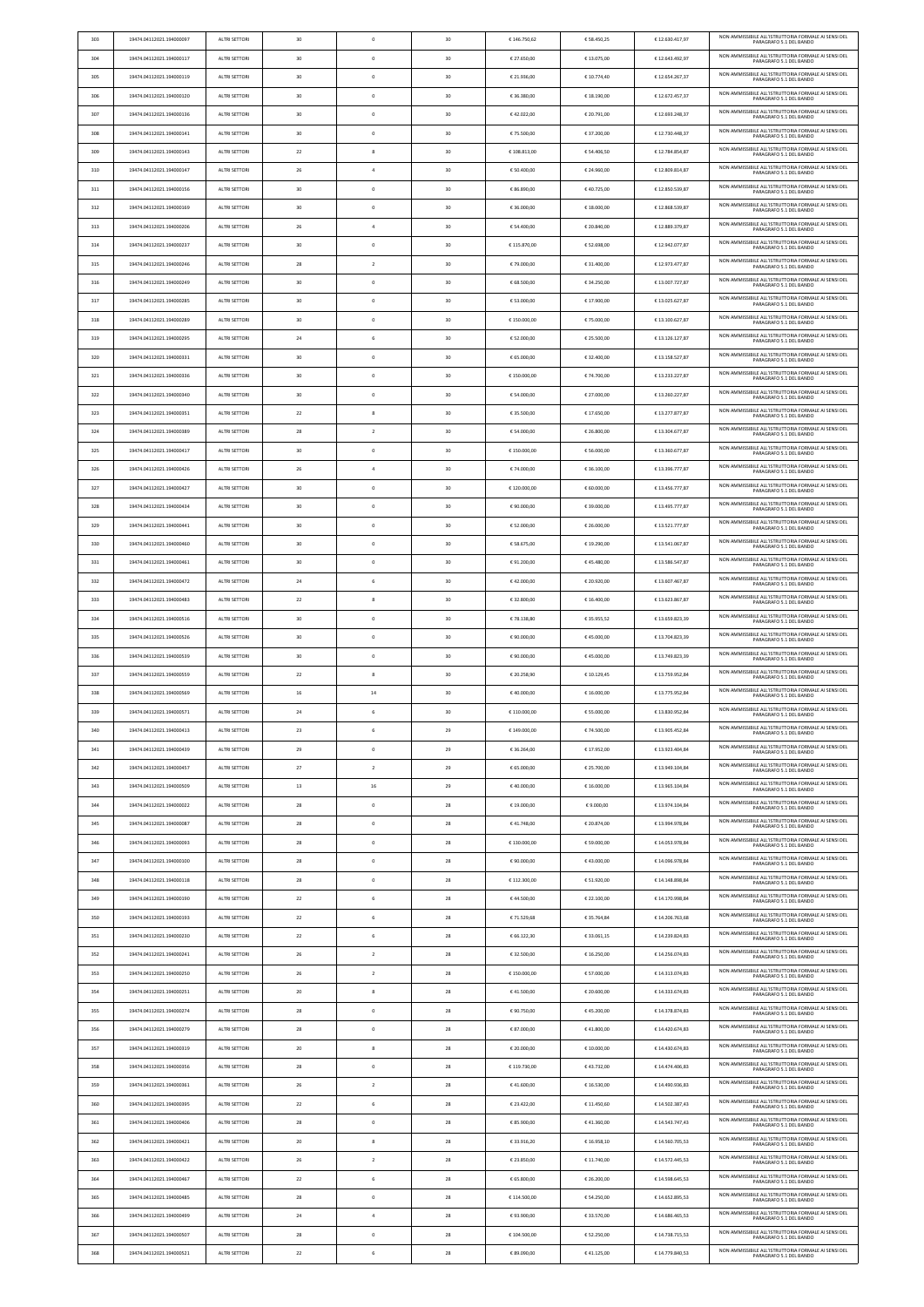| 303 | 19474.04112021.194000097 | ALTRI SETTORI        | 30 | $\circ$        | 30 | € 146.750,62 | € 58.450,25 | €12.630.417,97  | NON AMMISSIBILE ALL'ISTRUTTORIA FORMALE AI SENSI DEL<br>PARAGRAFO 5.1 DEL BANDO |
|-----|--------------------------|----------------------|----|----------------|----|--------------|-------------|-----------------|---------------------------------------------------------------------------------|
| 304 | 19474.04112021.194000117 | ALTRI SETTORI        | 30 | $\mathbf 0$    | 30 | € 27.650,00  | € 13.075,00 | €12.643.492,97  | NON AMMISSIBILE ALL'ISTRUTTORIA FORMALE AI SENSI DEL<br>PARAGRAFO 5.1 DEL BANDO |
| 305 | 19474.04112021.194000119 | ALTRI SETTORI        | 30 | $\circ$        | 30 | € 21.936,00  | € 10.774,40 | €12.654.267,37  | NON AMMISSIBILE ALL'ISTRUTTORIA FORMALE AI SENSI DEL<br>PARAGRAFO 5.1 DEL BANDO |
| 306 | 19474.04112021.194000120 | ALTRI SETTORI        | 30 | $\circ$        | 30 | € 36.380,00  | € 18.190,00 | €12.672.457,37  | NON AMMISSIBILE ALL'ISTRUTTORIA FORMALE AI SENSI DEL<br>PARAGRAFO 5.1 DEL BANDO |
| 307 | 19474.04112021.194000136 | ALTRI SETTORI        | 30 | $\mathbf 0$    | 30 | €42.022,00   | € 20.791,00 | €12.693.248,37  | NON AMMISSIBILE ALL'ISTRUTTORIA FORMALE AI SENSI DEL<br>PARAGRAFO 5.1 DEL BANDO |
| 308 | 19474.04112021.194000141 | ALTRI SETTORI        | 30 | $\circ$        | 30 | € 75.500,00  | € 37.200,00 | €12.730.448,37  | NON AMMISSIBILE ALL'ISTRUTTORIA FORMALE AI SENSI DEL<br>PARAGRAFO 5.1 DEL BANDO |
| 309 | 19474.04112021.194000143 | ALTRI SETTORI        | 22 | 8              | 30 | €108.813,00  | € 54.406,50 | €12.784.854,87  | NON AMMISSIBILE ALL'ISTRUTTORIA FORMALE AI SENSI DEL<br>PARAGRAFO 5.1 DEL BANDO |
| 310 | 19474.04112021.194000147 | ALTRI SETTORI        | 26 | $\overline{4}$ | 30 | € 50.400,00  | € 24.960,00 | €12.809.814,87  | NON AMMISSIBILE ALL'ISTRUTTORIA FORMALE AI SENSI DEL<br>PARAGRAFO 5.1 DEL BANDO |
| 311 | 19474.04112021.194000156 | <b>ALTRI SETTORI</b> | 30 | $\circ$        | 30 | € 86.890,00  | €40.725,00  | €12.850.539,87  | NON AMMISSIBILE ALL'ISTRUTTORIA FORMALE AI SENSI DEL                            |
| 312 | 19474.04112021.194000169 | ALTRI SETTORI        | 30 | $\circ$        | 30 | € 36.000,00  | € 18.000,00 | €12.868.539,87  | PARAGRAFO 5.1 DEL BANDO<br>NON AMMISSIBILE ALL'ISTRUTTORIA FORMALE AI SENSI DEL |
| 313 | 19474.04112021.194000206 | ALTRI SETTORI        | 26 | $\overline{4}$ | 30 | € 54.400,00  | € 20.840,00 | €12.889.379,87  | PARAGRAFO 5.1 DEL BANDO<br>NON AMMISSIBILE ALL'ISTRUTTORIA FORMALE AI SENSI DEL |
| 314 | 19474.04112021.194000237 | ALTRI SETTORI        | 30 | $\mathbf 0$    | 30 | € 115.870,00 | € 52.698,00 | €12.942.077,87  | PARAGRAFO 5.1 DEL BANDO<br>NON AMMISSIBILE ALL'ISTRUTTORIA FORMALE AI SENSI DEL |
| 315 | 19474.04112021.194000246 | ALTRI SETTORI        | 28 | $\overline{2}$ | 30 | € 79.000,00  | € 31.400,00 | €12.973.477,87  | PARAGRAFO 5.1 DEL BANDO<br>NON AMMISSIBILE ALL'ISTRUTTORIA FORMALE AI SENSI DEL |
|     |                          |                      |    | $\mathbf 0$    |    |              |             | €13.007.727,87  | PARAGRAFO 5.1 DEL BANDO<br>NON AMMISSIBILE ALL'ISTRUTTORIA FORMALE AI SENSI DEL |
| 316 | 19474.04112021.194000249 | ALTRI SETTORI        | 30 |                | 30 | € 68.500,00  | € 34.250,00 |                 | PARAGRAFO 5.1 DEL BANDO<br>NON AMMISSIBILE ALL'ISTRUTTORIA FORMALE AI SENSI DEL |
| 317 | 19474.04112021.194000285 | ALTRI SETTORI        | 30 | $\circ$        | 30 | € 53.000,00  | € 17.900,00 | €13.025.627,87  | PARAGRAFO 5.1 DEL BANDO<br>NON AMMISSIBILE ALL'ISTRUTTORIA FORMALE AI SENSI DEL |
| 318 | 19474.04112021.194000289 | ALTRI SETTORI        | 30 | $\circ$        | 30 | €150.000,00  | € 75.000,00 | € 13.100.627,87 | PARAGRAFO 5.1 DEL BANDO<br>NON AMMISSIBILE ALL'ISTRUTTORIA FORMALE AI SENSI DEL |
| 319 | 19474.04112021.194000295 | ALTRI SETTORI        | 24 | 6              | 30 | € 52.000,00  | € 25.500,00 | € 13.126.127,87 | PARAGRAFO 5.1 DEL BANDO<br>NON AMMISSIBILE ALL'ISTRUTTORIA FORMALE AI SENSI DEL |
| 320 | 19474.04112021.194000331 | ALTRI SETTORI        | 30 | $\circ$        | 30 | € 65.000,00  | € 32.400,00 | € 13.158.527,87 | PARAGRAFO 5.1 DEL BANDO                                                         |
| 321 | 19474.04112021.194000336 | ALTRI SETTORI        | 30 | $\circ$        | 30 | €150.000,00  | € 74.700,00 | € 13.233.227,87 | NON AMMISSIBILE ALL'ISTRUTTORIA FORMALE AI SENSI DEL<br>PARAGRAFO 5.1 DEL BANDO |
| 322 | 19474.04112021.194000340 | ALTRI SETTORI        | 30 | $\mathbf 0$    | 30 | € 54.000,00  | € 27.000,00 | €13.260.227,87  | NON AMMISSIBILE ALL'ISTRUTTORIA FORMALE AI SENSI DEL<br>PARAGRAFO 5.1 DEL BANDO |
| 323 | 19474.04112021.194000351 | ALTRI SETTORI        | 22 | 8              | 30 | € 35.500,00  | € 17.650,00 | €13.277.877,87  | NON AMMISSIBILE ALL'ISTRUTTORIA FORMALE AI SENSI DEL<br>PARAGRAFO 5.1 DEL BANDO |
| 324 | 19474.04112021.194000389 | ALTRI SETTORI        | 28 | $\overline{2}$ | 30 | € 54.000,00  | € 26.800,00 | € 13.304.677,87 | NON AMMISSIBILE ALL'ISTRUTTORIA FORMALE AI SENSI DEL<br>PARAGRAFO 5.1 DEL BANDO |
| 325 | 19474.04112021.194000417 | ALTRI SETTORI        | 30 | $\mathbf 0$    | 30 | €150.000,00  | € 56.000,00 | €13.360.677,87  | NON AMMISSIBILE ALL'ISTRUTTORIA FORMALE AI SENSI DEL<br>PARAGRAFO 5.1 DEL BANDO |
| 326 | 19474.04112021.194000426 | ALTRI SETTORI        | 26 | $\overline{a}$ | 30 | € 74.000,00  | € 36.100,00 | € 13.396.777,87 | NON AMMISSIBILE ALL'ISTRUTTORIA FORMALE AI SENSI DEL<br>PARAGRAFO 5.1 DEL BANDO |
| 327 | 19474.04112021.194000427 | ALTRI SETTORI        | 30 | $\circ$        | 30 | €120.000,00  | € 60.000,00 | € 13.456.777,87 | NON AMMISSIBILE ALL'ISTRUTTORIA FORMALE AI SENSI DEL<br>PARAGRAFO 5.1 DEL BANDO |
| 328 | 19474.04112021.194000434 | ALTRI SETTORI        | 30 | $\mathbf 0$    | 30 | € 90.000,00  | € 39.000,00 | € 13.495.777,87 | NON AMMISSIBILE ALL'ISTRUTTORIA FORMALE AI SENSI DEL<br>PARAGRAFO 5.1 DEL BANDO |
| 329 | 19474.04112021.194000441 | ALTRI SETTORI        | 30 | $\circ$        | 30 | € 52.000,00  | € 26.000,00 | €13.521.777,87  | NON AMMISSIBILE ALL'ISTRUTTORIA FORMALE AI SENSI DEI<br>PARAGRAFO 5.1 DEL BANDO |
| 330 | 19474.04112021.194000460 | ALTRI SETTORI        | 30 | $\circ$        | 30 | € 58.675,00  | € 19.290,00 | € 13.541.067,87 | NON AMMISSIBILE ALL'ISTRUTTORIA FORMALE AI SENSI DEL<br>PARAGRAFO 5.1 DEL BANDO |
| 331 | 19474.04112021.194000461 | ALTRI SETTORI        | 30 | $\circ$        | 30 | €91.200,00   | €45.480,00  | €13.586.547,87  | NON AMMISSIBILE ALL'ISTRUTTORIA FORMALE AI SENSI DEL<br>PARAGRAFO 5.1 DEL BANDO |
| 332 | 19474.04112021.194000472 | ALTRI SETTORI        | 24 | 6              | 30 | €42.000,00   | € 20.920,00 | € 13.607.467,87 | NON AMMISSIBILE ALL'ISTRUTTORIA FORMALE AI SENSI DEL<br>PARAGRAFO 5.1 DEL BANDO |
| 333 | 19474.04112021.194000483 | ALTRI SETTORI        | 22 | 8              | 30 | € 32.800,00  | € 16.400,00 | €13.623.867,87  | NON AMMISSIBILE ALL'ISTRUTTORIA FORMALE AI SENSI DEL<br>PARAGRAFO 5.1 DEL BANDO |
| 334 | 19474.04112021.194000516 | ALTRI SETTORI        | 30 | $\circ$        | 30 | €78.138,80   | € 35.955,52 | €13.659.823,39  | NON AMMISSIBILE ALL'ISTRUTTORIA FORMALE AI SENSI DEL<br>PARAGRAFO 5.1 DEL BANDO |
| 335 | 19474.04112021.194000526 | ALTRI SETTORI        | 30 | $\circ$        | 30 | € 90.000,00  | €45.000,00  | €13.704.823,39  | NON AMMISSIBILE ALL'ISTRUTTORIA FORMALE AI SENSI DEL<br>PARAGRAFO 5.1 DEL BANDO |
| 336 | 19474.04112021.194000539 | ALTRI SETTORI        | 30 | $\circ$        | 30 | € 90.000,00  | €45.000,00  | € 13.749.823,39 | NON AMMISSIBILE ALL'ISTRUTTORIA FORMALE AI SENSI DEL<br>PARAGRAFO 5.1 DEL BANDO |
| 337 | 19474.04112021.194000559 | <b>ALTRI SETTORI</b> | 22 | 8              | 30 | € 20.258,90  | € 10.129,45 | € 13.759.952,84 | NON AMMISSIBILE ALL'ISTRUTTORIA FORMALE AI SENSI DEL<br>PARAGRAFO 5.1 DEL BANDO |
| 338 | 19474.04112021.194000569 | ALTRI SETTORI        | 16 | 14             | 30 | €40.000,00   | € 16.000,00 | € 13.775.952,84 | NON AMMISSIBILE ALL'ISTRUTTORIA FORMALE AI SENSI DEL<br>PARAGRAFO 5.1 DEL BANDO |
| 339 | 19474.04112021.194000571 | ALTRI SETTORI        | 24 | 6              | 30 | € 110.000,00 | € 55.000,00 | € 13.830.952,84 | NON AMMISSIBILE ALL'ISTRUTTORIA FORMALE AI SENSI DEL<br>PARAGRAFO 5.1 DEL BANDO |
| 340 | 19474.04112021.194000413 | ALTRI SETTORI        | 23 | 6              | 29 | € 149.000,00 | € 74.500,00 | € 13.905.452,84 | NON AMMISSIBILE ALL'ISTRUTTORIA FORMALE AI SENSI DEL<br>PARAGRAFO 5.1 DEL BANDO |
| 341 | 19474.04112021.194000439 | ALTRI SETTORI        | 29 | $\circ$        | 29 | € 36.264,00  | € 17.952,00 | € 13.923.404,84 | NON AMMISSIBILE ALL'ISTRUTTORIA FORMALE AI SENSI DEL<br>PARAGRAFO 5.1 DEL BANDO |
| 342 | 19474.04112021.194000457 | ALTRI SETTORI        | 27 | $\overline{2}$ | 29 | € 65.000,00  | € 25.700,00 | € 13.949.104,84 | NON AMMISSIBILE ALL'ISTRUTTORIA FORMALE AI SENSI DEL<br>PARAGRAFO 5.1 DEL BANDO |
| 343 | 19474.04112021.194000509 | ALTRI SETTORI        | 13 | 16             | 29 | €40.000,00   | € 16.000,00 | € 13.965.104,84 | NON AMMISSIBILE ALL'ISTRUTTORIA FORMALE AI SENSI DEL<br>PARAGRAFO 5.1 DEL BANDO |
| 344 | 19474.04112021.194000022 | ALTRI SETTORI        | 28 | $\mathbf{0}$   | 28 | € 19.000,00  | €9.000,00   | € 13.974.104,84 | NON AMMISSIBILE ALL'ISTRUTTORIA FORMALE AI SENSI DEL<br>PARAGRAFO 5.1 DEL BANDO |
| 345 | 19474.04112021.194000087 | ALTRI SETTORI        | 28 | $\mathbf 0$    | 28 | €41.748,00   | € 20.874,00 | € 13.994.978,84 | NON AMMISSIBILE ALL'ISTRUTTORIA FORMALE AI SENSI DEL<br>PARAGRAFO 5.1 DEL BANDO |
| 346 | 19474.04112021.194000093 | ALTRI SETTORI        | 28 | $\circ$        | 28 | €130.000,00  | € 59.000,00 | € 14.053.978,84 | NON AMMISSIBILE ALL'ISTRUTTORIA FORMALE AI SENSI DEL<br>PARAGRAFO 5.1 DEL BANDO |
| 347 | 19474.04112021.194000100 | ALTRI SETTORI        | 28 | $\circ$        | 28 | € 90.000,00  | €43.000,00  | € 14.096.978,84 | NON AMMISSIBILE ALL'ISTRUTTORIA FORMALE AI SENSI DEL<br>PARAGRAFO 5.1 DEL BANDO |
| 348 | 19474.04112021.194000118 | ALTRI SETTORI        | 28 | $\mathbf 0$    | 28 | € 112.300,00 | € 51.920,00 | € 14.148.898,84 | NON AMMISSIBILE ALL'ISTRUTTORIA FORMALE AI SENSI DEL                            |
| 349 | 19474.04112021.194000190 | ALTRI SETTORI        | 22 | 6              | 28 | €44.500,00   | € 22.100,00 | € 14.170.998,84 | PARAGRAFO 5.1 DEL BANDO<br>NON AMMISSIBILE ALL'ISTRUTTORIA FORMALE AI SENSI DEL |
| 350 | 19474.04112021.194000193 | ALTRI SETTORI        | 22 | 6              | 28 | €71.529,68   | € 35.764,84 | € 14.206.763,68 | PARAGRAFO 5.1 DEL BANDO<br>NON AMMISSIBILE ALL'ISTRUTTORIA FORMALE AI SENSI DEL |
| 351 | 19474.04112021.194000230 | ALTRI SETTORI        | 22 | 6              | 28 | € 66.122,30  | € 33.061,15 | € 14.239.824,83 | PARAGRAFO 5.1 DEL BANDO<br>NON AMMISSIBILE ALL'ISTRUTTORIA FORMALE AI SENSI DEL |
| 352 | 19474.04112021.194000241 | ALTRI SETTORI        | 26 | $\overline{2}$ | 28 | € 32.500,00  | € 16.250,00 | €14.256.074,83  | PARAGRAFO 5.1 DEL BANDO<br>NON AMMISSIBILE ALL'ISTRUTTORIA FORMALE AI SENSI DEL |
| 353 | 19474.04112021.194000250 | ALTRI SETTORI        | 26 | $\overline{2}$ | 28 | €150.000,00  | € 57.000,00 | € 14.313.074,83 | PARAGRAFO 5.1 DEL BANDO<br>NON AMMISSIBILE ALL'ISTRUTTORIA FORMALE AI SENSI DEL |
| 354 | 19474.04112021.194000251 | ALTRI SETTORI        | 20 | 8              | 28 | €41.500,00   | € 20.600,00 | € 14.333.674,83 | PARAGRAFO 5.1 DEL BANDO<br>NON AMMISSIBILE ALL'ISTRUTTORIA FORMALE AI SENSI DEL |
| 355 | 19474.04112021.194000274 | <b>ALTRI SETTORI</b> | 28 | $\mathbf 0$    | 28 | € 90.750,00  | €45.200,00  | €14.378.874,83  | PARAGRAFO 5.1 DEL BANDO<br>NON AMMISSIBILE ALL'ISTRUTTORIA FORMALE AI SENSI DEL |
|     |                          |                      |    |                |    |              |             |                 | PARAGRAEO 5.1 DEL BANDO<br>NON AMMISSIBILE ALL'ISTRUTTORIA FORMALE AI SENSI DEL |
| 356 | 19474.04112021.194000279 | ALTRI SETTORI        | 28 | $\mathbf 0$    | 28 | € 87.000,00  | €41.800,00  | €14.420.674.83  | PARAGRAFO 5.1 DEL BANDO<br>NON AMMISSIBILE ALL'ISTRUTTORIA FORMALE AI SENSI DEL |
| 357 | 19474.04112021.194000319 | ALTRI SETTORI        | 20 | 8              | 28 | € 20.000,00  | € 10.000,00 | €14.430.674,83  | PARAGRAFO 5.1 DEL BANDO<br>NON AMMISSIBILE ALL'ISTRUTTORIA FORMALE AI SENSI DEL |
| 358 | 19474.04112021.194000356 | <b>ALTRI SETTORI</b> | 28 | $\circ$        | 28 | €119.730.00  | €43.732,00  | €14.474.406,83  | PARAGRAFO 5.1 DEL BANDO<br>NON AMMISSIBILE ALL'ISTRUTTORIA FORMALE AI SENSI DEL |
| 359 | 19474.04112021.194000361 | ALTRI SETTORI        | 26 | $\overline{2}$ | 28 | €41.600,00   | € 16.530,00 | € 14.490.936,83 | PARAGRAFO 5.1 DEL BANDO<br>NON AMMISSIBILE ALL'ISTRUTTORIA FORMALE AI SENSI DEL |
| 360 | 19474.04112021.194000395 | ALTRI SETTORI        | 22 | 6              | 28 | € 23.422,00  | € 11.450,60 | € 14.502.387,43 | PARAGRAFO 5.1 DEL BANDO                                                         |
| 361 | 19474.04112021.194000406 | ALTRI SETTORI        | 28 | $\circ$        | 28 | € 85.900,00  | €41.360,00  | €14.543.747,43  | NON AMMISSIBILE ALL'ISTRUTTORIA FORMALE AI SENSI DEL<br>PARAGRAFO 5.1 DEL BANDO |
| 362 | 19474.04112021.194000421 | ALTRI SETTORI        | 20 | 8              | 28 | € 33.916,20  | € 16.958,10 | €14.560.705,53  | NON AMMISSIBILE ALL'ISTRUTTORIA FORMALE AI SENSI DEL<br>PARAGRAFO 5.1 DEL BANDO |
| 363 | 19474.04112021.194000422 | ALTRI SETTORI        | 26 | $\overline{2}$ | 28 | € 23.850,00  | € 11.740,00 | € 14.572.445,53 | NON AMMISSIBILE ALL'ISTRUTTORIA FORMALE AI SENSI DEL<br>PARAGRAFO 5.1 DEL BANDO |
| 364 | 19474.04112021.194000467 | <b>ALTRI SETTORI</b> | 22 | 6              | 28 | € 65.800,00  | € 26.200,00 | €14.598.645,53  | NON AMMISSIBILE ALL'ISTRUTTORIA FORMALE AI SENSI DEL<br>PARAGRAFO 5.1 DEL BANDO |
| 365 | 19474.04112021.194000485 | ALTRI SETTORI        | 28 | $\circ$        | 28 | €114.500,00  | € 54.250,00 | €14.652.895,53  | NON AMMISSIBILE ALL'ISTRUTTORIA FORMALE AI SENSI DEL<br>PARAGRAFO 5.1 DEL BANDO |
| 366 | 19474.04112021.194000499 | ALTRI SETTORI        | 24 | $\overline{4}$ | 28 | €93.900,00   | € 33.570,00 | € 14.686.465,53 | NON AMMISSIBILE ALL'ISTRUTTORIA FORMALE AI SENSI DEL<br>PARAGRAFO 5.1 DEL BANDO |
| 367 | 19474.04112021.194000507 | ALTRI SETTORI        | 28 | $\circ$        | 28 | €104.500,00  | € 52.250,00 | € 14.738.715,53 | NON AMMISSIBILE ALL'ISTRUTTORIA FORMALE AI SENSI DEL<br>PARAGRAFO 5.1 DEL BANDO |
| 368 | 19474.04112021.194000521 | ALTRI SETTORI        | 22 | 6              | 28 | € 89.090,00  | €41.125,00  | € 14.779.840,53 | NON AMMISSIBILE ALL'ISTRUTTORIA FORMALE AI SENSI DEL<br>PARAGRAFO 5.1 DEL BANDO |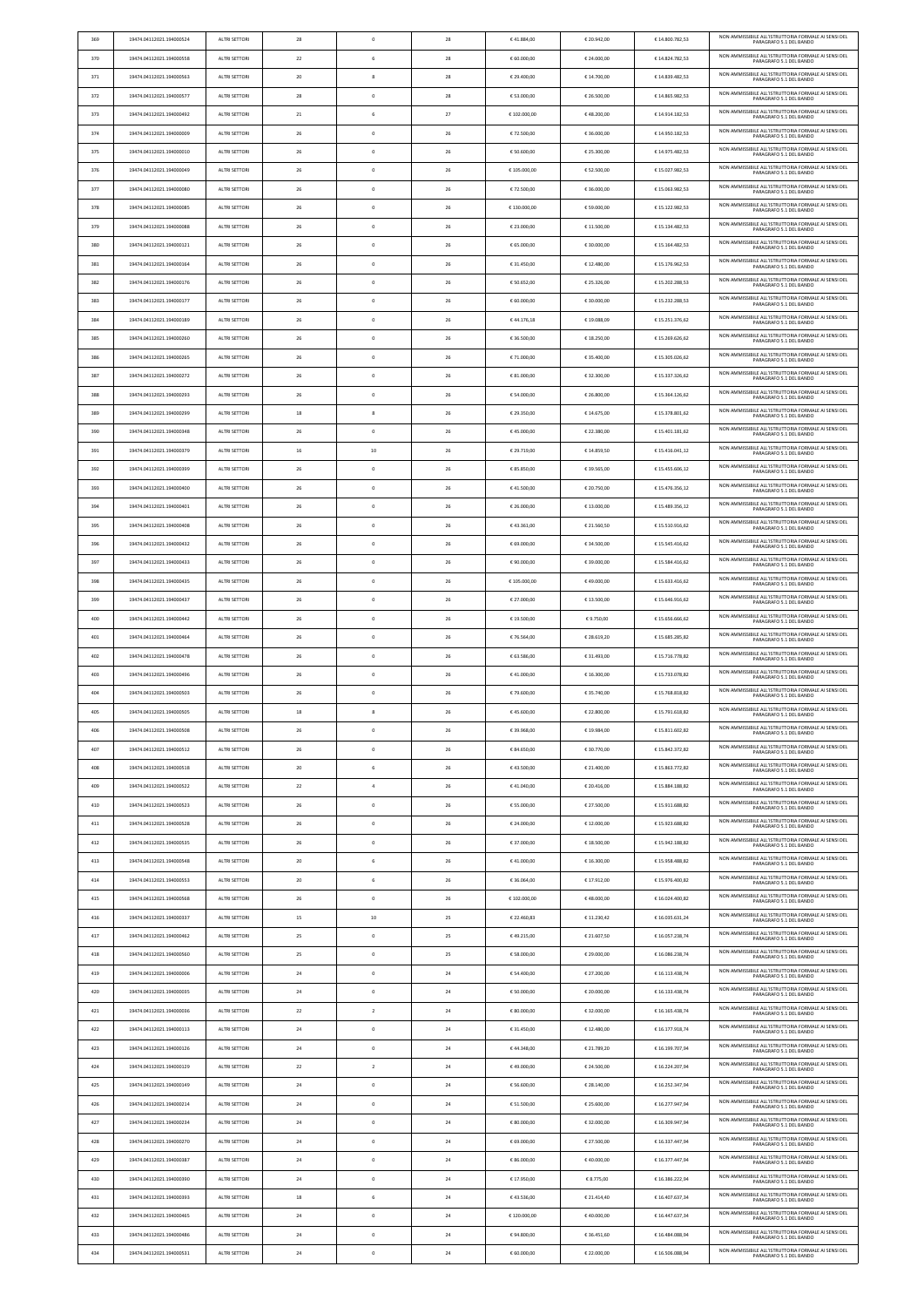| 369 | 19474.04112021.194000524 | ALTRI SETTORI        | 28 | $\mathbf 0$    | 28 | €41.884,00   | € 20.942,00 | €14.800.782,53  | NON AMMISSIBILE ALL'ISTRUTTORIA FORMALE AI SENSI DEL<br>PARAGRAFO 5.1 DEL BANDO |
|-----|--------------------------|----------------------|----|----------------|----|--------------|-------------|-----------------|---------------------------------------------------------------------------------|
| 370 | 19474.04112021.194000558 | <b>ALTRI SETTORI</b> | 22 | 6              | 28 | € 60.000,00  | € 24.000,00 | €14.824.782,53  | NON AMMISSIBILE ALL'ISTRUTTORIA FORMALE AI SENSI DEL<br>PARAGRAFO 5.1 DEL BANDO |
|     |                          | ALTRI SETTORI        | 20 | 8              | 28 |              |             | € 14.839.482,53 | NON AMMISSIBILE ALL'ISTRUTTORIA FORMALE AI SENSI DEL                            |
| 371 | 19474.04112021.194000563 |                      |    |                |    | € 29.400,00  | € 14.700,00 |                 | PARAGRAFO 5.1 DEL BANDO<br>NON AMMISSIBILE ALL'ISTRUTTORIA FORMALE AI SENSI DEL |
| 372 | 19474.04112021.194000577 | ALTRI SETTORI        | 28 | $\mathbf 0$    | 28 | € 53.000,00  | € 26.500,00 | €14.865.982,53  | PARAGRAFO 5.1 DEL BANDO                                                         |
| 373 | 19474.04112021.194000492 | ALTRI SETTORI        | 21 | 6              | 27 | € 102.000,00 | €48.200,00  | € 14.914.182,53 | NON AMMISSIBILE ALL'ISTRUTTORIA FORMALE AI SENSI DEL<br>PARAGRAFO 5.1 DEL BANDO |
| 374 | 19474.04112021.194000009 | ALTRI SETTORI        | 26 | $\circ$        | 26 | €72.500,00   | € 36.000,00 | € 14.950.182,53 | NON AMMISSIBILE ALL'ISTRUTTORIA FORMALE AI SENSI DEL<br>PARAGRAFO 5.1 DEL BANDO |
| 375 | 19474.04112021.194000010 | ALTRI SETTORI        | 26 | $\mathbf 0$    | 26 | € 50.600,00  | € 25.300,00 | € 14.975.482,53 | NON AMMISSIBILE ALL'ISTRUTTORIA FORMALE AI SENSI DEL<br>PARAGRAFO 5.1 DEL BANDO |
| 376 | 19474.04112021.194000049 | <b>ALTRI SETTORI</b> | 26 | $\circ$        | 26 | €105.000.00  | € 52.500,00 | €15.027.982,53  | NON AMMISSIBILE ALL'ISTRUTTORIA FORMALE AI SENSI DEL                            |
|     |                          |                      |    |                |    |              |             |                 | PARAGRAFO 5.1 DEL BANDO<br>NON AMMISSIBILE ALL'ISTRUTTORIA FORMALE AI SENSI DEL |
| 377 | 19474.04112021.194000080 | <b>ALTRI SETTORI</b> | 26 | $\mathbf{0}$   | 26 | € 72.500,00  | € 36.000,00 | €15.063.982,53  | PARAGRAFO 5.1 DEL BANDO                                                         |
| 378 | 19474.04112021.194000085 | ALTRI SETTORI        | 26 | $\mathbf 0$    | 26 | €130.000,00  | € 59.000,00 | € 15.122.982,53 | NON AMMISSIBILE ALL'ISTRUTTORIA FORMALE AI SENSI DEL<br>PARAGRAFO 5.1 DEL BANDO |
| 379 | 19474.04112021.194000088 | <b>ALTRI SETTORI</b> | 26 | $\circ$        | 26 | € 23.000,00  | € 11.500,00 | € 15.134.482,53 | NON AMMISSIBILE ALL'ISTRUTTORIA FORMALE AI SENSI DEL<br>PARAGRAFO 5.1 DEL BANDO |
| 380 | 19474.04112021.194000121 | ALTRI SETTORI        | 26 | $\mathbf{0}$   | 26 | € 65.000,00  | € 30.000,00 | € 15.164.482,53 | NON AMMISSIBILE ALL'ISTRUTTORIA FORMALE AI SENSI DEL<br>PARAGRAFO 5.1 DEL BANDO |
| 381 | 19474.04112021.194000164 | ALTRI SETTORI        | 26 | $\mathbf 0$    | 26 | € 31.450,00  | € 12.480,00 | €15.176.962,53  | NON AMMISSIBILE ALL'ISTRUTTORIA FORMALE AI SENSI DEL<br>PARAGRAFO 5.1 DEL BANDO |
|     |                          |                      |    |                |    |              |             |                 | NON AMMISSIBILE ALL'ISTRUTTORIA FORMALE AI SENSI DEL                            |
| 382 | 19474.04112021.194000176 | ALTRI SETTORI        | 26 | $\circ$        | 26 | € 50.652,00  | € 25.326,00 | €15.202.288,53  | PARAGRAFO 5.1 DEL BANDO                                                         |
| 383 | 19474.04112021.194000177 | ALTRI SETTORI        | 26 | $\circ$        | 26 | € 60.000,00  | € 30.000,00 | € 15.232.288,53 | NON AMMISSIBILE ALL'ISTRUTTORIA FORMALE AI SENSI DEL<br>PARAGRAFO 5.1 DEL BANDO |
| 384 | 19474.04112021.194000189 | ALTRI SETTORI        | 26 | $\mathbf 0$    | 26 | €44.176,18   | € 19.088,09 | € 15.251.376,62 | NON AMMISSIBILE ALL'ISTRUTTORIA FORMALE AI SENSI DEL<br>PARAGRAFO 5.1 DEL BANDO |
| 385 | 19474.04112021.194000260 | <b>ALTRI SETTORI</b> | 26 | $\circ$        | 26 | € 36.500,00  | € 18.250,00 | € 15.269.626,62 | NON AMMISSIBILE ALL'ISTRUTTORIA FORMALE AI SENSI DEL<br>PARAGRAFO 5.1 DEL BANDO |
| 386 | 19474.04112021.194000265 | ALTRI SETTORI        | 26 | $\circ$        | 26 | € 71.000,00  | € 35.400,00 | € 15.305.026,62 | NON AMMISSIBILE ALL'ISTRUTTORIA FORMALE AI SENSI DEL<br>PARAGRAFO 5.1 DEL BANDO |
| 387 | 19474.04112021.194000272 | ALTRI SETTORI        | 26 | $\mathbf 0$    | 26 | € 81.000,00  | € 32.300,00 | € 15.337.326,62 | NON AMMISSIBILE ALL'ISTRUTTORIA FORMALE AI SENSI DEL                            |
|     |                          |                      |    |                |    |              |             |                 | PARAGRAFO 5.1 DEL BANDO                                                         |
| 388 | 19474.04112021.194000293 | <b>ALTRI SETTORI</b> | 26 | $\circ$        | 26 | € 54.000,00  | € 26.800,00 | € 15.364.126,62 | NON AMMISSIBILE ALL'ISTRUTTORIA FORMALE AI SENSI DEL<br>PARAGRAFO 5.1 DEL BANDO |
| 389 | 19474.04112021.194000299 | ALTRI SETTORI        | 18 | 8              | 26 | € 29.350,00  | € 14.675,00 | € 15.378.801,62 | NON AMMISSIBILE ALL'ISTRUTTORIA FORMALE AI SENSI DEL<br>PARAGRAFO 5.1 DEL BANDO |
| 390 | 19474.04112021.194000348 | ALTRI SETTORI        | 26 | $\mathbf 0$    | 26 | €45.000,00   | € 22.380,00 | € 15.401.181,62 | NON AMMISSIBILE ALL'ISTRUTTORIA FORMALE AI SENSI DEL<br>PARAGRAFO 5.1 DEL BANDO |
| 391 | 19474.04112021.194000379 | <b>ALTRI SETTORI</b> | 16 | 10             | 26 | € 29.719,00  | € 14.859,50 | € 15.416.041,12 | NON AMMISSIBILE ALL'ISTRUTTORIA FORMALE AI SENSI DEL<br>PARAGRAFO 5.1 DEL BANDO |
| 392 | 19474.04112021.194000399 | ALTRI SETTORI        | 26 | $\circ$        | 26 | € 85.850,00  | € 39.565,00 | € 15.455.606,12 | NON AMMISSIBILE ALL'ISTRUTTORIA FORMALE AI SENSI DEL                            |
|     |                          |                      |    |                |    |              |             |                 | PARAGRAFO 5.1 DEL BANDO<br>NON AMMISSIBILE ALL'ISTRUTTORIA FORMALE AI SENSI DEL |
| 393 | 19474.04112021.194000400 | ALTRI SETTORI        | 26 | $\mathbf 0$    | 26 | €41.500,00   | € 20.750,00 | € 15.476.356,12 | PARAGRAFO 5.1 DEL BANDO                                                         |
| 394 | 19474.04112021.194000401 | ALTRI SETTORI        | 26 | $\circ$        | 26 | € 26.000,00  | € 13.000,00 | € 15.489.356,12 | NON AMMISSIBILE ALL'ISTRUTTORIA FORMALE AI SENSI DEL<br>PARAGRAFO 5.1 DEL BANDO |
| 395 | 19474.04112021.194000408 | <b>ALTRI SETTORI</b> | 26 | $\circ$        | 26 | €43.361,00   | € 21.560,50 | € 15.510.916,62 | NON AMMISSIBILE ALL'ISTRUTTORIA FORMALE AI SENSI DEL<br>PARAGRAFO 5.1 DEL BANDO |
| 396 | 19474.04112021.194000432 | ALTRI SETTORI        | 26 | $\mathbf 0$    | 26 | € 69.000,00  | € 34.500,00 | € 15.545.416,62 | NON AMMISSIBILE ALL'ISTRUTTORIA FORMALE AI SENSI DEL<br>PARAGRAFO 5.1 DEL BANDO |
| 397 | 19474.04112021.194000433 | ALTRI SETTORI        | 26 | $\circ$        | 26 | € 90.000,00  | € 39.000,00 | € 15.584.416,62 | NON AMMISSIBILE ALL'ISTRUTTORIA FORMALE AI SENSI DEL                            |
|     |                          |                      |    |                |    |              |             |                 | PARAGRAFO 5.1 DEL BANDO<br>NON AMMISSIBILE ALL'ISTRUTTORIA FORMALE AI SENSI DEL |
| 398 | 19474.04112021.194000435 | ALTRI SETTORI        | 26 | $\circ$        | 26 | € 105.000,00 | €49.000,00  | € 15.633.416,62 | PARAGRAFO 5.1 DEL BANDO                                                         |
| 399 | 19474.04112021.194000437 | ALTRI SETTORI        | 26 | $\mathbf 0$    | 26 | € 27.000,00  | € 13.500,00 | € 15.646.916,62 | NON AMMISSIBILE ALL'ISTRUTTORIA FORMALE AI SENSI DEL<br>PARAGRAFO 5.1 DEL BANDO |
| 400 | 19474.04112021.194000442 | ALTRI SETTORI        | 26 | $\circ$        | 26 | € 19.500,00  | €9.750,00   | € 15.656.666,62 | NON AMMISSIBILE ALL'ISTRUTTORIA FORMALE AI SENSI DEL<br>PARAGRAFO 5.1 DEL BANDO |
| 401 | 19474.04112021.194000464 | ALTRI SETTORI        | 26 | $\circ$        | 26 | € 76.564,00  | € 28.619,20 | €15.685.285,82  | NON AMMISSIBILE ALL'ISTRUTTORIA FORMALE AI SENSI DEL<br>PARAGRAFO 5.1 DEL BANDO |
| 402 | 19474.04112021.194000478 | ALTRI SETTORI        | 26 | $\mathbf 0$    | 26 | € 63.586,00  | € 31.493,00 | € 15.716.778,82 | NON AMMISSIBILE ALL'ISTRUTTORIA FORMALE AI SENSI DEL<br>PARAGRAFO 5.1 DEL BANDO |
| 403 | 19474.04112021.194000496 | ALTRI SETTORI        | 26 | $\circ$        | 26 | €41.000,00   | € 16.300,00 | € 15.733.078,82 | NON AMMISSIBILE ALL'ISTRUTTORIA FORMALE AI SENSI DEL                            |
|     |                          |                      |    |                |    |              |             |                 | PARAGRAFO 5.1 DEL BANDO<br>NON AMMISSIBILE ALL'ISTRUTTORIA FORMALE AI SENSI DEL |
| 404 | 19474.04112021.194000503 | ALTRI SETTORI        | 26 | $\circ$        | 26 | € 79.600,00  | € 35.740,00 | € 15.768.818,82 | PARAGRAFO 5.1 DEL BANDO                                                         |
| 405 | 19474.04112021.194000505 | ALTRI SETTORI        | 18 | 8              | 26 | €45.600,00   | € 22.800,00 | € 15.791.618,82 | NON AMMISSIBILE ALL'ISTRUTTORIA FORMALE AI SENSI DEL<br>PARAGRAFO 5.1 DEL BANDO |
| 406 | 19474.04112021.194000508 | ALTRI SETTORI        | 26 | $\circ$        | 26 | € 39.968,00  | € 19.984,00 | € 15.811.602,82 | NON AMMISSIBILE ALL'ISTRUTTORIA FORMALE AI SENSI DEL<br>PARAGRAFO 5.1 DEL BANDO |
| 407 | 19474.04112021.194000512 | ALTRI SETTORI        | 26 | $\circ$        | 26 | € 84.650,00  | € 30.770,00 | € 15.842.372,82 | NON AMMISSIBILE ALL'ISTRUTTORIA FORMALE AI SENSI DEL<br>PARAGRAFO 5.1 DEL BANDO |
| 408 | 19474.04112021.194000518 | ALTRI SETTORI        | 20 | 6              | 26 | €43.500,00   |             |                 |                                                                                 |
| 409 | 19474.04112021.194000522 |                      |    |                |    |              | € 21.400,00 | € 15.863.772,82 | NON AMMISSIBILE ALL'ISTRUTTORIA FORMALE AI SENSI DEL                            |
|     |                          |                      |    |                |    |              |             |                 | PARAGRAFO 5.1 DEL BANDO<br>NON AMMISSIBILE ALL'ISTRUTTORIA FORMALE AI SENSI DEL |
| 410 | 19474.04112021.194000523 | ALTRI SETTORI        | 22 | $\overline{4}$ | 26 | €41.040,00   | € 20.416,00 | € 15.884.188,82 | PARAGRAFO 5.1 DEL BANDO                                                         |
| 411 |                          | ALTRI SETTORI        | 26 | $\circ$        | 26 | € 55.000,00  | € 27.500,00 | € 15.911.688,82 | NON AMMISSIBILE ALL'ISTRUTTORIA FORMALE AI SENSI DEL<br>PARAGRAFO 5.1 DEL BANDO |
| 412 | 19474.04112021.194000528 | ALTRI SETTORI        | 26 | $\circ$        | 26 | € 24.000,00  | € 12.000,00 | € 15.923.688,82 | NON AMMISSIBILE ALL'ISTRUTTORIA FORMALE AI SENSI DEL<br>PARAGRAFO 5.1 DEL BANDO |
|     | 19474.04112021.194000535 | ALTRI SETTORI        | 26 | $\circ$        | 26 | € 37.000,00  | € 18.500,00 | € 15.942.188,82 | NON AMMISSIBILE ALL'ISTRUTTORIA FORMALE AI SENSI DEL<br>PARAGRAFO 5.1 DEL BANDO |
| 413 | 19474.04112021.194000548 | ALTRI SETTORI        | 20 | 6              | 26 | €41.000,00   | € 16.300,00 | € 15.958.488,82 | NON AMMISSIBILE ALL'ISTRUTTORIA FORMALE AI SENSI DEL                            |
|     |                          |                      |    |                |    |              |             |                 | PARAGRAFO 5.1 DEL BANDO<br>NON AMMISSIBILE ALL'ISTRUTTORIA FORMALE AI SENSI DEL |
| 414 | 19474.04112021.194000553 | <b>ALTRI SETTORI</b> | 20 | 6              | 26 | € 36.064,00  | € 17.912,00 | € 15.976.400,82 | PARAGRAFO 5.1 DEL BANDO                                                         |
| 415 | 19474.04112021.194000568 | ALTRI SETTORI        | 26 | $\circ$        | 26 | € 102.000,00 | €48.000,00  | € 16.024.400,82 | NON AMMISSIBILE ALL'ISTRUTTORIA FORMALE AI SENSI DEL<br>PARAGRAFO 5.1 DEL BANDO |
| 416 | 19474.04112021.194000337 | ALTRI SETTORI        | 15 | 10             | 25 | € 22.460,83  | € 11.230,42 | € 16.035.631,24 | NON AMMISSIBILE ALL'ISTRUTTORIA FORMALE AI SENSI DEL<br>PARAGRAFO 5.1 DEL BANDO |
| 417 | 19474.04112021.194000462 | ALTRI SETTORI        | 25 | $\mathbf 0$    | 25 | €49.215,00   | € 21.607,50 | € 16.057.238,74 | NON AMMISSIBILE ALL'ISTRUTTORIA FORMALE AI SENSI DEL<br>PARAGRAFO 5.1 DEL BANDO |
| 418 | 19474.04112021.194000560 | ALTRI SETTORI        | 25 | $\circ$        | 25 | € 58.000,00  | € 29.000,00 | € 16.086.238,74 | NON AMMISSIBILE ALL'ISTRUTTORIA FORMALE AI SENSI DEL<br>PARAGRAFO 5.1 DEL BANDO |
| 419 | 19474.04112021.194000006 | ALTRI SETTORI        | 24 | $\circ$        | 24 | € 54.400,00  | € 27.200,00 | € 16.113.438,74 | NON AMMISSIBILE ALL'ISTRUTTORIA FORMALE AI SENSI DEL                            |
|     |                          |                      |    |                |    |              |             |                 | PARAGRAFO 5.1 DEL BANDO<br>NON AMMISSIBILE ALL'ISTRUTTORIA FORMALE AI SENSI DEL |
| 420 | 19474.04112021.194000035 | ALTRI SETTORI        | 24 | $\circ$        | 24 | € 50.000,00  | € 20.000,00 | € 16.133.438,74 | PARAGRAFO 5.1 DEL BANDO                                                         |
| 421 | 19474.04112021.194000036 | <b>ALTRI SETTORI</b> | 22 | $\overline{2}$ | 24 | € 80.000,00  | € 32.000,00 | € 16.165.438,74 | NON AMMISSIBILE ALL'ISTRUTTORIA FORMALE AI SENSI DEL<br>PARAGRAEO 5.1 DEL BANDO |
| 422 | 19474.04112021.194000113 | ALTRI SETTORI        | 24 | $\mathbf 0$    | 24 | € 31.450,00  | € 12.480,00 | € 16.177.918,74 | NON AMMISSIBILE ALL'ISTRUTTORIA FORMALE AI SENSI DEL<br>PARAGRAFO 5.1 DEL BANDO |
| 423 | 19474.04112021.194000126 | ALTRI SETTORI        | 24 | $\mathbf 0$    | 24 | €44.348,00   | € 21.789,20 | € 16.199.707,94 | NON AMMISSIBILE ALL'ISTRUTTORIA FORMALE AI SENSI DEL<br>PARAGRAFO 5.1 DEL BANDO |
| 424 | 19474.04112021.194000129 | ALTRI SETTORI        | 22 | $\overline{2}$ | 24 | €49.000,00   | € 24.500,00 | € 16.224.207,94 | NON AMMISSIBILE ALL'ISTRUTTORIA FORMALE AI SENSI DEL                            |
|     |                          |                      |    |                |    |              |             |                 | PARAGRAFO 5.1 DEL BANDO<br>NON AMMISSIBILE ALL'ISTRUTTORIA FORMALE AI SENSI DEL |
| 425 | 19474.04112021.194000149 | ALTRI SETTORI        | 24 | $\circ$        | 24 | € 56.600,00  | € 28.140,00 | € 16.252.347,94 | PARAGRAFO 5.1 DEL BANDO                                                         |
| 426 | 19474.04112021.194000214 | ALTRI SETTORI        | 24 | $\circ$        | 24 | € 51.500,00  | € 25.600,00 | € 16.277.947,94 | NON AMMISSIBILE ALL'ISTRUTTORIA FORMALE AI SENSI DEL<br>PARAGRAFO 5.1 DEL BANDO |
| 427 | 19474.04112021.194000234 | <b>ALTRI SETTORI</b> | 24 | $\circ$        | 24 | € 80.000,00  | € 32.000,00 | € 16.309.947,94 | NON AMMISSIBILE ALL'ISTRUTTORIA FORMALE AI SENSI DEL<br>PARAGRAFO 5.1 DEL BANDO |
| 428 | 19474.04112021.194000270 | ALTRI SETTORI        | 24 | $\circ$        | 24 | € 69.000,00  | € 27.500,00 | € 16.337.447,94 | NON AMMISSIBILE ALL'ISTRUTTORIA FORMALE AI SENSI DEL<br>PARAGRAFO 5.1 DEL BANDO |
| 429 | 19474.04112021.194000387 | ALTRI SETTORI        | 24 | $\circ$        | 24 | € 86.000,00  | €40.000,00  | € 16.377.447,94 | NON AMMISSIBILE ALL'ISTRUTTORIA FORMALE AI SENSI DEL<br>PARAGRAFO 5.1 DEL BANDO |
|     |                          |                      |    |                |    |              |             |                 | NON AMMISSIBILE ALL'ISTRUTTORIA FORMALE AI SENSI DEL                            |
| 430 | 19474.04112021.194000390 | ALTRI SETTORI        | 24 | $\circ$        | 24 | € 17.950,00  | € 8.775,00  | € 16.386.222,94 | PARAGRAFO 5.1 DEL BANDO<br>NON AMMISSIBILE ALL'ISTRUTTORIA FORMALE AI SENSI DEL |
| 431 | 19474.04112021.194000393 | ALTRI SETTORI        | 18 | 6              | 24 | €43.536,00   | € 21.414,40 | € 16.407.637,34 | PARAGRAFO 5.1 DEL BANDO                                                         |
| 432 | 19474.04112021.194000465 | ALTRI SETTORI        | 24 | $\circ$        | 24 | €120.000,00  | €40.000,00  | € 16.447.637,34 | NON AMMISSIBILE ALL'ISTRUTTORIA FORMALE AI SENSI DEL<br>PARAGRAFO 5.1 DEL BANDO |
| 433 | 19474.04112021.194000486 | ALTRI SETTORI        | 24 | $\circ$        | 24 | € 94.800,00  | € 36.451,60 | € 16.484.088,94 | NON AMMISSIBILE ALL'ISTRUTTORIA FORMALE AI SENSI DEL<br>PARAGRAFO 5.1 DEL BANDO |